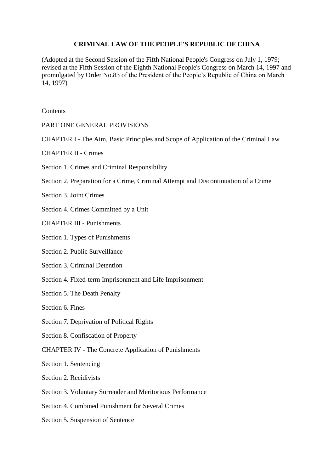### **CRIMINAL LAW OF THE PEOPLE'S REPUBLIC OF CHINA**

(Adopted at the Second Session of the Fifth National People's Congress on July 1, 1979; revised at the Fifth Session of the Eighth National People's Congress on March 14, 1997 and promulgated by Order No.83 of the President of the People's Republic of China on March 14, 1997)

**Contents** 

PART ONE GENERAL PROVISIONS

CHAPTER I - The Aim, Basic Principles and Scope of Application of the Criminal Law

CHAPTER II - Crimes

Section 1. Crimes and Criminal Responsibility

Section 2. Preparation for a Crime, Criminal Attempt and Discontinuation of a Crime

Section 3. Joint Crimes

Section 4. Crimes Committed by a Unit

CHAPTER III - Punishments

Section 1. Types of Punishments

Section 2. Public Surveillance

Section 3. Criminal Detention

Section 4. Fixed-term Imprisonment and Life Imprisonment

Section 5. The Death Penalty

Section 6. Fines

Section 7. Deprivation of Political Rights

Section 8. Confiscation of Property

CHAPTER IV - The Concrete Application of Punishments

Section 1. Sentencing

Section 2. Recidivists

Section 3. Voluntary Surrender and Meritorious Performance

Section 4. Combined Punishment for Several Crimes

Section 5. Suspension of Sentence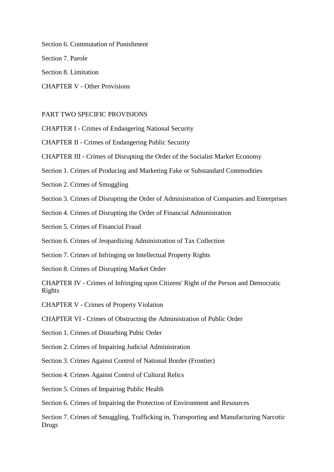Section 6. Commutation of Punishment

Section 7. Parole

Section 8. Limitation

CHAPTER V - Other Provisions

#### PART TWO SPECIFIC PROVISIONS

CHAPTER I - Crimes of Endangering National Security

CHAPTER II - Crimes of Endangering Public Security

CHAPTER III - Crimes of Disrupting the Order of the Socialist Market Economy

Section 1. Crimes of Producing and Marketing Fake or Substandard Commodities

Section 2. Crimes of Smuggling

Section 3. Crimes of Disrupting the Order of Administration of Companies and Enterprises

Section 4. Crimes of Disrupting the Order of Financial Administration

Section 5. Crimes of Financial Fraud

Section 6. Crimes of Jeopardizing Administration of Tax Collection

Section 7. Crimes of Infringing on Intellectual Property Rights

Section 8. Crimes of Disrupting Market Order

CHAPTER IV - Crimes of Infringing upon Citizens' Right of the Person and Democratic Rights

CHAPTER V - Crimes of Property Violation

CHAPTER VI - Crimes of Obstructing the Administration of Public Order

Section 1. Crimes of Disturbing Pubic Order

Section 2. Crimes of Impairing Judicial Administration

Section 3. Crimes Against Control of National Border (Frontier)

Section 4. Crimes Against Control of Cultural Relics

Section 5. Crimes of Impairing Public Health

Section 6. Crimes of Impairing the Protection of Environment and Resources

Section 7. Crimes of Smuggling, Trafficking in, Transporting and Manufacturing Narcotic Drugs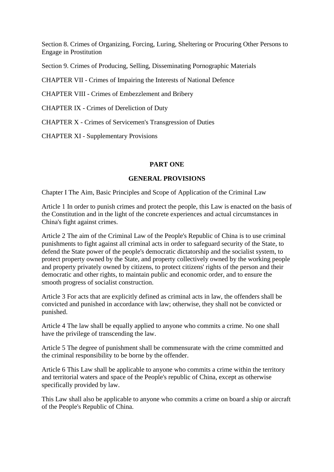Section 8. Crimes of Organizing, Forcing, Luring, Sheltering or Procuring Other Persons to Engage in Prostitution

Section 9. Crimes of Producing, Selling, Disseminating Pornographic Materials

CHAPTER VII - Crimes of Impairing the Interests of National Defence

CHAPTER VIII - Crimes of Embezzlement and Bribery

CHAPTER IX - Crimes of Dereliction of Duty

CHAPTER X - Crimes of Servicemen's Transgression of Duties

CHAPTER XI - Supplementary Provisions

## **PART ONE**

## **GENERAL PROVISIONS**

Chapter I The Aim, Basic Principles and Scope of Application of the Criminal Law

Article 1 In order to punish crimes and protect the people, this Law is enacted on the basis of the Constitution and in the light of the concrete experiences and actual circumstances in China's fight against crimes.

Article 2 The aim of the Criminal Law of the People's Republic of China is to use criminal punishments to fight against all criminal acts in order to safeguard security of the State, to defend the State power of the people's democratic dictatorship and the socialist system, to protect property owned by the State, and property collectively owned by the working people and property privately owned by citizens, to protect citizens' rights of the person and their democratic and other rights, to maintain public and economic order, and to ensure the smooth progress of socialist construction.

Article 3 For acts that are explicitly defined as criminal acts in law, the offenders shall be convicted and punished in accordance with law; otherwise, they shall not be convicted or punished.

Article 4 The law shall be equally applied to anyone who commits a crime. No one shall have the privilege of transcending the law.

Article 5 The degree of punishment shall be commensurate with the crime committed and the criminal responsibility to be borne by the offender.

Article 6 This Law shall be applicable to anyone who commits a crime within the territory and territorial waters and space of the People's republic of China, except as otherwise specifically provided by law.

This Law shall also be applicable to anyone who commits a crime on board a ship or aircraft of the People's Republic of China.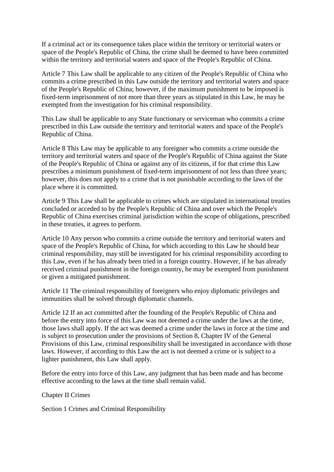If a criminal act or its consequence takes place within the territory or territorial waters or space of the People's Republic of China, the crime shall be deemed to have been committed within the territory and territorial waters and space of the People's Republic of China.

Article 7 This Law shall be applicable to any citizen of the People's Republic of China who commits a crime prescribed in this Law outside the territory and territorial waters and space of the People's Republic of China; however, if the maximum punishment to be imposed is fixed-term imprisonment of not more than three years as stipulated in this Law, he may be exempted from the investigation for his criminal responsibility.

This Law shall be applicable to any State functionary or serviceman who commits a crime prescribed in this Law outside the territory and territorial waters and space of the People's Republic of China.

Article 8 This Law may be applicable to any foreigner who commits a crime outside the territory and territorial waters and space of the People's Republic of China against the State of the People's Republic of China or against any of its citizens, if for that crime this Law prescribes a minimum punishment of fixed-term imprisonment of not less than three years; however, this does not apply to a crime that is not punishable according to the laws of the place where it is committed.

Article 9 This Law shall be applicable to crimes which are stipulated in international treaties concluded or acceded to by the People's Republic of China and over which the People's Republic of China exercises criminal jurisdiction within the scope of obligations, prescribed in these treaties, it agrees to perform.

Article 10 Any person who commits a crime outside the territory and territorial waters and space of the People's Republic of China, for which according to this Law he should bear criminal responsibility, may still be investigated for his criminal responsibility according to this Law, even if he has already been tried in a foreign country. However, if he has already received criminal punishment in the foreign country, he may be exempted from punishment or given a mitigated punishment.

Article 11 The criminal responsibility of foreigners who enjoy diplomatic privileges and immunities shall be solved through diplomatic channels.

Article 12 If an act committed after the founding of the People's Republic of China and before the entry into force of this Law was not deemed a crime under the laws at the time, those laws shall apply. If the act was deemed a crime under the laws in force at the time and is subject to prosecution under the provisions of Section 8, Chapter IV of the General Provisions of this Law, criminal responsibility shall be investigated in accordance with those laws. However, if according to this Law the act is not deemed a crime or is subject to a lighter punishment, this Law shall apply.

Before the entry into force of this Law, any judgment that has been made and has become effective according to the laws at the time shall remain valid.

Chapter II Crimes

Section 1 Crimes and Criminal Responsibility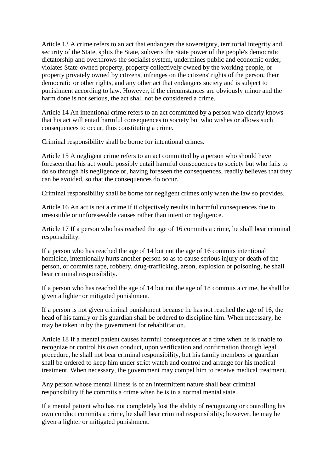Article 13 A crime refers to an act that endangers the sovereignty, territorial integrity and security of the State, splits the State, subverts the State power of the people's democratic dictatorship and overthrows the socialist system, undermines public and economic order, violates State-owned property, property collectively owned by the working people, or property privately owned by citizens, infringes on the citizens' rights of the person, their democratic or other rights, and any other act that endangers society and is subject to punishment according to law. However, if the circumstances are obviously minor and the harm done is not serious, the act shall not be considered a crime.

Article 14 An intentional crime refers to an act committed by a person who clearly knows that his act will entail harmful consequences to society but who wishes or allows such consequences to occur, thus constituting a crime.

Criminal responsibility shall be borne for intentional crimes.

Article 15 A negligent crime refers to an act committed by a person who should have foreseen that his act would possibly entail harmful consequences to society but who fails to do so through his negligence or, having foreseen the consequences, readily believes that they can be avoided, so that the consequences do occur.

Criminal responsibility shall be borne for negligent crimes only when the law so provides.

Article 16 An act is not a crime if it objectively results in harmful consequences due to irresistible or unforeseeable causes rather than intent or negligence.

Article 17 If a person who has reached the age of 16 commits a crime, he shall bear criminal responsibility.

If a person who has reached the age of 14 but not the age of 16 commits intentional homicide, intentionally hurts another person so as to cause serious injury or death of the person, or commits rape, robbery, drug-trafficking, arson, explosion or poisoning, he shall bear criminal responsibility.

If a person who has reached the age of 14 but not the age of 18 commits a crime, he shall be given a lighter or mitigated punishment.

If a person is not given criminal punishment because he has not reached the age of 16, the head of his family or his guardian shall be ordered to discipline him. When necessary, he may be taken in by the government for rehabilitation.

Article 18 If a mental patient causes harmful consequences at a time when he is unable to recognize or control his own conduct, upon verification and confirmation through legal procedure, he shall not bear criminal responsibility, but his family members or guardian shall be ordered to keep him under strict watch and control and arrange for his medical treatment. When necessary, the government may compel him to receive medical treatment.

Any person whose mental illness is of an intermittent nature shall bear criminal responsibility if he commits a crime when he is in a normal mental state.

If a mental patient who has not completely lost the ability of recognizing or controlling his own conduct commits a crime, he shall bear criminal responsibility; however, he may be given a lighter or mitigated punishment.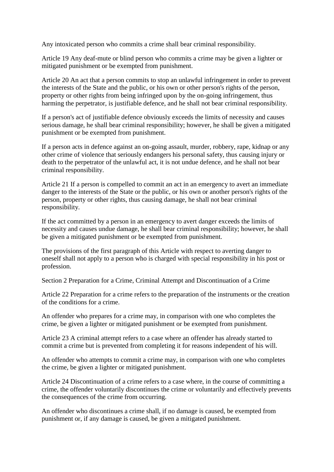Any intoxicated person who commits a crime shall bear criminal responsibility.

Article 19 Any deaf-mute or blind person who commits a crime may be given a lighter or mitigated punishment or be exempted from punishment.

Article 20 An act that a person commits to stop an unlawful infringement in order to prevent the interests of the State and the public, or his own or other person's rights of the person, property or other rights from being infringed upon by the on-going infringement, thus harming the perpetrator, is justifiable defence, and he shall not bear criminal responsibility.

If a person's act of justifiable defence obviously exceeds the limits of necessity and causes serious damage, he shall bear criminal responsibility; however, he shall be given a mitigated punishment or be exempted from punishment.

If a person acts in defence against an on-going assault, murder, robbery, rape, kidnap or any other crime of violence that seriously endangers his personal safety, thus causing injury or death to the perpetrator of the unlawful act, it is not undue defence, and he shall not bear criminal responsibility.

Article 21 If a person is compelled to commit an act in an emergency to avert an immediate danger to the interests of the State or the public, or his own or another person's rights of the person, property or other rights, thus causing damage, he shall not bear criminal responsibility.

If the act committed by a person in an emergency to avert danger exceeds the limits of necessity and causes undue damage, he shall bear criminal responsibility; however, he shall be given a mitigated punishment or be exempted from punishment.

The provisions of the first paragraph of this Article with respect to averting danger to oneself shall not apply to a person who is charged with special responsibility in his post or profession.

Section 2 Preparation for a Crime, Criminal Attempt and Discontinuation of a Crime

Article 22 Preparation for a crime refers to the preparation of the instruments or the creation of the conditions for a crime.

An offender who prepares for a crime may, in comparison with one who completes the crime, be given a lighter or mitigated punishment or be exempted from punishment.

Article 23 A criminal attempt refers to a case where an offender has already started to commit a crime but is prevented from completing it for reasons independent of his will.

An offender who attempts to commit a crime may, in comparison with one who completes the crime, be given a lighter or mitigated punishment.

Article 24 Discontinuation of a crime refers to a case where, in the course of committing a crime, the offender voluntarily discontinues the crime or voluntarily and effectively prevents the consequences of the crime from occurring.

An offender who discontinues a crime shall, if no damage is caused, be exempted from punishment or, if any damage is caused, be given a mitigated punishment.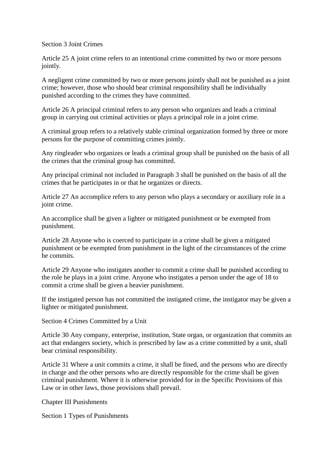Section 3 Joint Crimes

Article 25 A joint crime refers to an intentional crime committed by two or more persons jointly.

A negligent crime committed by two or more persons jointly shall not be punished as a joint crime; however, those who should bear criminal responsibility shall be individually punished according to the crimes they have committed.

Article 26 A principal criminal refers to any person who organizes and leads a criminal group in carrying out criminal activities or plays a principal role in a joint crime.

A criminal group refers to a relatively stable criminal organization formed by three or more persons for the purpose of committing crimes jointly.

Any ringleader who organizes or leads a criminal group shall be punished on the basis of all the crimes that the criminal group has committed.

Any principal criminal not included in Paragraph 3 shall be punished on the basis of all the crimes that he participates in or that he organizes or directs.

Article 27 An accomplice refers to any person who plays a secondary or auxiliary role in a joint crime.

An accomplice shall be given a lighter or mitigated punishment or be exempted from punishment.

Article 28 Anyone who is coerced to participate in a crime shall be given a mitigated punishment or be exempted from punishment in the light of the circumstances of the crime he commits.

Article 29 Anyone who instigates another to commit a crime shall be punished according to the role he plays in a joint crime. Anyone who instigates a person under the age of 18 to commit a crime shall be given a heavier punishment.

If the instigated person has not committed the instigated crime, the instigator may be given a lighter or mitigated punishment.

Section 4 Crimes Committed by a Unit

Article 30 Any company, enterprise, institution, State organ, or organization that commits an act that endangers society, which is prescribed by law as a crime committed by a unit, shall bear criminal responsibility.

Article 31 Where a unit commits a crime, it shall be fined, and the persons who are directly in charge and the other persons who are directly responsible for the crime shall be given criminal punishment. Where it is otherwise provided for in the Specific Provisions of this Law or in other laws, those provisions shall prevail.

Chapter III Punishments

Section 1 Types of Punishments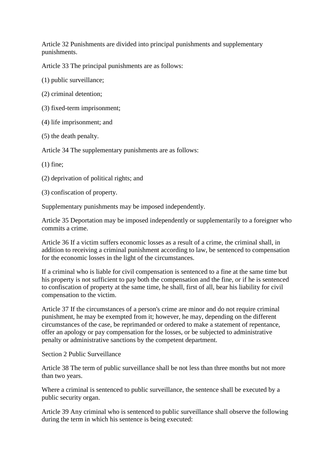Article 32 Punishments are divided into principal punishments and supplementary punishments.

Article 33 The principal punishments are as follows:

- (1) public surveillance;
- (2) criminal detention;
- (3) fixed-term imprisonment;
- (4) life imprisonment; and
- (5) the death penalty.

Article 34 The supplementary punishments are as follows:

(1) fine;

(2) deprivation of political rights; and

(3) confiscation of property.

Supplementary punishments may be imposed independently.

Article 35 Deportation may be imposed independently or supplementarily to a foreigner who commits a crime.

Article 36 If a victim suffers economic losses as a result of a crime, the criminal shall, in addition to receiving a criminal punishment according to law, be sentenced to compensation for the economic losses in the light of the circumstances.

If a criminal who is liable for civil compensation is sentenced to a fine at the same time but his property is not sufficient to pay both the compensation and the fine, or if he is sentenced to confiscation of property at the same time, he shall, first of all, bear his liability for civil compensation to the victim.

Article 37 If the circumstances of a person's crime are minor and do not require criminal punishment, he may be exempted from it; however, he may, depending on the different circumstances of the case, be reprimanded or ordered to make a statement of repentance, offer an apology or pay compensation for the losses, or be subjected to administrative penalty or administrative sanctions by the competent department.

Section 2 Public Surveillance

Article 38 The term of public surveillance shall be not less than three months but not more than two years.

Where a criminal is sentenced to public surveillance, the sentence shall be executed by a public security organ.

Article 39 Any criminal who is sentenced to public surveillance shall observe the following during the term in which his sentence is being executed: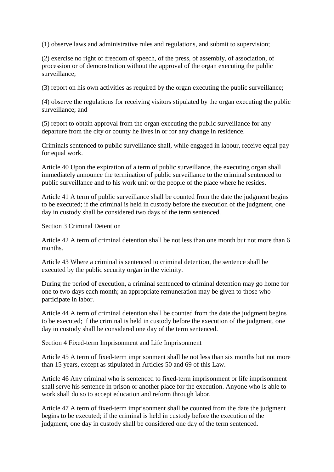(1) observe laws and administrative rules and regulations, and submit to supervision;

(2) exercise no right of freedom of speech, of the press, of assembly, of association, of procession or of demonstration without the approval of the organ executing the public surveillance;

(3) report on his own activities as required by the organ executing the public surveillance;

(4) observe the regulations for receiving visitors stipulated by the organ executing the public surveillance; and

(5) report to obtain approval from the organ executing the public surveillance for any departure from the city or county he lives in or for any change in residence.

Criminals sentenced to public surveillance shall, while engaged in labour, receive equal pay for equal work.

Article 40 Upon the expiration of a term of public surveillance, the executing organ shall immediately announce the termination of public surveillance to the criminal sentenced to public surveillance and to his work unit or the people of the place where he resides.

Article 41 A term of public surveillance shall be counted from the date the judgment begins to be executed; if the criminal is held in custody before the execution of the judgment, one day in custody shall be considered two days of the term sentenced.

Section 3 Criminal Detention

Article 42 A term of criminal detention shall be not less than one month but not more than 6 months.

Article 43 Where a criminal is sentenced to criminal detention, the sentence shall be executed by the public security organ in the vicinity.

During the period of execution, a criminal sentenced to criminal detention may go home for one to two days each month; an appropriate remuneration may be given to those who participate in labor.

Article 44 A term of criminal detention shall be counted from the date the judgment begins to be executed; if the criminal is held in custody before the execution of the judgment, one day in custody shall be considered one day of the term sentenced.

Section 4 Fixed-term Imprisonment and Life Imprisonment

Article 45 A term of fixed-term imprisonment shall be not less than six months but not more than 15 years, except as stipulated in Articles 50 and 69 of this Law.

Article 46 Any criminal who is sentenced to fixed-term imprisonment or life imprisonment shall serve his sentence in prison or another place for the execution. Anyone who is able to work shall do so to accept education and reform through labor.

Article 47 A term of fixed-term imprisonment shall be counted from the date the judgment begins to be executed; if the criminal is held in custody before the execution of the judgment, one day in custody shall be considered one day of the term sentenced.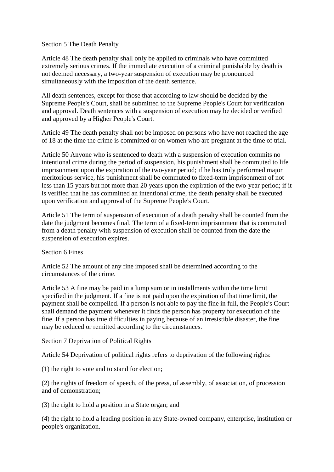Section 5 The Death Penalty

Article 48 The death penalty shall only be applied to criminals who have committed extremely serious crimes. If the immediate execution of a criminal punishable by death is not deemed necessary, a two-year suspension of execution may be pronounced simultaneously with the imposition of the death sentence.

All death sentences, except for those that according to law should be decided by the Supreme People's Court, shall be submitted to the Supreme People's Court for verification and approval. Death sentences with a suspension of execution may be decided or verified and approved by a Higher People's Court.

Article 49 The death penalty shall not be imposed on persons who have not reached the age of 18 at the time the crime is committed or on women who are pregnant at the time of trial.

Article 50 Anyone who is sentenced to death with a suspension of execution commits no intentional crime during the period of suspension, his punishment shall be commuted to life imprisonment upon the expiration of the two-year period; if he has truly performed major meritorious service, his punishment shall be commuted to fixed-term imprisonment of not less than 15 years but not more than 20 years upon the expiration of the two-year period; if it is verified that he has committed an intentional crime, the death penalty shall be executed upon verification and approval of the Supreme People's Court.

Article 51 The term of suspension of execution of a death penalty shall be counted from the date the judgment becomes final. The term of a fixed-term imprisonment that is commuted from a death penalty with suspension of execution shall be counted from the date the suspension of execution expires.

Section 6 Fines

Article 52 The amount of any fine imposed shall be determined according to the circumstances of the crime.

Article 53 A fine may be paid in a lump sum or in installments within the time limit specified in the judgment. If a fine is not paid upon the expiration of that time limit, the payment shall be compelled. If a person is not able to pay the fine in full, the People's Court shall demand the payment whenever it finds the person has property for execution of the fine. If a person has true difficulties in paying because of an irresistible disaster, the fine may be reduced or remitted according to the circumstances.

Section 7 Deprivation of Political Rights

Article 54 Deprivation of political rights refers to deprivation of the following rights:

(1) the right to vote and to stand for election;

(2) the rights of freedom of speech, of the press, of assembly, of association, of procession and of demonstration;

(3) the right to hold a position in a State organ; and

(4) the right to hold a leading position in any State-owned company, enterprise, institution or people's organization.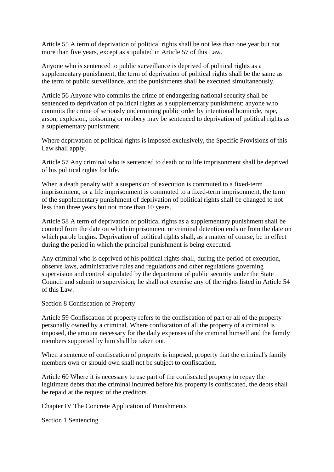Article 55 A term of deprivation of political rights shall be not less than one year but not more than five years, except as stipulated in Article 57 of this Law.

Anyone who is sentenced to public surveillance is deprived of political rights as a supplementary punishment, the term of deprivation of political rights shall be the same as the term of public surveillance, and the punishments shall be executed simultaneously.

Article 56 Anyone who commits the crime of endangering national security shall be sentenced to deprivation of political rights as a supplementary punishment; anyone who commits the crime of seriously undermining public order by intentional homicide, rape, arson, explosion, poisoning or robbery may be sentenced to deprivation of political rights as a supplementary punishment.

Where deprivation of political rights is imposed exclusively, the Specific Provisions of this Law shall apply.

Article 57 Any criminal who is sentenced to death or to life imprisonment shall be deprived of his political rights for life.

When a death penalty with a suspension of execution is commuted to a fixed-term imprisonment, or a life imprisonment is commuted to a fixed-term imprisonment, the term of the supplementary punishment of deprivation of political rights shall be changed to not less than three years but not more than 10 years.

Article 58 A term of deprivation of political rights as a supplementary punishment shall be counted from the date on which imprisonment or criminal detention ends or from the date on which parole begins. Deprivation of political rights shall, as a matter of course, be in effect during the period in which the principal punishment is being executed.

Any criminal who is deprived of his political rights shall, during the period of execution, observe laws, administrative rules and regulations and other regulations governing supervision and control stipulated by the department of public security under the State Council and submit to supervision; he shall not exercise any of the rights listed in Article 54 of this Law.

Section 8 Confiscation of Property

Article 59 Confiscation of property refers to the confiscation of part or all of the property personally owned by a criminal. Where confiscation of all the property of a criminal is imposed, the amount necessary for the daily expenses of the criminal himself and the family members supported by him shall be taken out.

When a sentence of confiscation of property is imposed, property that the criminal's family members own or should own shall not be subject to confiscation.

Article 60 Where it is necessary to use part of the confiscated property to repay the legitimate debts that the criminal incurred before his property is confiscated, the debts shall be repaid at the request of the creditors.

Chapter IV The Concrete Application of Punishments

Section 1 Sentencing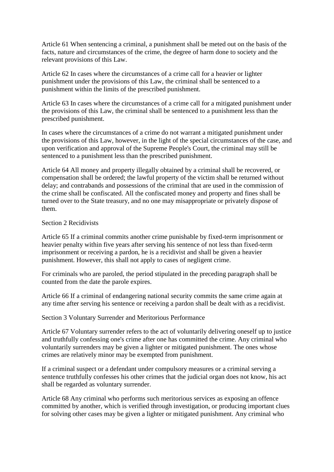Article 61 When sentencing a criminal, a punishment shall be meted out on the basis of the facts, nature and circumstances of the crime, the degree of harm done to society and the relevant provisions of this Law.

Article 62 In cases where the circumstances of a crime call for a heavier or lighter punishment under the provisions of this Law, the criminal shall be sentenced to a punishment within the limits of the prescribed punishment.

Article 63 In cases where the circumstances of a crime call for a mitigated punishment under the provisions of this Law, the criminal shall be sentenced to a punishment less than the prescribed punishment.

In cases where the circumstances of a crime do not warrant a mitigated punishment under the provisions of this Law, however, in the light of the special circumstances of the case, and upon verification and approval of the Supreme People's Court, the criminal may still be sentenced to a punishment less than the prescribed punishment.

Article 64 All money and property illegally obtained by a criminal shall be recovered, or compensation shall be ordered; the lawful property of the victim shall be returned without delay; and contrabands and possessions of the criminal that are used in the commission of the crime shall be confiscated. All the confiscated money and property and fines shall be turned over to the State treasury, and no one may misappropriate or privately dispose of them.

### Section 2 Recidivists

Article 65 If a criminal commits another crime punishable by fixed-term imprisonment or heavier penalty within five years after serving his sentence of not less than fixed-term imprisonment or receiving a pardon, he is a recidivist and shall be given a heavier punishment. However, this shall not apply to cases of negligent crime.

For criminals who are paroled, the period stipulated in the preceding paragraph shall be counted from the date the parole expires.

Article 66 If a criminal of endangering national security commits the same crime again at any time after serving his sentence or receiving a pardon shall be dealt with as a recidivist.

Section 3 Voluntary Surrender and Meritorious Performance

Article 67 Voluntary surrender refers to the act of voluntarily delivering oneself up to justice and truthfully confessing one's crime after one has committed the crime. Any criminal who voluntarily surrenders may be given a lighter or mitigated punishment. The ones whose crimes are relatively minor may be exempted from punishment.

If a criminal suspect or a defendant under compulsory measures or a criminal serving a sentence truthfully confesses his other crimes that the judicial organ does not know, his act shall be regarded as voluntary surrender.

Article 68 Any criminal who performs such meritorious services as exposing an offence committed by another, which is verified through investigation, or producing important clues for solving other cases may be given a lighter or mitigated punishment. Any criminal who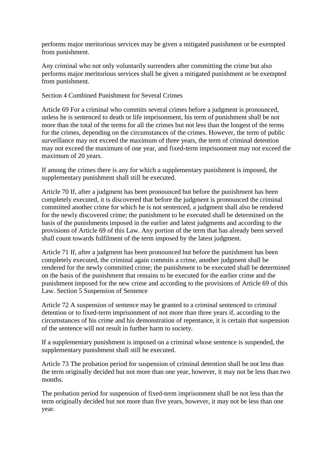performs major meritorious services may be given a mitigated punishment or be exempted from punishment.

Any criminal who not only voluntarily surrenders after committing the crime but also performs major meritorious services shall be given a mitigated punishment or be exempted from punishment.

Section 4 Combined Punishment for Several Crimes

Article 69 For a criminal who commits several crimes before a judgment is pronounced, unless he is sentenced to death or life imprisonment, his term of punishment shall be not more than the total of the terms for all the crimes but not less than the longest of the terms for the crimes, depending on the circumstances of the crimes. However, the term of public surveillance may not exceed the maximum of three years, the term of criminal detention may not exceed the maximum of one year, and fixed-term imprisonment may not exceed the maximum of 20 years.

If among the crimes there is any for which a supplementary punishment is imposed, the supplementary punishment shall still be executed.

Article 70 If, after a judgment has been pronounced but before the punishment has been completely executed, it is discovered that before the judgment is pronounced the criminal committed another crime for which he is not sentenced, a judgment shall also be rendered for the newly discovered crime; the punishment to be executed shall be determined on the basis of the punishments imposed in the earlier and latest judgments and according to the provisions of Article 69 of this Law. Any portion of the term that has already been served shall count towards fulfilment of the term imposed by the latest judgment.

Article 71 If, after a judgment has been pronounced but before the punishment has been completely executed, the criminal again commits a crime, another judgment shall be rendered for the newly committed crime; the punishment to be executed shall be determined on the basis of the punishment that remains to be executed for the earlier crime and the punishment imposed for the new crime and according to the provisions of Article 69 of this Law. Section 5 Suspension of Sentence

Article 72 A suspension of sentence may be granted to a criminal sentenced to criminal detention or to fixed-term imprisonment of not more than three years if, according to the circumstances of his crime and his demonstration of repentance, it is certain that suspension of the sentence will not result in further harm to society.

If a supplementary punishment is imposed on a criminal whose sentence is suspended, the supplementary punishment shall still be executed.

Article 73 The probation period for suspension of criminal detention shall be not less than the term originally decided but not more than one year, however, it may not be less than two months.

The probation period for suspension of fixed-term imprisonment shall be not less than the term originally decided but not more than five years, however, it may not be less than one year.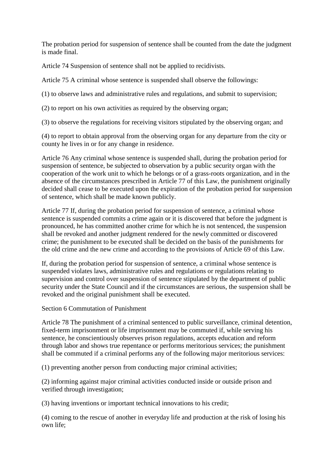The probation period for suspension of sentence shall be counted from the date the judgment is made final.

Article 74 Suspension of sentence shall not be applied to recidivists.

Article 75 A criminal whose sentence is suspended shall observe the followings:

(1) to observe laws and administrative rules and regulations, and submit to supervision;

(2) to report on his own activities as required by the observing organ;

(3) to observe the regulations for receiving visitors stipulated by the observing organ; and

(4) to report to obtain approval from the observing organ for any departure from the city or county he lives in or for any change in residence.

Article 76 Any criminal whose sentence is suspended shall, during the probation period for suspension of sentence, be subjected to observation by a public security organ with the cooperation of the work unit to which he belongs or of a grass-roots organization, and in the absence of the circumstances prescribed in Article 77 of this Law, the punishment originally decided shall cease to be executed upon the expiration of the probation period for suspension of sentence, which shall be made known publicly.

Article 77 If, during the probation period for suspension of sentence, a criminal whose sentence is suspended commits a crime again or it is discovered that before the judgment is pronounced, he has committed another crime for which he is not sentenced, the suspension shall be revoked and another judgment rendered for the newly committed or discovered crime; the punishment to be executed shall be decided on the basis of the punishments for the old crime and the new crime and according to the provisions of Article 69 of this Law.

If, during the probation period for suspension of sentence, a criminal whose sentence is suspended violates laws, administrative rules and regulations or regulations relating to supervision and control over suspension of sentence stipulated by the department of public security under the State Council and if the circumstances are serious, the suspension shall be revoked and the original punishment shall be executed.

Section 6 Commutation of Punishment

Article 78 The punishment of a criminal sentenced to public surveillance, criminal detention, fixed-term imprisonment or life imprisonment may be commuted if, while serving his sentence, he conscientiously observes prison regulations, accepts education and reform through labor and shows true repentance or performs meritorious services; the punishment shall be commuted if a criminal performs any of the following major meritorious services:

(1) preventing another person from conducting major criminal activities;

(2) informing against major criminal activities conducted inside or outside prison and verified through investigation;

(3) having inventions or important technical innovations to his credit;

(4) coming to the rescue of another in everyday life and production at the risk of losing his own life;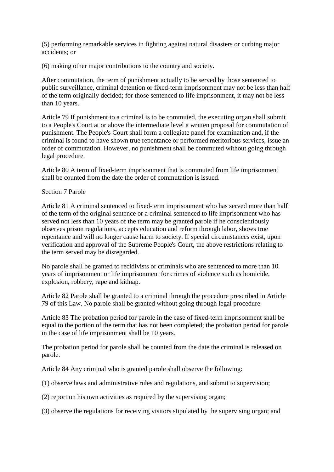(5) performing remarkable services in fighting against natural disasters or curbing major accidents; or

(6) making other major contributions to the country and society.

After commutation, the term of punishment actually to be served by those sentenced to public surveillance, criminal detention or fixed-term imprisonment may not be less than half of the term originally decided; for those sentenced to life imprisonment, it may not be less than 10 years.

Article 79 If punishment to a criminal is to be commuted, the executing organ shall submit to a People's Court at or above the intermediate level a written proposal for commutation of punishment. The People's Court shall form a collegiate panel for examination and, if the criminal is found to have shown true repentance or performed meritorious services, issue an order of commutation. However, no punishment shall be commuted without going through legal procedure.

Article 80 A term of fixed-term imprisonment that is commuted from life imprisonment shall be counted from the date the order of commutation is issued.

## Section 7 Parole

Article 81 A criminal sentenced to fixed-term imprisonment who has served more than half of the term of the original sentence or a criminal sentenced to life imprisonment who has served not less than 10 years of the term may be granted parole if he conscientiously observes prison regulations, accepts education and reform through labor, shows true repentance and will no longer cause harm to society. If special circumstances exist, upon verification and approval of the Supreme People's Court, the above restrictions relating to the term served may be disregarded.

No parole shall be granted to recidivists or criminals who are sentenced to more than 10 years of imprisonment or life imprisonment for crimes of violence such as homicide, explosion, robbery, rape and kidnap.

Article 82 Parole shall be granted to a criminal through the procedure prescribed in Article 79 of this Law. No parole shall be granted without going through legal procedure.

Article 83 The probation period for parole in the case of fixed-term imprisonment shall be equal to the portion of the term that has not been completed; the probation period for parole in the case of life imprisonment shall be 10 years.

The probation period for parole shall be counted from the date the criminal is released on parole.

Article 84 Any criminal who is granted parole shall observe the following:

(1) observe laws and administrative rules and regulations, and submit to supervision;

(2) report on his own activities as required by the supervising organ;

(3) observe the regulations for receiving visitors stipulated by the supervising organ; and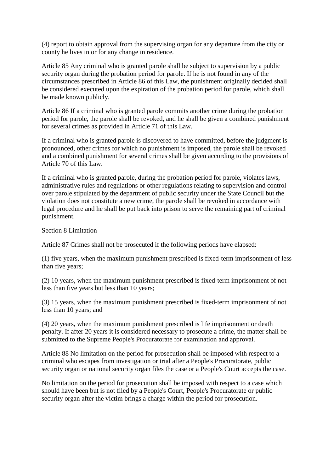(4) report to obtain approval from the supervising organ for any departure from the city or county he lives in or for any change in residence.

Article 85 Any criminal who is granted parole shall be subject to supervision by a public security organ during the probation period for parole. If he is not found in any of the circumstances prescribed in Article 86 of this Law, the punishment originally decided shall be considered executed upon the expiration of the probation period for parole, which shall be made known publicly.

Article 86 If a criminal who is granted parole commits another crime during the probation period for parole, the parole shall be revoked, and he shall be given a combined punishment for several crimes as provided in Article 71 of this Law.

If a criminal who is granted parole is discovered to have committed, before the judgment is pronounced, other crimes for which no punishment is imposed, the parole shall be revoked and a combined punishment for several crimes shall be given according to the provisions of Article 70 of this Law.

If a criminal who is granted parole, during the probation period for parole, violates laws, administrative rules and regulations or other regulations relating to supervision and control over parole stipulated by the department of public security under the State Council but the violation does not constitute a new crime, the parole shall be revoked in accordance with legal procedure and he shall be put back into prison to serve the remaining part of criminal punishment.

### Section 8 Limitation

Article 87 Crimes shall not be prosecuted if the following periods have elapsed:

(1) five years, when the maximum punishment prescribed is fixed-term imprisonment of less than five years;

(2) 10 years, when the maximum punishment prescribed is fixed-term imprisonment of not less than five years but less than 10 years;

(3) 15 years, when the maximum punishment prescribed is fixed-term imprisonment of not less than 10 years; and

(4) 20 years, when the maximum punishment prescribed is life imprisonment or death penalty. If after 20 years it is considered necessary to prosecute a crime, the matter shall be submitted to the Supreme People's Procuratorate for examination and approval.

Article 88 No limitation on the period for prosecution shall be imposed with respect to a criminal who escapes from investigation or trial after a People's Procuratorate, public security organ or national security organ files the case or a People's Court accepts the case.

No limitation on the period for prosecution shall be imposed with respect to a case which should have been but is not filed by a People's Court, People's Procuratorate or public security organ after the victim brings a charge within the period for prosecution.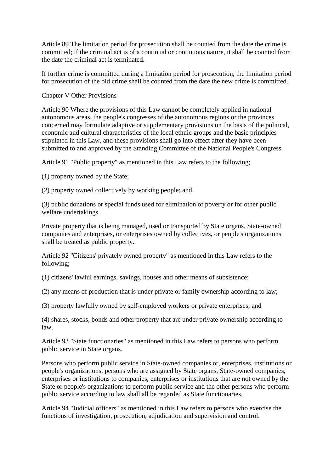Article 89 The limitation period for prosecution shall be counted from the date the crime is committed; if the criminal act is of a continual or continuous nature, it shall be counted from the date the criminal act is terminated.

If further crime is committed during a limitation period for prosecution, the limitation period for prosecution of the old crime shall be counted from the date the new crime is committed.

Chapter V Other Provisions

Article 90 Where the provisions of this Law cannot be completely applied in national autonomous areas, the people's congresses of the autonomous regions or the provinces concerned may formulate adaptive or supplementary provisions on the basis of the political, economic and cultural characteristics of the local ethnic groups and the basic principles stipulated in this Law, and these provisions shall go into effect after they have been submitted to and approved by the Standing Committee of the National People's Congress.

Article 91 "Public property" as mentioned in this Law refers to the following;

(1) property owned by the State;

(2) property owned collectively by working people; and

(3) public donations or special funds used for elimination of poverty or for other public welfare undertakings.

Private property that is being managed, used or transported by State organs, State-owned companies and enterprises, or enterprises owned by collectives, or people's organizations shall be treated as public property.

Article 92 "Citizens' privately owned property" as mentioned in this Law refers to the following;

(1) citizens' lawful earnings, savings, houses and other means of subsistence;

(2) any means of production that is under private or family ownership according to law;

(3) property lawfully owned by self-employed workers or private enterprises; and

(4) shares, stocks, bonds and other property that are under private ownership according to law.

Article 93 "State functionaries" as mentioned in this Law refers to persons who perform public service in State organs.

Persons who perform public service in State-owned companies or, enterprises, institutions or people's organizations, persons who are assigned by State organs, State-owned companies, enterprises or institutions to companies, enterprises or institutions that are not owned by the State or people's organizations to perform public service and the other persons who perform public service according to law shall all be regarded as State functionaries.

Article 94 "Judicial officers" as mentioned in this Law refers to persons who exercise the functions of investigation, prosecution, adjudication and supervision and control.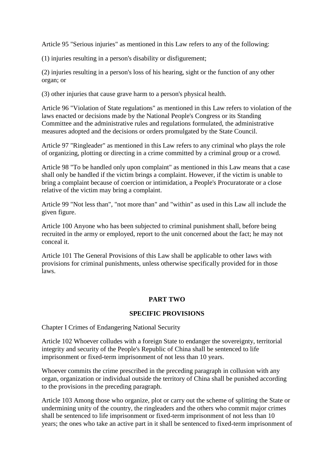Article 95 "Serious injuries" as mentioned in this Law refers to any of the following:

(1) injuries resulting in a person's disability or disfigurement;

(2) injuries resulting in a person's loss of his hearing, sight or the function of any other organ; or

(3) other injuries that cause grave harm to a person's physical health.

Article 96 "Violation of State regulations" as mentioned in this Law refers to violation of the laws enacted or decisions made by the National People's Congress or its Standing Committee and the administrative rules and regulations formulated, the administrative measures adopted and the decisions or orders promulgated by the State Council.

Article 97 "Ringleader" as mentioned in this Law refers to any criminal who plays the role of organizing, plotting or directing in a crime committed by a criminal group or a crowd.

Article 98 "To be handled only upon complaint" as mentioned in this Law means that a case shall only be handled if the victim brings a complaint. However, if the victim is unable to bring a complaint because of coercion or intimidation, a People's Procuratorate or a close relative of the victim may bring a complaint.

Article 99 "Not less than", "not more than" and "within" as used in this Law all include the given figure.

Article 100 Anyone who has been subjected to criminal punishment shall, before being recruited in the army or employed, report to the unit concerned about the fact; he may not conceal it.

Article 101 The General Provisions of this Law shall be applicable to other laws with provisions for criminal punishments, unless otherwise specifically provided for in those laws.

# **PART TWO**

### **SPECIFIC PROVISIONS**

Chapter I Crimes of Endangering National Security

Article 102 Whoever colludes with a foreign State to endanger the sovereignty, territorial integrity and security of the People's Republic of China shall be sentenced to life imprisonment or fixed-term imprisonment of not less than 10 years.

Whoever commits the crime prescribed in the preceding paragraph in collusion with any organ, organization or individual outside the territory of China shall be punished according to the provisions in the preceding paragraph.

Article 103 Among those who organize, plot or carry out the scheme of splitting the State or undermining unity of the country, the ringleaders and the others who commit major crimes shall be sentenced to life imprisonment or fixed-term imprisonment of not less than 10 years; the ones who take an active part in it shall be sentenced to fixed-term imprisonment of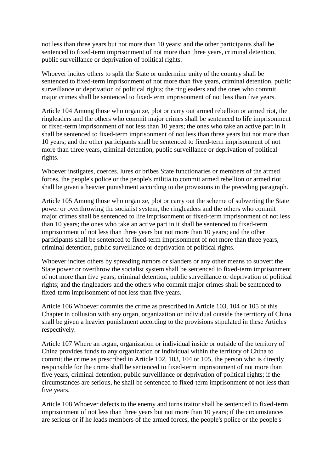not less than three years but not more than 10 years; and the other participants shall be sentenced to fixed-term imprisonment of not more than three years, criminal detention, public surveillance or deprivation of political rights.

Whoever incites others to split the State or undermine unity of the country shall be sentenced to fixed-term imprisonment of not more than five years, criminal detention, public surveillance or deprivation of political rights; the ringleaders and the ones who commit major crimes shall be sentenced to fixed-term imprisonment of not less than five years.

Article 104 Among those who organize, plot or carry out armed rebellion or armed riot, the ringleaders and the others who commit major crimes shall be sentenced to life imprisonment or fixed-term imprisonment of not less than 10 years; the ones who take an active part in it shall be sentenced to fixed-term imprisonment of not less than three years but not more than 10 years; and the other participants shall be sentenced to fixed-term imprisonment of not more than three years, criminal detention, public surveillance or deprivation of political rights.

Whoever instigates, coerces, lures or bribes State functionaries or members of the armed forces, the people's police or the people's militia to commit armed rebellion or armed riot shall be given a heavier punishment according to the provisions in the preceding paragraph.

Article 105 Among those who organize, plot or carry out the scheme of subverting the State power or overthrowing the socialist system, the ringleaders and the others who commit major crimes shall be sentenced to life imprisonment or fixed-term imprisonment of not less than 10 years; the ones who take an active part in it shall be sentenced to fixed-term imprisonment of not less than three years but not more than 10 years; and the other participants shall be sentenced to fixed-term imprisonment of not more than three years, criminal detention, public surveillance or deprivation of political rights.

Whoever incites others by spreading rumors or slanders or any other means to subvert the State power or overthrow the socialist system shall be sentenced to fixed-term imprisonment of not more than five years, criminal detention, public surveillance or deprivation of political rights; and the ringleaders and the others who commit major crimes shall be sentenced to fixed-term imprisonment of not less than five years.

Article 106 Whoever commits the crime as prescribed in Article 103, 104 or 105 of this Chapter in collusion with any organ, organization or individual outside the territory of China shall be given a heavier punishment according to the provisions stipulated in these Articles respectively.

Article 107 Where an organ, organization or individual inside or outside of the territory of China provides funds to any organization or individual within the territory of China to commit the crime as prescribed in Article 102, 103, 104 or 105, the person who is directly responsible for the crime shall be sentenced to fixed-term imprisonment of not more than five years, criminal detention, public surveillance or deprivation of political rights; if the circumstances are serious, he shall be sentenced to fixed-term imprisonment of not less than five years.

Article 108 Whoever defects to the enemy and turns traitor shall be sentenced to fixed-term imprisonment of not less than three years but not more than 10 years; if the circumstances are serious or if he leads members of the armed forces, the people's police or the people's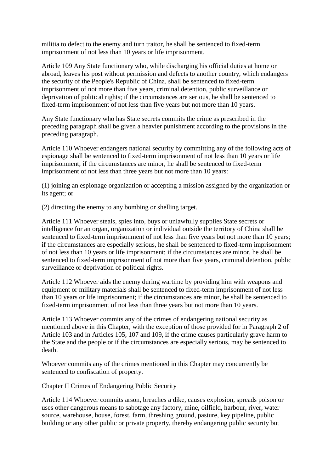militia to defect to the enemy and turn traitor, he shall be sentenced to fixed-term imprisonment of not less than 10 years or life imprisonment.

Article 109 Any State functionary who, while discharging his official duties at home or abroad, leaves his post without permission and defects to another country, which endangers the security of the People's Republic of China, shall be sentenced to fixed-term imprisonment of not more than five years, criminal detention, public surveillance or deprivation of political rights; if the circumstances are serious, he shall be sentenced to fixed-term imprisonment of not less than five years but not more than 10 years.

Any State functionary who has State secrets commits the crime as prescribed in the preceding paragraph shall be given a heavier punishment according to the provisions in the preceding paragraph.

Article 110 Whoever endangers national security by committing any of the following acts of espionage shall be sentenced to fixed-term imprisonment of not less than 10 years or life imprisonment; if the circumstances are minor, he shall be sentenced to fixed-term imprisonment of not less than three years but not more than 10 years:

(1) joining an espionage organization or accepting a mission assigned by the organization or its agent; or

(2) directing the enemy to any bombing or shelling target.

Article 111 Whoever steals, spies into, buys or unlawfully supplies State secrets or intelligence for an organ, organization or individual outside the territory of China shall be sentenced to fixed-term imprisonment of not less than five years but not more than 10 years; if the circumstances are especially serious, he shall be sentenced to fixed-term imprisonment of not less than 10 years or life imprisonment; if the circumstances are minor, he shall be sentenced to fixed-term imprisonment of not more than five years, criminal detention, public surveillance or deprivation of political rights.

Article 112 Whoever aids the enemy during wartime by providing him with weapons and equipment or military materials shall be sentenced to fixed-term imprisonment of not less than 10 years or life imprisonment; if the circumstances are minor, he shall be sentenced to fixed-term imprisonment of not less than three years but not more than 10 years.

Article 113 Whoever commits any of the crimes of endangering national security as mentioned above in this Chapter, with the exception of those provided for in Paragraph 2 of Article 103 and in Articles 105, 107 and 109, if the crime causes particularly grave harm to the State and the people or if the circumstances are especially serious, may be sentenced to death.

Whoever commits any of the crimes mentioned in this Chapter may concurrently be sentenced to confiscation of property.

Chapter II Crimes of Endangering Public Security

Article 114 Whoever commits arson, breaches a dike, causes explosion, spreads poison or uses other dangerous means to sabotage any factory, mine, oilfield, harbour, river, water source, warehouse, house, forest, farm, threshing ground, pasture, key pipeline, public building or any other public or private property, thereby endangering public security but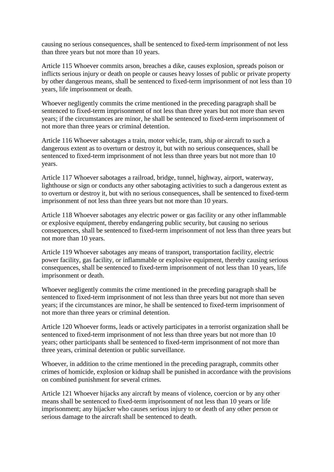causing no serious consequences, shall be sentenced to fixed-term imprisonment of not less than three years but not more than 10 years.

Article 115 Whoever commits arson, breaches a dike, causes explosion, spreads poison or inflicts serious injury or death on people or causes heavy losses of public or private property by other dangerous means, shall be sentenced to fixed-term imprisonment of not less than 10 years, life imprisonment or death.

Whoever negligently commits the crime mentioned in the preceding paragraph shall be sentenced to fixed-term imprisonment of not less than three years but not more than seven years; if the circumstances are minor, he shall be sentenced to fixed-term imprisonment of not more than three years or criminal detention.

Article 116 Whoever sabotages a train, motor vehicle, tram, ship or aircraft to such a dangerous extent as to overturn or destroy it, but with no serious consequences, shall be sentenced to fixed-term imprisonment of not less than three years but not more than 10 years.

Article 117 Whoever sabotages a railroad, bridge, tunnel, highway, airport, waterway, lighthouse or sign or conducts any other sabotaging activities to such a dangerous extent as to overturn or destroy it, but with no serious consequences, shall be sentenced to fixed-term imprisonment of not less than three years but not more than 10 years.

Article 118 Whoever sabotages any electric power or gas facility or any other inflammable or explosive equipment, thereby endangering public security, but causing no serious consequences, shall be sentenced to fixed-term imprisonment of not less than three years but not more than 10 years.

Article 119 Whoever sabotages any means of transport, transportation facility, electric power facility, gas facility, or inflammable or explosive equipment, thereby causing serious consequences, shall be sentenced to fixed-term imprisonment of not less than 10 years, life imprisonment or death.

Whoever negligently commits the crime mentioned in the preceding paragraph shall be sentenced to fixed-term imprisonment of not less than three years but not more than seven years; if the circumstances are minor, he shall be sentenced to fixed-term imprisonment of not more than three years or criminal detention.

Article 120 Whoever forms, leads or actively participates in a terrorist organization shall be sentenced to fixed-term imprisonment of not less than three years but not more than 10 years; other participants shall be sentenced to fixed-term imprisonment of not more than three years, criminal detention or public surveillance.

Whoever, in addition to the crime mentioned in the preceding paragraph, commits other crimes of homicide, explosion or kidnap shall be punished in accordance with the provisions on combined punishment for several crimes.

Article 121 Whoever hijacks any aircraft by means of violence, coercion or by any other means shall be sentenced to fixed-term imprisonment of not less than 10 years or life imprisonment; any hijacker who causes serious injury to or death of any other person or serious damage to the aircraft shall be sentenced to death.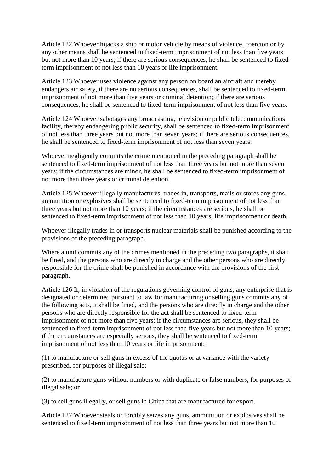Article 122 Whoever hijacks a ship or motor vehicle by means of violence, coercion or by any other means shall be sentenced to fixed-term imprisonment of not less than five years but not more than 10 years; if there are serious consequences, he shall be sentenced to fixedterm imprisonment of not less than 10 years or life imprisonment.

Article 123 Whoever uses violence against any person on board an aircraft and thereby endangers air safety, if there are no serious consequences, shall be sentenced to fixed-term imprisonment of not more than five years or criminal detention; if there are serious consequences, he shall be sentenced to fixed-term imprisonment of not less than five years.

Article 124 Whoever sabotages any broadcasting, television or public telecommunications facility, thereby endangering public security, shall be sentenced to fixed-term imprisonment of not less than three years but not more than seven years; if there are serious consequences, he shall be sentenced to fixed-term imprisonment of not less than seven years.

Whoever negligently commits the crime mentioned in the preceding paragraph shall be sentenced to fixed-term imprisonment of not less than three years but not more than seven years; if the circumstances are minor, he shall be sentenced to fixed-term imprisonment of not more than three years or criminal detention.

Article 125 Whoever illegally manufactures, trades in, transports, mails or stores any guns, ammunition or explosives shall be sentenced to fixed-term imprisonment of not less than three years but not more than 10 years; if the circumstances are serious, he shall be sentenced to fixed-term imprisonment of not less than 10 years, life imprisonment or death.

Whoever illegally trades in or transports nuclear materials shall be punished according to the provisions of the preceding paragraph.

Where a unit commits any of the crimes mentioned in the preceding two paragraphs, it shall be fined, and the persons who are directly in charge and the other persons who are directly responsible for the crime shall be punished in accordance with the provisions of the first paragraph.

Article 126 If, in violation of the regulations governing control of guns, any enterprise that is designated or determined pursuant to law for manufacturing or selling guns commits any of the following acts, it shall be fined, and the persons who are directly in charge and the other persons who are directly responsible for the act shall be sentenced to fixed-term imprisonment of not more than five years; if the circumstances are serious, they shall be sentenced to fixed-term imprisonment of not less than five years but not more than 10 years; if the circumstances are especially serious, they shall be sentenced to fixed-term imprisonment of not less than 10 years or life imprisonment:

(1) to manufacture or sell guns in excess of the quotas or at variance with the variety prescribed, for purposes of illegal sale;

(2) to manufacture guns without numbers or with duplicate or false numbers, for purposes of illegal sale; or

(3) to sell guns illegally, or sell guns in China that are manufactured for export.

Article 127 Whoever steals or forcibly seizes any guns, ammunition or explosives shall be sentenced to fixed-term imprisonment of not less than three years but not more than 10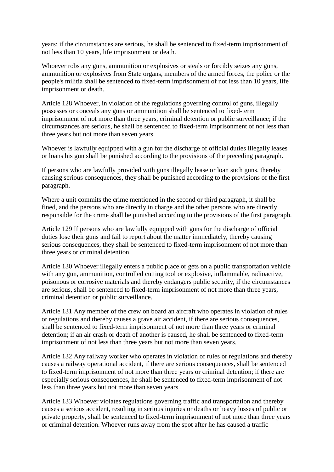years; if the circumstances are serious, he shall be sentenced to fixed-term imprisonment of not less than 10 years, life imprisonment or death.

Whoever robs any guns, ammunition or explosives or steals or forcibly seizes any guns, ammunition or explosives from State organs, members of the armed forces, the police or the people's militia shall be sentenced to fixed-term imprisonment of not less than 10 years, life imprisonment or death.

Article 128 Whoever, in violation of the regulations governing control of guns, illegally possesses or conceals any guns or ammunition shall be sentenced to fixed-term imprisonment of not more than three years, criminal detention or public surveillance; if the circumstances are serious, he shall be sentenced to fixed-term imprisonment of not less than three years but not more than seven years.

Whoever is lawfully equipped with a gun for the discharge of official duties illegally leases or loans his gun shall be punished according to the provisions of the preceding paragraph.

If persons who are lawfully provided with guns illegally lease or loan such guns, thereby causing serious consequences, they shall be punished according to the provisions of the first paragraph.

Where a unit commits the crime mentioned in the second or third paragraph, it shall be fined, and the persons who are directly in charge and the other persons who are directly responsible for the crime shall be punished according to the provisions of the first paragraph.

Article 129 If persons who are lawfully equipped with guns for the discharge of official duties lose their guns and fail to report about the matter immediately, thereby causing serious consequences, they shall be sentenced to fixed-term imprisonment of not more than three years or criminal detention.

Article 130 Whoever illegally enters a public place or gets on a public transportation vehicle with any gun, ammunition, controlled cutting tool or explosive, inflammable, radioactive, poisonous or corrosive materials and thereby endangers public security, if the circumstances are serious, shall be sentenced to fixed-term imprisonment of not more than three years, criminal detention or public surveillance.

Article 131 Any member of the crew on board an aircraft who operates in violation of rules or regulations and thereby causes a grave air accident, if there are serious consequences, shall be sentenced to fixed-term imprisonment of not more than three years or criminal detention; if an air crash or death of another is caused, he shall be sentenced to fixed-term imprisonment of not less than three years but not more than seven years.

Article 132 Any railway worker who operates in violation of rules or regulations and thereby causes a railway operational accident, if there are serious consequences, shall be sentenced to fixed-term imprisonment of not more than three years or criminal detention; if there are especially serious consequences, he shall be sentenced to fixed-term imprisonment of not less than three years but not more than seven years.

Article 133 Whoever violates regulations governing traffic and transportation and thereby causes a serious accident, resulting in serious injuries or deaths or heavy losses of public or private property, shall be sentenced to fixed-term imprisonment of not more than three years or criminal detention. Whoever runs away from the spot after he has caused a traffic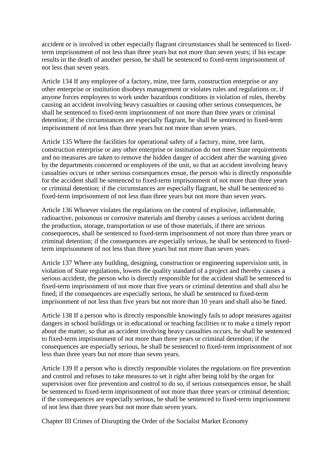accident or is involved in other especially flagrant circumstances shall be sentenced to fixedterm imprisonment of not less than three years but not more than seven years; if his escape results in the death of another person, he shall be sentenced to fixed-term imprisonment of not less than seven years.

Article 134 If any employee of a factory, mine, tree farm, construction enterprise or any other enterprise or institution disobeys management or violates rules and regulations or, if anyone forces employees to work under hazardous conditions in violation of rules, thereby causing an accident involving heavy casualties or causing other serious consequences, he shall be sentenced to fixed-term imprisonment of not more than three years or criminal detention; if the circumstances are especially flagrant, he shall be sentenced to fixed-term imprisonment of not less than three years but not more than seven years.

Article 135 Where the facilities for operational safety of a factory, mine, tree farm, construction enterprise or any other enterprise or institution do not meet State requirements and no measures are taken to remove the hidden danger of accident after the warning given by the departments concerned or employees of the unit, so that an accident involving heavy casualties occurs or other serious consequences ensue, the person who is directly responsible for the accident shall be sentenced to fixed-term imprisonment of not more than three years or criminal detention; if the circumstances are especially flagrant, he shall be sentenced to fixed-term imprisonment of not less than three years but not more than seven years.

Article 136 Whoever violates the regulations on the control of explosive, inflammable, radioactive, poisonous or corrosive materials and thereby causes a serious accident during the production, storage, transportation or use of those materials, if there are serious consequences, shall be sentenced to fixed-term imprisonment of not more than three years or criminal detention; if the consequences are especially serious, he shall be sentenced to fixedterm imprisonment of not less than three years but not more than seven years.

Article 137 Where any building, designing, construction or engineering supervision unit, in violation of State regulations, lowers the quality standard of a project and thereby causes a serious accident, the person who is directly responsible for the accident shall be sentenced to fixed-term imprisonment of not more than five years or criminal detention and shall also be fined; if the consequences are especially serious, he shall be sentenced to fixed-term imprisonment of not less than five years but not more than 10 years and shall also be fined.

Article 138 If a person who is directly responsible knowingly fails to adopt measures against dangers in school buildings or in educational or teaching facilities or to make a timely report about the matter, so that an accident involving heavy casualties occurs, he shall be sentenced to fixed-term imprisonment of not more than three years or criminal detention; if the consequences are especially serious, he shall be sentenced to fixed-term imprisonment of not less than three years but not more than seven years.

Article 139 If a person who is directly responsible violates the regulations on fire prevention and control and refuses to take measures to set it right after being told by the organ for supervision over fire prevention and control to do so, if serious consequences ensue, he shall be sentenced to fixed-term imprisonment of not more than three years or criminal detention; if the consequences are especially serious, he shall be sentenced to fixed-term imprisonment of not less than three years but not more than seven years.

Chapter III Crimes of Disrupting the Order of the Socialist Market Economy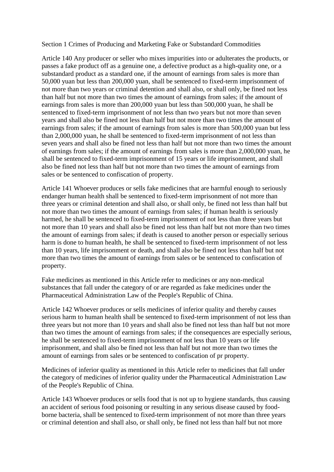Section 1 Crimes of Producing and Marketing Fake or Substandard Commodities

Article 140 Any producer or seller who mixes impurities into or adulterates the products, or passes a fake product off as a genuine one, a defective product as a high-quality one, or a substandard product as a standard one, if the amount of earnings from sales is more than 50,000 yuan but less than 200,000 yuan, shall be sentenced to fixed-term imprisonment of not more than two years or criminal detention and shall also, or shall only, be fined not less than half but not more than two times the amount of earnings from sales; if the amount of earnings from sales is more than 200,000 yuan but less than 500,000 yuan, he shall be sentenced to fixed-term imprisonment of not less than two years but not more than seven years and shall also be fined not less than half but not more than two times the amount of earnings from sales; if the amount of earnings from sales is more than 500,000 yuan but less than 2,000,000 yuan, he shall be sentenced to fixed-term imprisonment of not less than seven years and shall also be fined not less than half but not more than two times the amount of earnings from sales; if the amount of earnings from sales is more than 2,000,000 yuan, he shall be sentenced to fixed-term imprisonment of 15 years or life imprisonment, and shall also be fined not less than half but not more than two times the amount of earnings from sales or be sentenced to confiscation of property.

Article 141 Whoever produces or sells fake medicines that are harmful enough to seriously endanger human health shall be sentenced to fixed-term imprisonment of not more than three years or criminal detention and shall also, or shall only, be fined not less than half but not more than two times the amount of earnings from sales; if human health is seriously harmed, he shall be sentenced to fixed-term imprisonment of not less than three years but not more than 10 years and shall also be fined not less than half but not more than two times the amount of earnings from sales; if death is caused to another person or especially serious harm is done to human health, he shall be sentenced to fixed-term imprisonment of not less than 10 years, life imprisonment or death, and shall also be fined not less than half but not more than two times the amount of earnings from sales or be sentenced to confiscation of property.

Fake medicines as mentioned in this Article refer to medicines or any non-medical substances that fall under the category of or are regarded as fake medicines under the Pharmaceutical Administration Law of the People's Republic of China.

Article 142 Whoever produces or sells medicines of inferior quality and thereby causes serious harm to human health shall be sentenced to fixed-term imprisonment of not less than three years but not more than 10 years and shall also be fined not less than half but not more than two times the amount of earnings from sales; if the consequences are especially serious, he shall be sentenced to fixed-term imprisonment of not less than 10 years or life imprisonment, and shall also be fined not less than half but not more than two times the amount of earnings from sales or be sentenced to confiscation of pr property.

Medicines of inferior quality as mentioned in this Article refer to medicines that fall under the category of medicines of inferior quality under the Pharmaceutical Administration Law of the People's Republic of China.

Article 143 Whoever produces or sells food that is not up to hygiene standards, thus causing an accident of serious food poisoning or resulting in any serious disease caused by foodborne bacteria, shall be sentenced to fixed-term imprisonment of not more than three years or criminal detention and shall also, or shall only, be fined not less than half but not more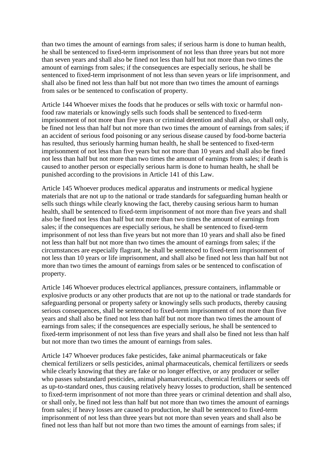than two times the amount of earnings from sales; if serious harm is done to human health, he shall be sentenced to fixed-term imprisonment of not less than three years but not more than seven years and shall also be fined not less than half but not more than two times the amount of earnings from sales; if the consequences are especially serious, he shall be sentenced to fixed-term imprisonment of not less than seven years or life imprisonment, and shall also be fined not less than half but not more than two times the amount of earnings from sales or be sentenced to confiscation of property.

Article 144 Whoever mixes the foods that he produces or sells with toxic or harmful nonfood raw materials or knowingly sells such foods shall be sentenced to fixed-term imprisonment of not more than five years or criminal detention and shall also, or shall only, be fined not less than half but not more than two times the amount of earnings from sales; if an accident of serious food poisoning or any serious disease caused by food-borne bacteria has resulted, thus seriously harming human health, he shall be sentenced to fixed-term imprisonment of not less than five years but not more than 10 years and shall also be fined not less than half but not more than two times the amount of earnings from sales; if death is caused to another person or especially serious harm is done to human health, he shall be punished according to the provisions in Article 141 of this Law.

Article 145 Whoever produces medical apparatus and instruments or medical hygiene materials that are not up to the national or trade standards for safeguarding human health or sells such things while clearly knowing the fact, thereby causing serious harm to human health, shall be sentenced to fixed-term imprisonment of not more than five years and shall also be fined not less than half but not more than two times the amount of earnings from sales; if the consequences are especially serious, he shall be sentenced to fixed-term imprisonment of not less than five years but not more than 10 years and shall also be fined not less than half but not more than two times the amount of earnings from sales; if the circumstances are especially flagrant, he shall be sentenced to fixed-term imprisonment of not less than 10 years or life imprisonment, and shall also be fined not less than half but not more than two times the amount of earnings from sales or be sentenced to confiscation of property.

Article 146 Whoever produces electrical appliances, pressure containers, inflammable or explosive products or any other products that are not up to the national or trade standards for safeguarding personal or property safety or knowingly sells such products, thereby causing serious consequences, shall be sentenced to fixed-term imprisonment of not more than five years and shall also be fined not less than half but not more than two times the amount of earnings from sales; if the consequences are especially serious, he shall be sentenced to fixed-term imprisonment of not less than five years and shall also be fined not less than half but not more than two times the amount of earnings from sales.

Article 147 Whoever produces fake pesticides, fake animal pharmaceuticals or fake chemical fertilizers or sells pesticides, animal pharmaceuticals, chemical fertilizers or seeds while clearly knowing that they are fake or no longer effective, or any producer or seller who passes substandard pesticides, animal phamarceuticals, chemical fertilizers or seeds off as up-to-standard ones, thus causing relatively heavy losses to production, shall be sentenced to fixed-term imprisonment of not more than three years or criminal detention and shall also, or shall only, be fined not less than half but not more than two times the amount of earnings from sales; if heavy losses are caused to production, he shall be sentenced to fixed-term imprisonment of not less than three years but not more than seven years and shall also be fined not less than half but not more than two times the amount of earnings from sales; if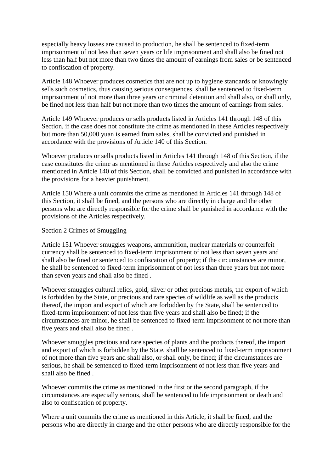especially heavy losses are caused to production, he shall be sentenced to fixed-term imprisonment of not less than seven years or life imprisonment and shall also be fined not less than half but not more than two times the amount of earnings from sales or be sentenced to confiscation of property.

Article 148 Whoever produces cosmetics that are not up to hygiene standards or knowingly sells such cosmetics, thus causing serious consequences, shall be sentenced to fixed-term imprisonment of not more than three years or criminal detention and shall also, or shall only, be fined not less than half but not more than two times the amount of earnings from sales.

Article 149 Whoever produces or sells products listed in Articles 141 through 148 of this Section, if the case does not constitute the crime as mentioned in these Articles respectively but more than 50,000 yuan is earned from sales, shall be convicted and punished in accordance with the provisions of Article 140 of this Section.

Whoever produces or sells products listed in Articles 141 through 148 of this Section, if the case constitutes the crime as mentioned in these Articles respectively and also the crime mentioned in Article 140 of this Section, shall be convicted and punished in accordance with the provisions for a heavier punishment.

Article 150 Where a unit commits the crime as mentioned in Articles 141 through 148 of this Section, it shall be fined, and the persons who are directly in charge and the other persons who are directly responsible for the crime shall be punished in accordance with the provisions of the Articles respectively.

### Section 2 Crimes of Smuggling

Article 151 Whoever smuggles weapons, ammunition, nuclear materials or counterfeit currency shall be sentenced to fixed-term imprisonment of not less than seven years and shall also be fined or sentenced to confiscation of property; if the circumstances are minor, he shall be sentenced to fixed-term imprisonment of not less than three years but not more than seven years and shall also be fined .

Whoever smuggles cultural relics, gold, silver or other precious metals, the export of which is forbidden by the State, or precious and rare species of wildlife as well as the products thereof, the import and export of which are forbidden by the State, shall be sentenced to fixed-term imprisonment of not less than five years and shall also be fined; if the circumstances are minor, he shall be sentenced to fixed-term imprisonment of not more than five years and shall also be fined .

Whoever smuggles precious and rare species of plants and the products thereof, the import and export of which is forbidden by the State, shall be sentenced to fixed-term imprisonment of not more than five years and shall also, or shall only, be fined; if the circumstances are serious, he shall be sentenced to fixed-term imprisonment of not less than five years and shall also be fined .

Whoever commits the crime as mentioned in the first or the second paragraph, if the circumstances are especially serious, shall be sentenced to life imprisonment or death and also to confiscation of property.

Where a unit commits the crime as mentioned in this Article, it shall be fined, and the persons who are directly in charge and the other persons who are directly responsible for the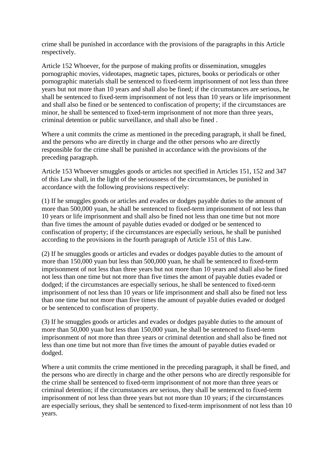crime shall be punished in accordance with the provisions of the paragraphs in this Article respectively.

Article 152 Whoever, for the purpose of making profits or dissemination, smuggles pornographic movies, videotapes, magnetic tapes, pictures, books or periodicals or other pornographic materials shall be sentenced to fixed-term imprisonment of not less than three years but not more than 10 years and shall also be fined; if the circumstances are serious, he shall be sentenced to fixed-term imprisonment of not less than 10 years or life imprisonment and shall also be fined or be sentenced to confiscation of property; if the circumstances are minor, he shall be sentenced to fixed-term imprisonment of not more than three years, criminal detention or public surveillance, and shall also be fined .

Where a unit commits the crime as mentioned in the preceding paragraph, it shall be fined, and the persons who are directly in charge and the other persons who are directly responsible for the crime shall be punished in accordance with the provisions of the preceding paragraph.

Article 153 Whoever smuggles goods or articles not specified in Articles 151, 152 and 347 of this Law shall, in the light of the seriousness of the circumstances, be punished in accordance with the following provisions respectively:

(1) If he smuggles goods or articles and evades or dodges payable duties to the amount of more than 500,000 yuan, he shall be sentenced to fixed-term imprisonment of not less than 10 years or life imprisonment and shall also be fined not less than one time but not more than five times the amount of payable duties evaded or dodged or be sentenced to confiscation of property; if the circumstances are especially serious, he shall be punished according to the provisions in the fourth paragraph of Article 151 of this Law.

(2) If he smuggles goods or articles and evades or dodges payable duties to the amount of more than 150,000 yuan but less than 500,000 yuan, he shall be sentenced to fixed-term imprisonment of not less than three years but not more than 10 years and shall also be fined not less than one time but not more than five times the amont of payable duties evaded or dodged; if the circumstances are especially serious, he shall be sentenced to fixed-term imprisonment of not less than 10 years or life imprisonment and shall also be fined not less than one time but not more than five times the amount of payable duties evaded or dodged or be sentenced to confiscation of property.

(3) If he smuggles goods or articles and evades or dodges payable duties to the amount of more than 50,000 yuan but less than 150,000 yuan, he shall be sentenced to fixed-term imprisonment of not more than three years or criminal detention and shall also be fined not less than one time but not more than five times the amount of payable duties evaded or dodged.

Where a unit commits the crime mentioned in the preceding paragraph, it shall be fined, and the persons who are directly in charge and the other persons who are directly responsible for the crime shall be sentenced to fixed-term imprisonment of not more than three years or criminal detention; if the circumstances are serious, they shall be sentenced to fixed-term imprisonment of not less than three years but not more than 10 years; if the circumstances are especially serious, they shall be sentenced to fixed-term imprisonment of not less than 10 years.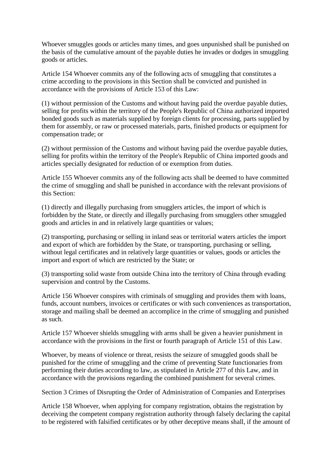Whoever smuggles goods or articles many times, and goes unpunished shall be punished on the basis of the cumulative amount of the payable duties he invades or dodges in smuggling goods or articles.

Article 154 Whoever commits any of the following acts of smuggling that constitutes a crime according to the provisions in this Section shall be convicted and punished in accordance with the provisions of Article 153 of this Law:

(1) without permission of the Customs and without having paid the overdue payable duties, selling for profits within the territory of the People's Republic of China authorized imported bonded goods such as materials supplied by foreign clients for processing, parts supplied by them for assembly, or raw or processed materials, parts, finished products or equipment for compensation trade; or

(2) without permission of the Customs and without having paid the overdue payable duties, selling for profits within the territory of the People's Republic of China imported goods and articles specially designated for reduction of or exemption from duties.

Article 155 Whoever commits any of the following acts shall be deemed to have committed the crime of smuggling and shall be punished in accordance with the relevant provisions of this Section:

(1) directly and illegally purchasing from smugglers articles, the import of which is forbidden by the State, or directly and illegally purchasing from smugglers other smuggled goods and articles in and in relatively large quantities or values;

(2) transporting, purchasing or selling in inland seas or territorial waters articles the import and export of which are forbidden by the State, or transporting, purchasing or selling, without legal certificates and in relatively large quantities or values, goods or articles the import and export of which are restricted by the State; or

(3) transporting solid waste from outside China into the territory of China through evading supervision and control by the Customs.

Article 156 Whoever conspires with criminals of smuggling and provides them with loans, funds, account numbers, invoices or certificates or with such conveniences as transportation, storage and mailing shall be deemed an accomplice in the crime of smuggling and punished as such.

Article 157 Whoever shields smuggling with arms shall be given a heavier punishment in accordance with the provisions in the first or fourth paragraph of Article 151 of this Law.

Whoever, by means of violence or threat, resists the seizure of smuggled goods shall be punished for the crime of smuggling and the crime of preventing State functionaries from performing their duties according to law, as stipulated in Article 277 of this Law, and in accordance with the provisions regarding the combined punishment for several crimes.

Section 3 Crimes of Disrupting the Order of Administration of Companies and Enterprises

Article 158 Whoever, when applying for company registration, obtains the registration by deceiving the competent company registration authority through falsely declaring the capital to be registered with falsified certificates or by other deceptive means shall, if the amount of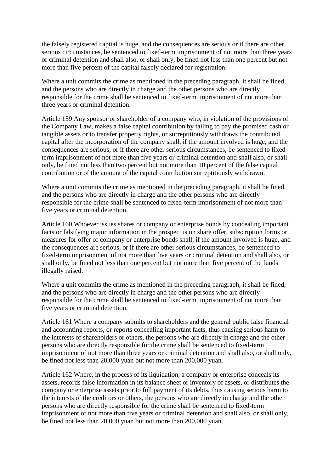the falsely registered capital is huge, and the consequences are serious or if there are other serious circumstances, be sentenced to fixed-term imprisonment of not more than three years or criminal detention and shall also, or shall only, be fined not less than one percent but not more than five percent of the capital falsely declared for registration.

Where a unit commits the crime as mentioned in the preceding paragraph, it shall be fined, and the persons who are directly in charge and the other persons who are directly responsible for the crime shall be sentenced to fixed-term imprisonment of not more than three years or criminal detention.

Article 159 Any sponsor or shareholder of a company who, in violation of the provisions of the Company Law, makes a false capital contribution by failing to pay the promised cash or tangible assets or to transfer property rights, or surreptitiously withdraws the contributed capital after the incorporation of the company shall, if the amount involved is huge, and the consequences are serious, or if there are other serious circumstances, be sentenced to fixedterm imprisonment of not more than five years or criminal detention and shall also, or shall only, be fined not less than two percent but not more than 10 percent of the false capital contribution or of the amount of the capital contribution surreptitiously withdrawn.

Where a unit commits the crime as mentioned in the preceding paragraph, it shall be fined, and the persons who are directly in charge and the other persons who are directly responsible for the crime shall be sentenced to fixed-term imprisonment of not more than five years or criminal detention.

Article 160 Whoever issues shares or company or enterprise bonds by concealing important facts or falsifying major information in the prospectus on share offer, subscription forms or measures for offer of company or enterprise bonds shall, if the amount involved is huge, and the consequences are serious, or if there are other serious circumstances, be sentenced to fixed-term imprisonment of not more than five years or criminal detention and shall also, or shall only, be fined not less than one percent but not more than five percent of the funds illegally raised.

Where a unit commits the crime as mentioned in the preceding paragraph, it shall be fined, and the persons who are directly in charge and the other persons who are directly responsible for the crime shall be sentenced to fixed-term imprisonment of not more than five years or criminal detention.

Article 161 Where a company submits to shareholders and the general public false financial and accounting reports, or reports concealing important facts, thus causing serious harm to the interests of shareholders or others, the persons who are directly in charge and the other persons who are directly responsible for the crime shall be sentenced to fixed-term imprisonment of not more than three years or criminal detention and shall also, or shall only, be fined not less than 20,000 yuan but not more than 200,000 yuan.

Article 162 Where, in the process of its liquidation, a company or enterprise conceals its assets, records false information in its balance sheet or inventory of assets, or distributes the company or enterprise assets prior to full payment of its debts, thus causing serious harm to the interests of the creditors or others, the persons who are directly in charge and the other persons who are directly responsible for the crime shall be sentenced to fixed-term imprisonment of not more than five years or criminal detention and shall also, or shall only, be fined not less than 20,000 yuan but not more than 200,000 yuan.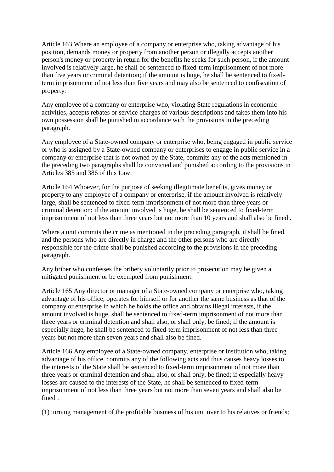Article 163 Where an employee of a company or enterprise who, taking advantage of his position, demands money or property from another person or illegally accepts another person's money or property in return for the benefits he seeks for such person, if the amount involved is relatively large, he shall be sentenced to fixed-term imprisonment of not more than five years or criminal detention; if the amount is huge, he shall be sentenced to fixedterm imprisonment of not less than five years and may also be sentenced to confiscation of property.

Any employee of a company or enterprise who, violating State regulations in economic activities, accepts rebates or service charges of various descriptions and takes them into his own possession shall be punished in accordance with the provisions in the preceding paragraph.

Any employee of a State-owned company or enterprise who, being engaged in public service or who is assigned by a State-owned company or enterprises to engage in public service in a company or enterprise that is not owned by the State, commits any of the acts mentioned in the preceding two paragraphs shall be convicted and punished according to the provisions in Articles 385 and 386 of this Law.

Article 164 Whoever, for the purpose of seeking illegitimate benefits, gives money or property to any employee of a company or enterprise, if the amount involved is relatively large, shall be sentenced to fixed-term imprisonment of not more than three years or criminal detention; if the amount involved is huge, he shall be sentenced to fixed-term imprisonment of not less than three years but not more than 10 years and shall also be fined .

Where a unit commits the crime as mentioned in the preceding paragraph, it shall be fined, and the persons who are directly in charge and the other persons who are directly responsible for the crime shall be punished according to the provisions in the preceding paragraph.

Any briber who confesses the bribery voluntarily prior to prosecution may be given a mitigated punishment or be exempted from punishment.

Article 165 Any director or manager of a State-owned company or enterprise who, taking advantage of his office, operates for himself or for another the same business as that of the company or enterprise in which he holds the office and obtains illegal interests, if the amount involved is huge, shall be sentenced to fixed-term imprisonment of not more than three years or criminal detention and shall also, or shall only, be fined; if the amount is especially huge, he shall be sentenced to fixed-term imprisonment of not less than three years but not more than seven years and shall also be fined.

Article 166 Any employee of a State-owned company, enterprise or institution who, taking advantage of his office, commits any of the following acts and thus causes heavy losses to the interests of the State shall be sentenced to fixed-term imprisonment of not more than three years or criminal detention and shall also, or shall only, be fined; if especially heavy losses are caused to the interests of the State, he shall be sentenced to fixed-term imprisonment of not less than three years but not more than seven years and shall also be fined :

(1) turning management of the profitable business of his unit over to his relatives or friends;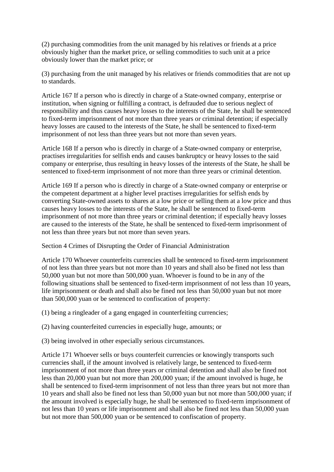(2) purchasing commodities from the unit managed by his relatives or friends at a price obviously higher than the market price, or selling commodities to such unit at a price obviously lower than the market price; or

(3) purchasing from the unit managed by his relatives or friends commodities that are not up to standards.

Article 167 If a person who is directly in charge of a State-owned company, enterprise or institution, when signing or fulfilling a contract, is defrauded due to serious neglect of responsibility and thus causes heavy losses to the interests of the State, he shall be sentenced to fixed-term imprisonment of not more than three years or criminal detention; if especially heavy losses are caused to the interests of the State, he shall be sentenced to fixed-term imprisonment of not less than three years but not more than seven years.

Article 168 If a person who is directly in charge of a State-owned company or enterprise, practises irregularities for selfish ends and causes bankruptcy or heavy losses to the said company or enterprise, thus resulting in heavy losses of the interests of the State, he shall be sentenced to fixed-term imprisonment of not more than three years or criminal detention.

Article 169 If a person who is directly in charge of a State-owned company or enterprise or the competent department at a higher level practises irregularities for selfish ends by converting State-owned assets to shares at a low price or selling them at a low price and thus causes heavy losses to the interests of the State, he shall be sentenced to fixed-term imprisonment of not more than three years or criminal detention; if especially heavy losses are caused to the interests of the State, he shall be sentenced to fixed-term imprisonment of not less than three years but not more than seven years.

Section 4 Crimes of Disrupting the Order of Financial Administration

Article 170 Whoever counterfeits currencies shall be sentenced to fixed-term imprisonment of not less than three years but not more than 10 years and shall also be fined not less than 50,000 yuan but not more than 500,000 yuan. Whoever is found to be in any of the following situations shall be sentenced to fixed-term imprisonment of not less than 10 years, life imprisonment or death and shall also be fined not less than 50,000 yuan but not more than 500,000 yuan or be sentenced to confiscation of property:

(1) being a ringleader of a gang engaged in counterfeiting currencies;

(2) having counterfeited currencies in especially huge, amounts; or

(3) being involved in other especially serious circumstances.

Article 171 Whoever sells or buys counterfeit currencies or knowingly transports such currencies shall, if the amount involved is relatively large, be sentenced to fixed-term imprisonment of not more than three years or criminal detention and shall also be fined not less than 20,000 yuan but not more than 200,000 yuan; if the amount involved is huge, he shall be sentenced to fixed-term imprisonment of not less than three years but not more than 10 years and shall also be fined not less than 50,000 yuan but not more than 500,000 yuan; if the amount involved is especially huge, he shall be sentenced to fixed-term imprisonment of not less than 10 years or life imprisonment and shall also be fined not less than 50,000 yuan but not more than 500,000 yuan or be sentenced to confiscation of property.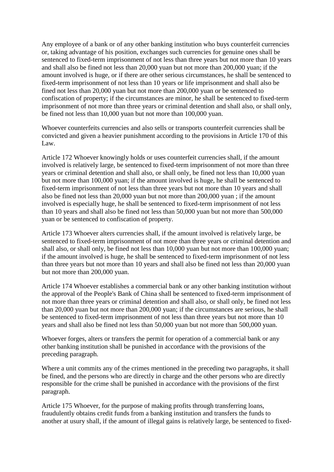Any employee of a bank or of any other banking institution who buys counterfeit currencies or, taking advantage of his position, exchanges such currencies for genuine ones shall be sentenced to fixed-term imprisonment of not less than three years but not more than 10 years and shall also be fined not less than 20,000 yuan but not more than 200,000 yuan; if the amount involved is huge, or if there are other serious circumstances, he shall be sentenced to fixed-term imprisonment of not less than 10 years or life imprisonment and shall also be fined not less than 20,000 yuan but not more than 200,000 yuan or be sentenced to confiscation of property; if the circumstances are minor, he shall be sentenced to fixed-term imprisonment of not more than three years or criminal detention and shall also, or shall only, be fined not less than 10,000 yuan but not more than 100,000 yuan.

Whoever counterfeits currencies and also sells or transports counterfeit currencies shall be convicted and given a heavier punishment according to the provisions in Article 170 of this Law.

Article 172 Whoever knowingly holds or uses counterfeit currencies shall, if the amount involved is relatively large, be sentenced to fixed-term imprisonment of not more than three years or criminal detention and shall also, or shall only, be fined not less than 10,000 yuan but not more than 100,000 yuan; if the amount involved is huge, he shall be sentenced to fixed-term imprisonment of not less than three years but not more than 10 years and shall also be fined not less than 20,000 yuan but not more than 200,000 yuan ; if the amount involved is especially huge, he shall be sentenced to fixed-term imprisonment of not less than 10 years and shall also be fined not less than 50,000 yuan but not more than 500,000 yuan or be sentenced to confiscation of property.

Article 173 Whoever alters currencies shall, if the amount involved is relatively large, be sentenced to fixed-term imprisonment of not more than three years or criminal detention and shall also, or shall only, be fined not less than 10,000 yuan but not more than 100,000 yuan; if the amount involved is huge, he shall be sentenced to fixed-term imprisonment of not less than three years but not more than 10 years and shall also be fined not less than 20,000 yuan but not more than 200,000 yuan.

Article 174 Whoever establishes a commercial bank or any other banking institution without the approval of the People's Bank of China shall be sentenced to fixed-term imprisonment of not more than three years or criminal detention and shall also, or shall only, be fined not less than 20,000 yuan but not more than 200,000 yuan; if the circumstances are serious, he shall be sentenced to fixed-term imprisonment of not less than three years but not more than 10 years and shall also be fined not less than 50,000 yuan but not more than 500,000 yuan.

Whoever forges, alters or transfers the permit for operation of a commercial bank or any other banking institution shall be punished in accordance with the provisions of the preceding paragraph.

Where a unit commits any of the crimes mentioned in the preceding two paragraphs, it shall be fined, and the persons who are directly in charge and the other persons who are directly responsible for the crime shall be punished in accordance with the provisions of the first paragraph.

Article 175 Whoever, for the purpose of making profits through transferring loans, fraudulently obtains credit funds from a banking institution and transfers the funds to another at usury shall, if the amount of illegal gains is relatively large, be sentenced to fixed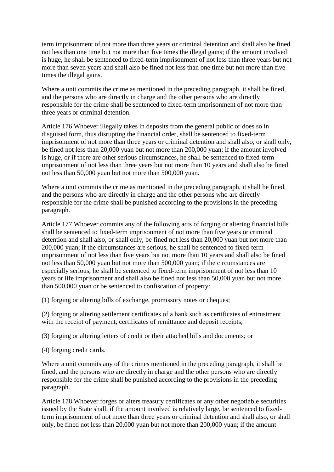term imprisonment of not more than three years or criminal detention and shall also be fined not less than one time but not more than five times the illegal gains; if the amount involved is huge, he shall be sentenced to fixed-term imprisonment of not less than three years but not more than seven years and shall also be fined not less than one time but not more than five times the illegal gains.

Where a unit commits the crime as mentioned in the preceding paragraph, it shall be fined, and the persons who are directly in charge and the other persons who are directly responsible for the crime shall be sentenced to fixed-term imprisonment of not more than three years or criminal detention.

Article 176 Whoever illegally takes in deposits from the general public or does so in disguised form, thus disrupting the financial order, shall be sentenced to fixed-term imprisonment of not more than three years or criminal detention and shall also, or shall only, be fined not less than 20,000 yuan but not more than 200,000 yuan; if the amount involved is huge, or if there are other serious circumstances, he shall be sentenced to fixed-term imprisonment of not less than three years but not more than 10 years and shall also be fined not less than 50,000 yuan but not more than 500,000 yuan.

Where a unit commits the crime as mentioned in the preceding paragraph, it shall be fined, and the persons who are directly in charge and the other persons who are directly responsible for the crime shall be punished according to the provisions in the preceding paragraph.

Article 177 Whoever commits any of the following acts of forging or altering financial bills shall be sentenced to fixed-term imprisonment of not more than five years or criminal detention and shall also, or shall only, be fined not less than 20,000 yuan but not more than 200,000 yuan; if the circumstances are serious, he shall be sentenced to fixed-term imprisonment of not less than five years but not more than 10 years and shall also be fined not less than 50,000 yuan but not more than 500,000 yuan; if the circumstances are especially serious, he shall be sentenced to fixed-term imprisonment of not less than 10 years or life imprisonment and shall also be fined not less than 50,000 yuan but not more than 500,000 yuan or be sentenced to confiscation of property:

(1) forging or altering bills of exchange, promissory notes or cheques;

(2) forging or altering settlement certificates of a bank such as certificates of entrustment with the receipt of payment, certificates of remittance and deposit receipts;

(3) forging or altering letters of credit or their attached bills and documents; or

(4) forging credit cards.

Where a unit commits any of the crimes mentioned in the preceding paragraph, it shall be fined, and the persons who are directly in charge and the other persons who are directly responsible for the crime shall be punished according to the provisions in the preceding paragraph.

Article 178 Whoever forges or alters treasury certificates or any other negotiable securities issued by the State shall, if the amount involved is relatively large, be sentenced to fixedterm imprisonment of not more than three years or criminal detention and shall also, or shall only, be fined not less than 20,000 yuan but not more than 200,000 yuan; if the amount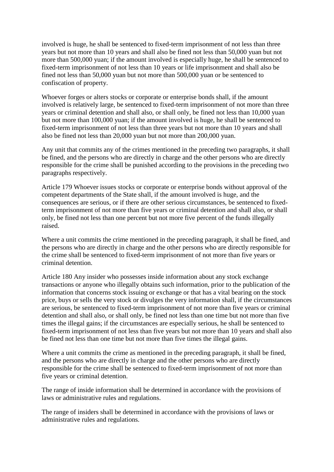involved is huge, he shall be sentenced to fixed-term imprisonment of not less than three years but not more than 10 years and shall also be fined not less than 50,000 yuan but not more than 500,000 yuan; if the amount involved is especially huge, he shall be sentenced to fixed-term imprisonment of not less than 10 years or life imprisonment and shall also be fined not less than 50,000 yuan but not more than 500,000 yuan or be sentenced to confiscation of property.

Whoever forges or alters stocks or corporate or enterprise bonds shall, if the amount involved is relatively large, be sentenced to fixed-term imprisonment of not more than three years or criminal detention and shall also, or shall only, be fined not less than 10,000 yuan but not more than 100,000 yuan; if the amount involved is huge, he shall be sentenced to fixed-term imprisonment of not less than three years but not more than 10 years and shall also be fined not less than 20,000 yuan but not more than 200,000 yuan.

Any unit that commits any of the crimes mentioned in the preceding two paragraphs, it shall be fined, and the persons who are directly in charge and the other persons who are directly responsible for the crime shall be punished according to the provisions in the preceding two paragraphs respectively.

Article 179 Whoever issues stocks or corporate or enterprise bonds without approval of the competent departments of the State shall, if the amount involved is huge, and the consequences are serious, or if there are other serious circumstances, be sentenced to fixedterm imprisonment of not more than five years or criminal detention and shall also, or shall only, be fined not less than one percent but not more five percent of the funds illegally raised.

Where a unit commits the crime mentioned in the preceding paragraph, it shall be fined, and the persons who are directly in charge and the other persons who are directly responsible for the crime shall be sentenced to fixed-term imprisonment of not more than five years or criminal detention.

Article 180 Any insider who possesses inside information about any stock exchange transactions or anyone who illegally obtains such information, prior to the publication of the information that concerns stock issuing or exchange or that has a vital bearing on the stock price, buys or sells the very stock or divulges the very information shall, if the circumstances are serious, be sentenced to fixed-term imprisonment of not more than five years or criminal detention and shall also, or shall only, be fined not less than one time but not more than five times the illegal gains; if the circumstances are especially serious, he shall be sentenced to fixed-term imprisonment of not less than five years but not more than 10 years and shall also be fined not less than one time but not more than five times the illegal gains.

Where a unit commits the crime as mentioned in the preceding paragraph, it shall be fined, and the persons who are directly in charge and the other persons who are directly responsible for the crime shall be sentenced to fixed-term imprisonment of not more than five years or criminal detention.

The range of inside information shall be determined in accordance with the provisions of laws or administrative rules and regulations.

The range of insiders shall be determined in accordance with the provisions of laws or administrative rules and regulations.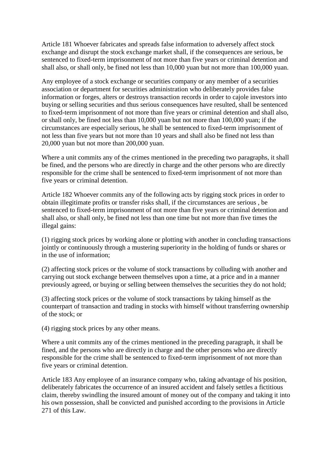Article 181 Whoever fabricates and spreads false information to adversely affect stock exchange and disrupt the stock exchange market shall, if the consequences are serious, be sentenced to fixed-term imprisonment of not more than five years or criminal detention and shall also, or shall only, be fined not less than 10,000 yuan but not more than 100,000 yuan.

Any employee of a stock exchange or securities company or any member of a securities association or department for securities administration who deliberately provides false information or forges, alters or destroys transaction records in order to cajole investors into buying or selling securities and thus serious consequences have resulted, shall be sentenced to fixed-term imprisonment of not more than five years or criminal detention and shall also, or shall only, be fined not less than 10,000 yuan but not more than 100,000 yuan; if the circumstances are especially serious, he shall be sentenced to fixed-term imprisonment of not less than five years but not more than 10 years and shall also be fined not less than 20,000 yuan but not more than 200,000 yuan.

Where a unit commits any of the crimes mentioned in the preceding two paragraphs, it shall be fined, and the persons who are directly in charge and the other persons who are directly responsible for the crime shall be sentenced to fixed-term imprisonment of not more than five years or criminal detention.

Article 182 Whoever commits any of the following acts by rigging stock prices in order to obtain illegitimate profits or transfer risks shall, if the circumstances are serious , be sentenced to fixed-term imprisonment of not more than five years or criminal detention and shall also, or shall only, be fined not less than one time but not more than five times the illegal gains:

(1) rigging stock prices by working alone or plotting with another in concluding transactions jointly or continuously through a mustering superiority in the holding of funds or shares or in the use of information;

(2) affecting stock prices or the volume of stock transactions by colluding with another and carrying out stock exchange between themselves upon a time, at a price and in a manner previously agreed, or buying or selling between themselves the securities they do not hold;

(3) affecting stock prices or the volume of stock transactions by taking himself as the counterpart of transaction and trading in stocks with himself without transferring ownership of the stock; or

(4) rigging stock prices by any other means.

Where a unit commits any of the crimes mentioned in the preceding paragraph, it shall be fined, and the persons who are directly in charge and the other persons who are directly responsible for the crime shall be sentenced to fixed-term imprisonment of not more than five years or criminal detention.

Article 183 Any employee of an insurance company who, taking advantage of his position, deliberately fabricates the occurrence of an insured accident and falsely settles a fictitious claim, thereby swindling the insured amount of money out of the company and taking it into his own possession, shall be convicted and punished according to the provisions in Article 271 of this Law.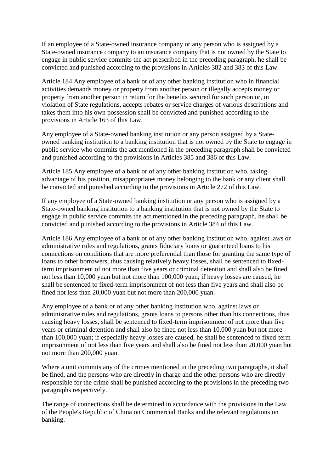If an employee of a State-owned insurance company or any person who is assigned by a State-owned insurance company to an insurance company that is not owned by the State to engage in public service commits the act prescribed in the preceding paragraph, he shall be convicted and punished according to the provisions in Articles 382 and 383 of this Law.

Article 184 Any employee of a bank or of any other banking institution who in financial activities demands money or property from another person or illegally accepts money or property from another person in return for the benefits secured for such person or, in violation of State regulations, accepts rebates or service charges of various descriptions and takes them into his own possession shall be convicted and punished according to the provisions in Article 163 of this Law.

Any employee of a State-owned banking institution or any person assigned by a Stateowned banking institution to a banking institution that is not owned by the State to engage in public service who commits the act mentioned in the preceding paragraph shall be convicted and punished according to the provisions in Articles 385 and 386 of this Law.

Article 185 Any employee of a bank or of any other banking institution who, taking advantage of his position, misappropriates money belonging to the bank or any client shall be convicted and punished according to the provisions in Article 272 of this Law.

If any employee of a State-owned banking institution or any person who is assigned by a State-owned banking institution to a banking institution that is not owned by the State to engage in public service commits the act mentioned in the preceding paragraph, he shall be convicted and punished according to the provisions in Article 384 of this Law.

Article 186 Any employee of a bank or of any other banking institution who, against laws or administrative rules and regulations, grants fiduciary loans or guaranteed loans to his connections on conditions that are more preferential than those for granting the same type of loans to other borrowers, thus causing relatively heavy losses, shall be sentenced to fixedterm imprisonment of not more than five years or criminal detention and shall also be fined not less than 10,000 yuan but not more than 100,000 yuan; if heavy losses are caused, he shall be sentenced to fixed-term imprisonment of not less than five years and shall also be fined not less than 20,000 yuan but not more than 200,000 yuan.

Any employee of a bank or of any other banking institution who, against laws or administrative rules and regulations, grants loans to persons other than his connections, thus causing heavy losses, shall be sentenced to fixed-term imprisonment of not more than five years or criminal detention and shall also be fined not less than 10,000 yuan but not more than 100,000 yuan; if especially heavy losses are caused, he shall be sentenced to fixed-term imprisonment of not less than five years and shall also be fined not less than 20,000 yuan but not more than 200,000 yuan.

Where a unit commits any of the crimes mentioned in the preceding two paragraphs, it shall be fined, and the persons who are directly in charge and the other persons who are directly responsible for the crime shall be punished according to the provisions in the preceding two paragraphs respectively.

The range of connections shall be determined in accordance with the provisions in the Law of the People's Republic of China on Commercial Banks and the relevant regulations on banking.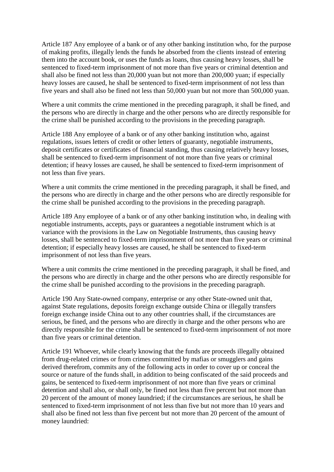Article 187 Any employee of a bank or of any other banking institution who, for the purpose of making profits, illegally lends the funds he absorbed from the clients instead of entering them into the account book, or uses the funds as loans, thus causing heavy losses, shall be sentenced to fixed-term imprisonment of not more than five years or criminal detention and shall also be fined not less than 20,000 yuan but not more than 200,000 yuan; if especially heavy losses are caused, he shall be sentenced to fixed-term imprisonment of not less than five years and shall also be fined not less than 50,000 yuan but not more than 500,000 yuan.

Where a unit commits the crime mentioned in the preceding paragraph, it shall be fined, and the persons who are directly in charge and the other persons who are directly responsible for the crime shall be punished according to the provisions in the preceding paragraph.

Article 188 Any employee of a bank or of any other banking institution who, against regulations, issues letters of credit or other letters of guaranty, negotiable instruments, deposit certificates or certificates of financial standing, thus causing relatively heavy losses, shall be sentenced to fixed-term imprisonment of not more than five years or criminal detention; if heavy losses are caused, he shall be sentenced to fixed-term imprisonment of not less than five years.

Where a unit commits the crime mentioned in the preceding paragraph, it shall be fined, and the persons who are directly in charge and the other persons who are directly responsible for the crime shall be punished according to the provisions in the preceding paragraph.

Article 189 Any employee of a bank or of any other banking institution who, in dealing with negotiable instruments, accepts, pays or guarantees a negotiable instrument which is at variance with the provisions in the Law on Negotiable Instruments, thus causing heavy losses, shall be sentenced to fixed-term imprisonment of not more than five years or criminal detention; if especially heavy losses are caused, he shall be sentenced to fixed-term imprisonment of not less than five years.

Where a unit commits the crime mentioned in the preceding paragraph, it shall be fined, and the persons who are directly in charge and the other persons who are directly responsible for the crime shall be punished according to the provisions in the preceding paragraph.

Article 190 Any State-owned company, enterprise or any other State-owned unit that, against State regulations, deposits foreign exchange outside China or illegally transfers foreign exchange inside China out to any other countries shall, if the circumstances are serious, be fined, and the persons who are directly in charge and the other persons who are directly responsible for the crime shall be sentenced to fixed-term imprisonment of not more than five years or criminal detention.

Article 191 Whoever, while clearly knowing that the funds are proceeds illegally obtained from drug-related crimes or from crimes committed by mafias or smugglers and gains derived therefrom, commits any of the following acts in order to cover up or conceal the source or nature of the funds shall, in addition to being confiscated of the said proceeds and gains, be sentenced to fixed-term imprisonment of not more than five years or criminal detention and shall also, or shall only, be fined not less than five percent but not more than 20 percent of the amount of money laundried; if the circumstances are serious, he shall be sentenced to fixed-term imprisonment of not less than five but not more than 10 years and shall also be fined not less than five percent but not more than 20 percent of the amount of money laundried: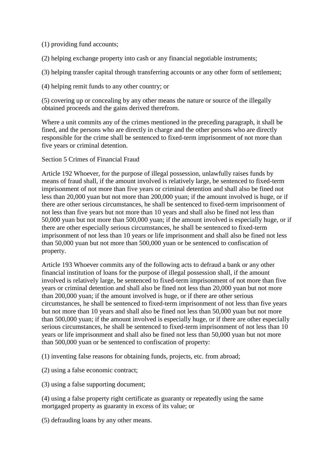(1) providing fund accounts;

(2) helping exchange property into cash or any financial negotiable instruments;

(3) helping transfer capital through transferring accounts or any other form of settlement;

(4) helping remit funds to any other country; or

(5) covering up or concealing by any other means the nature or source of the illegally obtained proceeds and the gains derived therefrom.

Where a unit commits any of the crimes mentioned in the preceding paragraph, it shall be fined, and the persons who are directly in charge and the other persons who are directly responsible for the crime shall be sentenced to fixed-term imprisonment of not more than five years or criminal detention.

Section 5 Crimes of Financial Fraud

Article 192 Whoever, for the purpose of illegal possession, unlawfully raises funds by means of fraud shall, if the amount involved is relatively large, be sentenced to fixed-term imprisonment of not more than five years or criminal detention and shall also be fined not less than 20,000 yuan but not more than 200,000 yuan; if the amount involved is huge, or if there are other serious circumstances, he shall be sentenced to fixed-term imprisonment of not less than five years but not more than 10 years and shall also be fined not less than 50,000 yuan but not more than 500,000 yuan; if the amount involved is especially huge, or if there are other especially serious circumstances, he shall be sentenced to fixed-term imprisonment of not less than 10 years or life imprisonment and shall also be fined not less than 50,000 yuan but not more than 500,000 yuan or be sentenced to confiscation of property.

Article 193 Whoever commits any of the following acts to defraud a bank or any other financial institution of loans for the purpose of illegal possession shall, if the amount involved is relatively large, be sentenced to fixed-term imprisonment of not more than five years or criminal detention and shall also be fined not less than 20,000 yuan but not more than 200,000 yuan; if the amount involved is huge, or if there are other serious circumstances, he shall be sentenced to fixed-term imprisonment of not less than five years but not more than 10 years and shall also be fined not less than 50,000 yuan but not more than 500,000 yuan; if the amount involved is especially huge, or if there are other especially serious circumstances, he shall be sentenced to fixed-term imprisonment of not less than 10 years or life imprisonment and shall also be fined not less than 50,000 yuan but not more than 500,000 yuan or be sentenced to confiscation of property:

(1) inventing false reasons for obtaining funds, projects, etc. from abroad;

(2) using a false economic contract;

(3) using a false supporting document;

(4) using a false property right certificate as guaranty or repeatedly using the same mortgaged property as guaranty in excess of its value; or

(5) defrauding loans by any other means.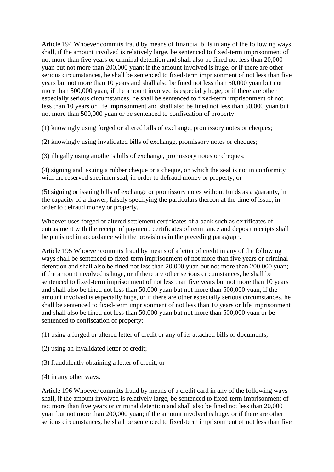Article 194 Whoever commits fraud by means of financial bills in any of the following ways shall, if the amount involved is relatively large, be sentenced to fixed-term imprisonment of not more than five years or criminal detention and shall also be fined not less than 20,000 yuan but not more than 200,000 yuan; if the amount involved is huge, or if there are other serious circumstances, he shall be sentenced to fixed-term imprisonment of not less than five years but not more than 10 years and shall also be fined not less than 50,000 yuan but not more than 500,000 yuan; if the amount involved is especially huge, or if there are other especially serious circumstances, he shall be sentenced to fixed-term imprisonment of not less than 10 years or life imprisonment and shall also be fined not less than 50,000 yuan but not more than 500,000 yuan or be sentenced to confiscation of property:

(1) knowingly using forged or altered bills of exchange, promissory notes or cheques;

(2) knowingly using invalidated bills of exchange, promissory notes or cheques;

(3) illegally using another's bills of exchange, promissory notes or cheques;

(4) signing and issuing a rubber cheque or a cheque, on which the seal is not in conformity with the reserved specimen seal, in order to defraud money or property; or

(5) signing or issuing bills of exchange or promissory notes without funds as a guaranty, in the capacity of a drawer, falsely specifying the particulars thereon at the time of issue, in order to defraud money or property.

Whoever uses forged or altered settlement certificates of a bank such as certificates of entrustment with the receipt of payment, certificates of remittance and deposit receipts shall be punished in accordance with the provisions in the preceding paragraph.

Article 195 Whoever commits fraud by means of a letter of credit in any of the following ways shall be sentenced to fixed-term imprisonment of not more than five years or criminal detention and shall also be fined not less than 20,000 yuan but not more than 200,000 yuan; if the amount involved is huge, or if there are other serious circumstances, he shall be sentenced to fixed-term imprisonment of not less than five years but not more than 10 years and shall also be fined not less than 50,000 yuan but not more than 500,000 yuan; if the amount involved is especially huge, or if there are other especially serious circumstances, he shall be sentenced to fixed-term imprisonment of not less than 10 years or life imprisonment and shall also be fined not less than 50,000 yuan but not more than 500,000 yuan or be sentenced to confiscation of property:

(1) using a forged or altered letter of credit or any of its attached bills or documents;

- (2) using an invalidated letter of credit;
- (3) fraudulently obtaining a letter of credit; or
- (4) in any other ways.

Article 196 Whoever commits fraud by means of a credit card in any of the following ways shall, if the amount involved is relatively large, be sentenced to fixed-term imprisonment of not more than five years or criminal detention and shall also be fined not less than 20,000 yuan but not more than 200,000 yuan; if the amount involved is huge, or if there are other serious circumstances, he shall be sentenced to fixed-term imprisonment of not less than five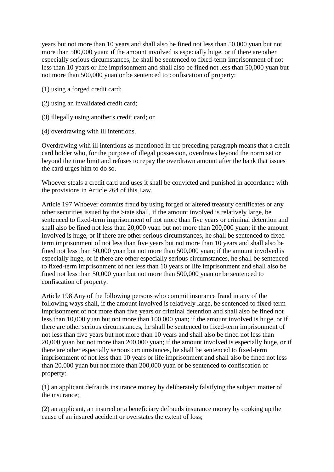years but not more than 10 years and shall also be fined not less than 50,000 yuan but not more than 500,000 yuan; if the amount involved is especially huge, or if there are other especially serious circumstances, he shall be sentenced to fixed-term imprisonment of not less than 10 years or life imprisonment and shall also be fined not less than 50,000 yuan but not more than 500,000 yuan or be sentenced to confiscation of property:

- (1) using a forged credit card;
- (2) using an invalidated credit card;
- (3) illegally using another's credit card; or
- (4) overdrawing with ill intentions.

Overdrawing with ill intentions as mentioned in the preceding paragraph means that a credit card holder who, for the purpose of illegal possession, overdraws beyond the norm set or beyond the time limit and refuses to repay the overdrawn amount after the bank that issues the card urges him to do so.

Whoever steals a credit card and uses it shall be convicted and punished in accordance with the provisions in Article 264 of this Law.

Article 197 Whoever commits fraud by using forged or altered treasury certificates or any other securities issued by the State shall, if the amount involved is relatively large, be sentenced to fixed-term imprisonment of not more than five years or criminal detention and shall also be fined not less than 20,000 yuan but not more than 200,000 yuan; if the amount involved is huge, or if there are other serious circumstances, he shall be sentenced to fixedterm imprisonment of not less than five years but not more than 10 years and shall also be fined not less than 50,000 yuan but not more than 500,000 yuan; if the amount involved is especially huge, or if there are other especially serious circumstances, he shall be sentenced to fixed-term imprisonment of not less than 10 years or life imprisonment and shall also be fined not less than 50,000 yuan but not more than 500,000 yuan or be sentenced to confiscation of property.

Article 198 Any of the following persons who commit insurance fraud in any of the following ways shall, if the amount involved is relatively large, be sentenced to fixed-term imprisonment of not more than five years or criminal detention and shall also be fined not less than 10,000 yuan but not more than 100,000 yuan; if the amount involved is huge, or if there are other serious circumstances, he shall be sentenced to fixed-term imprisonment of not less than five years but not more than 10 years and shall also be fined not less than 20,000 yuan but not more than 200,000 yuan; if the amount involved is especially huge, or if there are other especially serious circumstances, he shall be sentenced to fixed-term imprisonment of not less than 10 years or life imprisonment and shall also be fined not less than 20,000 yuan but not more than 200,000 yuan or be sentenced to confiscation of property:

(1) an applicant defrauds insurance money by deliberately falsifying the subject matter of the insurance;

(2) an applicant, an insured or a beneficiary defrauds insurance money by cooking up the cause of an insured accident or overstates the extent of loss;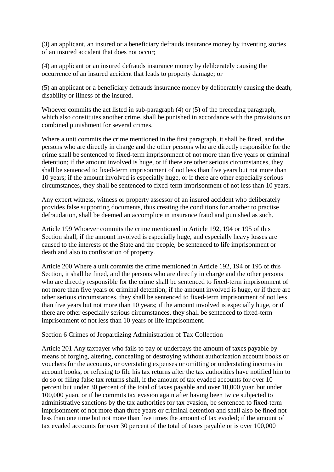(3) an applicant, an insured or a beneficiary defrauds insurance money by inventing stories of an insured accident that does not occur;

(4) an applicant or an insured defrauds insurance money by deliberately causing the occurrence of an insured accident that leads to property damage; or

(5) an applicant or a beneficiary defrauds insurance money by deliberately causing the death, disability or illness of the insured.

Whoever commits the act listed in sub-paragraph (4) or (5) of the preceding paragraph, which also constitutes another crime, shall be punished in accordance with the provisions on combined punishment for several crimes.

Where a unit commits the crime mentioned in the first paragraph, it shall be fined, and the persons who are directly in charge and the other persons who are directly responsible for the crime shall be sentenced to fixed-term imprisonment of not more than five years or criminal detention; if the amount involved is huge, or if there are other serious circumstances, they shall be sentenced to fixed-term imprisonment of not less than five years but not more than 10 years; if the amount involved is especially huge, or if there are other especially serious circumstances, they shall be sentenced to fixed-term imprisonment of not less than 10 years.

Any expert witness, witness or property assessor of an insured accident who deliberately provides false supporting documents, thus creating the conditions for another to practise defraudation, shall be deemed an accomplice in insurance fraud and punished as such.

Article 199 Whoever commits the crime mentioned in Article 192, 194 or 195 of this Section shall, if the amount involved is especially huge, and especially heavy losses are caused to the interests of the State and the people, be sentenced to life imprisonment or death and also to confiscation of property.

Article 200 Where a unit commits the crime mentioned in Article 192, 194 or 195 of this Section, it shall be fined, and the persons who are directly in charge and the other persons who are directly responsible for the crime shall be sentenced to fixed-term imprisonment of not more than five years or criminal detention; if the amount involved is huge, or if there are other serious circumstances, they shall be sentenced to fixed-term imprisonment of not less than five years but not more than 10 years; if the amount involved is especially huge, or if there are other especially serious circumstances, they shall be sentenced to fixed-term imprisonment of not less than 10 years or life imprisonment.

## Section 6 Crimes of Jeopardizing Administration of Tax Collection

Article 201 Any taxpayer who fails to pay or underpays the amount of taxes payable by means of forging, altering, concealing or destroying without authorization account books or vouchers for the accounts, or overstating expenses or omitting or understating incomes in account books, or refusing to file his tax returns after the tax authorities have notified him to do so or filing false tax returns shall, if the amount of tax evaded accounts for over 10 percent but under 30 percent of the total of taxes payable and over 10,000 yuan but under 100,000 yuan, or if he commits tax evasion again after having been twice subjected to administrative sanctions by the tax authorities for tax evasion, be sentenced to fixed-term imprisonment of not more than three years or criminal detention and shall also be fined not less than one time but not more than five times the amount of tax evaded; if the amount of tax evaded accounts for over 30 percent of the total of taxes payable or is over 100,000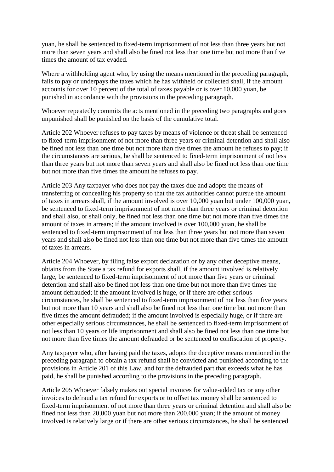yuan, he shall be sentenced to fixed-term imprisonment of not less than three years but not more than seven years and shall also be fined not less than one time but not more than five times the amount of tax evaded.

Where a withholding agent who, by using the means mentioned in the preceding paragraph, fails to pay or underpays the taxes which he has withheld or collected shall, if the amount accounts for over 10 percent of the total of taxes payable or is over 10,000 yuan, be punished in accordance with the provisions in the preceding paragraph.

Whoever repeatedly commits the acts mentioned in the preceding two paragraphs and goes unpunished shall be punished on the basis of the cumulative total.

Article 202 Whoever refuses to pay taxes by means of violence or threat shall be sentenced to fixed-term imprisonment of not more than three years or criminal detention and shall also be fined not less than one time but not more than five times the amount he refuses to pay; if the circumstances are serious, he shall be sentenced to fixed-term imprisonment of not less than three years but not more than seven years and shall also be fined not less than one time but not more than five times the amount he refuses to pay.

Article 203 Any taxpayer who does not pay the taxes due and adopts the means of transferring or concealing his property so that the tax authorities cannot pursue the amount of taxes in arrears shall, if the amount involved is over 10,000 yuan but under 100,000 yuan, be sentenced to fixed-term imprisonment of not more than three years or criminal detention and shall also, or shall only, be fined not less than one time but not more than five times the amount of taxes in arrears; if the amount involved is over 100,000 yuan, he shall be sentenced to fixed-term imprisonment of not less than three years but not more than seven years and shall also be fined not less than one time but not more than five times the amount of taxes in arrears.

Article 204 Whoever, by filing false export declaration or by any other deceptive means, obtains from the State a tax refund for exports shall, if the amount involved is relatively large, be sentenced to fixed-term imprisonment of not more than five years or criminal detention and shall also be fined not less than one time but not more than five times the amount defrauded; if the amount involved is huge, or if there are other serious circumstances, he shall be sentenced to fixed-term imprisonment of not less than five years but not more than 10 years and shall also be fined not less than one time but not more than five times the amount defrauded; if the amount involved is especially huge, or if there are other especially serious circumstances, he shall be sentenced to fixed-term imprisonment of not less than 10 years or life imprisonment and shall also be fined not less than one time but not more than five times the amount defrauded or be sentenced to confiscation of property.

Any taxpayer who, after having paid the taxes, adopts the deceptive means mentioned in the preceding paragraph to obtain a tax refund shall be convicted and punished according to the provisions in Article 201 of this Law, and for the defrauded part that exceeds what he has paid, he shall be punished according to the provisions in the preceding paragraph.

Article 205 Whoever falsely makes out special invoices for value-added tax or any other invoices to defraud a tax refund for exports or to offset tax money shall be sentenced to fixed-term imprisonment of not more than three years or criminal detention and shall also be fined not less than 20,000 yuan but not more than 200,000 yuan; if the amount of money involved is relatively large or if there are other serious circumstances, he shall be sentenced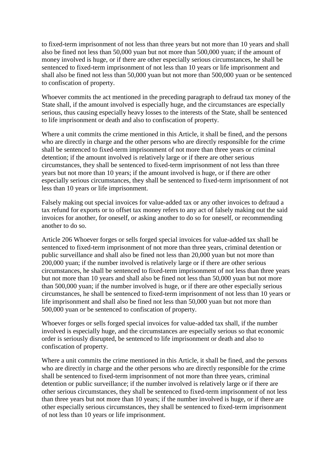to fixed-term imprisonment of not less than three years but not more than 10 years and shall also be fined not less than 50,000 yuan but not more than 500,000 yuan; if the amount of money involved is huge, or if there are other especially serious circumstances, he shall be sentenced to fixed-term imprisonment of not less than 10 years or life imprisonment and shall also be fined not less than 50,000 yuan but not more than 500,000 yuan or be sentenced to confiscation of property.

Whoever commits the act mentioned in the preceding paragraph to defraud tax money of the State shall, if the amount involved is especially huge, and the circumstances are especially serious, thus causing especially heavy losses to the interests of the State, shall be sentenced to life imprisonment or death and also to confiscation of property.

Where a unit commits the crime mentioned in this Article, it shall be fined, and the persons who are directly in charge and the other persons who are directly responsible for the crime shall be sentenced to fixed-term imprisonment of not more than three years or criminal detention; if the amount involved is relatively large or if there are other serious circumstances, they shall be sentenced to fixed-term imprisonment of not less than three years but not more than 10 years; if the amount involved is huge, or if there are other especially serious circumstances, they shall be sentenced to fixed-term imprisonment of not less than 10 years or life imprisonment.

Falsely making out special invoices for value-added tax or any other invoices to defraud a tax refund for exports or to offset tax money refers to any act of falsely making out the said invoices for another, for oneself, or asking another to do so for oneself, or recommending another to do so.

Article 206 Whoever forges or sells forged special invoices for value-added tax shall be sentenced to fixed-term imprisonment of not more than three years, criminal detention or public surveillance and shall also be fined not less than 20,000 yuan but not more than 200,000 yuan; if the number involved is relatively large or if there are other serious circumstances, he shall be sentenced to fixed-term imprisonment of not less than three years but not more than 10 years and shall also be fined not less than 50,000 yuan but not more than 500,000 yuan; if the number involved is huge, or if there are other especially serious circumstances, he shall be sentenced to fixed-term imprisonment of not less than 10 years or life imprisonment and shall also be fined not less than 50,000 yuan but not more than 500,000 yuan or be sentenced to confiscation of property.

Whoever forges or sells forged special invoices for value-added tax shall, if the number involved is especially huge, and the circumstances are especially serious so that economic order is seriously disrupted, be sentenced to life imprisonment or death and also to confiscation of property.

Where a unit commits the crime mentioned in this Article, it shall be fined, and the persons who are directly in charge and the other persons who are directly responsible for the crime shall be sentenced to fixed-term imprisonment of not more than three years, criminal detention or public surveillance; if the number involved is relatively large or if there are other serious circumstances, they shall be sentenced to fixed-term imprisonment of not less than three years but not more than 10 years; if the number involved is huge, or if there are other especially serious circumstances, they shall be sentenced to fixed-term imprisonment of not less than 10 years or life imprisonment.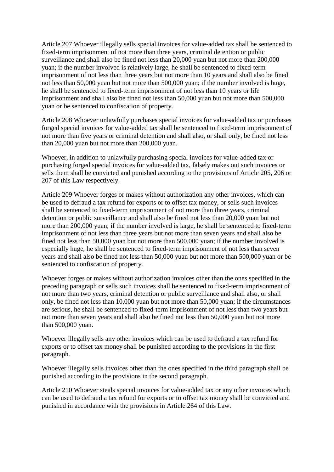Article 207 Whoever illegally sells special invoices for value-added tax shall be sentenced to fixed-term imprisonment of not more than three years, criminal detention or public surveillance and shall also be fined not less than 20,000 yuan but not more than 200,000 yuan; if the number involved is relatively large, he shall be sentenced to fixed-term imprisonment of not less than three years but not more than 10 years and shall also be fined not less than 50,000 yuan but not more than 500,000 yuan; if the number involved is huge, he shall be sentenced to fixed-term imprisonment of not less than 10 years or life imprisonment and shall also be fined not less than 50,000 yuan but not more than 500,000 yuan or be sentenced to confiscation of property.

Article 208 Whoever unlawfully purchases special invoices for value-added tax or purchases forged special invoices for value-added tax shall be sentenced to fixed-term imprisonment of not more than five years or criminal detention and shall also, or shall only, be fined not less than 20,000 yuan but not more than 200,000 yuan.

Whoever, in addition to unlawfully purchasing special invoices for value-added tax or purchasing forged special invoices for value-added tax, falsely makes out such invoices or sells them shall be convicted and punished according to the provisions of Article 205, 206 or 207 of this Law respectively.

Article 209 Whoever forges or makes without authorization any other invoices, which can be used to defraud a tax refund for exports or to offset tax money, or sells such invoices shall be sentenced to fixed-term imprisonment of not more than three years, criminal detention or public surveillance and shall also be fined not less than 20,000 yuan but not more than 200,000 yuan; if the number involved is large, he shall be sentenced to fixed-term imprisonment of not less than three years but not more than seven years and shall also be fined not less than 50,000 yuan but not more than 500,000 yuan; if the number involved is especially huge, he shall be sentenced to fixed-term imprisonment of not less than seven years and shall also be fined not less than 50,000 yuan but not more than 500,000 yuan or be sentenced to confiscation of property.

Whoever forges or makes without authorization invoices other than the ones specified in the preceding paragraph or sells such invoices shall be sentenced to fixed-term imprisonment of not more than two years, criminal detention or public surveillance and shall also, or shall only, be fined not less than 10,000 yuan but not more than 50,000 yuan; if the circumstances are serious, he shall be sentenced to fixed-term imprisonment of not less than two years but not more than seven years and shall also be fined not less than 50,000 yuan but not more than 500,000 yuan.

Whoever illegally sells any other invoices which can be used to defraud a tax refund for exports or to offset tax money shall be punished according to the provisions in the first paragraph.

Whoever illegally sells invoices other than the ones specified in the third paragraph shall be punished according to the provisions in the second paragraph.

Article 210 Whoever steals special invoices for value-added tax or any other invoices which can be used to defraud a tax refund for exports or to offset tax money shall be convicted and punished in accordance with the provisions in Article 264 of this Law.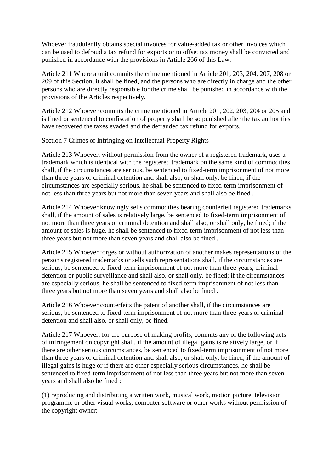Whoever fraudulently obtains special invoices for value-added tax or other invoices which can be used to defraud a tax refund for exports or to offset tax money shall be convicted and punished in accordance with the provisions in Article 266 of this Law.

Article 211 Where a unit commits the crime mentioned in Article 201, 203, 204, 207, 208 or 209 of this Section, it shall be fined, and the persons who are directly in charge and the other persons who are directly responsible for the crime shall be punished in accordance with the provisions of the Articles respectively.

Article 212 Whoever commits the crime mentioned in Article 201, 202, 203, 204 or 205 and is fined or sentenced to confiscation of property shall be so punished after the tax authorities have recovered the taxes evaded and the defrauded tax refund for exports.

Section 7 Crimes of Infringing on Intellectual Property Rights

Article 213 Whoever, without permission from the owner of a registered trademark, uses a trademark which is identical with the registered trademark on the same kind of commodities shall, if the circumstances are serious, be sentenced to fixed-term imprisonment of not more than three years or criminal detention and shall also, or shall only, be fined; if the circumstances are especially serious, he shall be sentenced to fixed-term imprisonment of not less than three years but not more than seven years and shall also be fined .

Article 214 Whoever knowingly sells commodities bearing counterfeit registered trademarks shall, if the amount of sales is relatively large, be sentenced to fixed-term imprisonment of not more than three years or criminal detention and shall also, or shall only, be fined; if the amount of sales is huge, he shall be sentenced to fixed-term imprisonment of not less than three years but not more than seven years and shall also be fined .

Article 215 Whoever forges or without authorization of another makes representations of the person's registered trademarks or sells such representations shall, if the circumstances are serious, be sentenced to fixed-term imprisonment of not more than three years, criminal detention or public surveillance and shall also, or shall only, be fined; if the circumstances are especially serious, he shall be sentenced to fixed-term imprisonment of not less than three years but not more than seven years and shall also be fined .

Article 216 Whoever counterfeits the patent of another shall, if the circumstances are serious, be sentenced to fixed-term imprisonment of not more than three years or criminal detention and shall also, or shall only, be fined.

Article 217 Whoever, for the purpose of making profits, commits any of the following acts of infringement on copyright shall, if the amount of illegal gains is relatively large, or if there are other serious circumstances, be sentenced to fixed-term imprisonment of not more than three years or criminal detention and shall also, or shall only, be fined; if the amount of illegal gains is huge or if there are other especially serious circumstances, he shall be sentenced to fixed-term imprisonment of not less than three years but not more than seven years and shall also be fined :

(1) reproducing and distributing a written work, musical work, motion picture, television programme or other visual works, computer software or other works without permission of the copyright owner;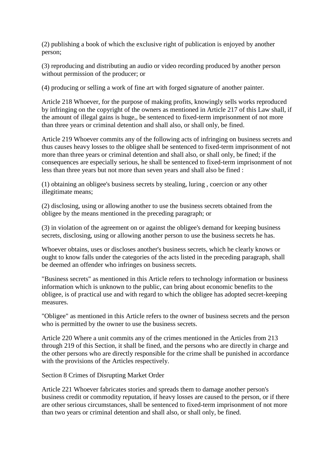(2) publishing a book of which the exclusive right of publication is enjoyed by another person;

(3) reproducing and distributing an audio or video recording produced by another person without permission of the producer; or

(4) producing or selling a work of fine art with forged signature of another painter.

Article 218 Whoever, for the purpose of making profits, knowingly sells works reproduced by infringing on the copyright of the owners as mentioned in Article 217 of this Law shall, if the amount of illegal gains is huge,, be sentenced to fixed-term imprisonment of not more than three years or criminal detention and shall also, or shall only, be fined.

Article 219 Whoever commits any of the following acts of infringing on business secrets and thus causes heavy losses to the obligee shall be sentenced to fixed-term imprisonment of not more than three years or criminal detention and shall also, or shall only, be fined; if the consequences are especially serious, he shall be sentenced to fixed-term imprisonment of not less than three years but not more than seven years and shall also be fined :

(1) obtaining an obligee's business secrets by stealing, luring , coercion or any other illegitimate means;

(2) disclosing, using or allowing another to use the business secrets obtained from the obligee by the means mentioned in the preceding paragraph; or

(3) in violation of the agreement on or against the obligee's demand for keeping business secrets, disclosing, using or allowing another person to use the business secrets he has.

Whoever obtains, uses or discloses another's business secrets, which he clearly knows or ought to know falls under the categories of the acts listed in the preceding paragraph, shall be deemed an offender who infringes on business secrets.

"Business secrets" as mentioned in this Article refers to technology information or business information which is unknown to the public, can bring about economic benefits to the obligee, is of practical use and with regard to which the obligee has adopted secret-keeping measures.

"Obligee" as mentioned in this Article refers to the owner of business secrets and the person who is permitted by the owner to use the business secrets.

Article 220 Where a unit commits any of the crimes mentioned in the Articles from 213 through 219 of this Section, it shall be fined, and the persons who are directly in charge and the other persons who are directly responsible for the crime shall be punished in accordance with the provisions of the Articles respectively.

Section 8 Crimes of Disrupting Market Order

Article 221 Whoever fabricates stories and spreads them to damage another person's business credit or commodity reputation, if heavy losses are caused to the person, or if there are other serious circumstances, shall be sentenced to fixed-term imprisonment of not more than two years or criminal detention and shall also, or shall only, be fined.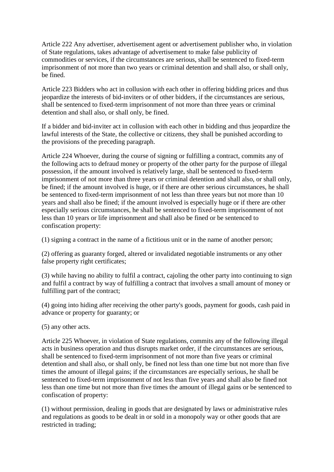Article 222 Any advertiser, advertisement agent or advertisement publisher who, in violation of State regulations, takes advantage of advertisement to make false publicity of commodities or services, if the circumstances are serious, shall be sentenced to fixed-term imprisonment of not more than two years or criminal detention and shall also, or shall only, be fined.

Article 223 Bidders who act in collusion with each other in offering bidding prices and thus jeopardize the interests of bid-inviters or of other bidders, if the circumstances are serious, shall be sentenced to fixed-term imprisonment of not more than three years or criminal detention and shall also, or shall only, be fined.

If a bidder and bid-inviter act in collusion with each other in bidding and thus jeopardize the lawful interests of the State, the collective or citizens, they shall be punished according to the provisions of the preceding paragraph.

Article 224 Whoever, during the course of signing or fulfilling a contract, commits any of the following acts to defraud money or property of the other party for the purpose of illegal possession, if the amount involved is relatively large, shall be sentenced to fixed-term imprisonment of not more than three years or criminal detention and shall also, or shall only, be fined; if the amount involved is huge, or if there are other serious circumstances, he shall be sentenced to fixed-term imprisonment of not less than three years but not more than 10 years and shall also be fined; if the amount involved is especially huge or if there are other especially serious circumstances, he shall be sentenced to fixed-term imprisonment of not less than 10 years or life imprisonment and shall also be fined or be sentenced to confiscation property:

(1) signing a contract in the name of a fictitious unit or in the name of another person;

(2) offering as guaranty forged, altered or invalidated negotiable instruments or any other false property right certificates;

(3) while having no ability to fulfil a contract, cajoling the other party into continuing to sign and fulfil a contract by way of fulfilling a contract that involves a small amount of money or fulfilling part of the contract;

(4) going into hiding after receiving the other party's goods, payment for goods, cash paid in advance or property for guaranty; or

(5) any other acts.

Article 225 Whoever, in violation of State regulations, commits any of the following illegal acts in business operation and thus disrupts market order, if the circumstances are serious, shall be sentenced to fixed-term imprisonment of not more than five years or criminal detention and shall also, or shall only, be fined not less than one time but not more than five times the amount of illegal gains; if the circumstances are especially serious, he shall be sentenced to fixed-term imprisonment of not less than five years and shall also be fined not less than one time but not more than five times the amount of illegal gains or be sentenced to confiscation of property:

(1) without permission, dealing in goods that are designated by laws or administrative rules and regulations as goods to be dealt in or sold in a monopoly way or other goods that are restricted in trading;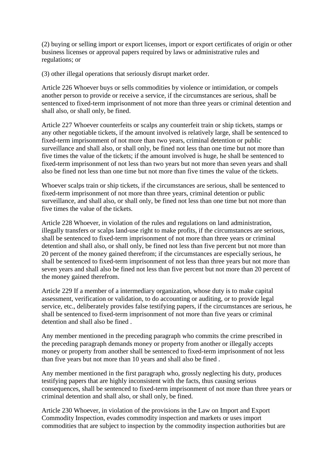(2) buying or selling import or export licenses, import or export certificates of origin or other business licenses or approval papers required by laws or administrative rules and regulations; or

(3) other illegal operations that seriously disrupt market order.

Article 226 Whoever buys or sells commodities by violence or intimidation, or compels another person to provide or receive a service, if the circumstances are serious, shall be sentenced to fixed-term imprisonment of not more than three years or criminal detention and shall also, or shall only, be fined.

Article 227 Whoever counterfeits or scalps any counterfeit train or ship tickets, stamps or any other negotiable tickets, if the amount involved is relatively large, shall be sentenced to fixed-term imprisonment of not more than two years, criminal detention or public surveillance and shall also, or shall only, be fined not less than one time but not more than five times the value of the tickets; if the amount involved is huge, he shall be sentenced to fixed-term imprisonment of not less than two years but not more than seven years and shall also be fined not less than one time but not more than five times the value of the tickets.

Whoever scalps train or ship tickets, if the circumstances are serious, shall be sentenced to fixed-term imprisonment of not more than three years, criminal detention or public surveillance, and shall also, or shall only, be fined not less than one time but not more than five times the value of the tickets.

Article 228 Whoever, in violation of the rules and regulations on land administration, illegally transfers or scalps land-use right to make profits, if the circumstances are serious, shall be sentenced to fixed-term imprisonment of not more than three years or criminal detention and shall also, or shall only, be fined not less than five percent but not more than 20 percent of the money gained therefrom; if the circumstances are especially serious, he shall be sentenced to fixed-term imprisonment of not less than three years but not more than seven years and shall also be fined not less than five percent but not more than 20 percent of the money gained therefrom.

Article 229 If a member of a intermediary organization, whose duty is to make capital assessment, verification or validation, to do accounting or auditing, or to provide legal service, etc., deliberately provides false testifying papers, if the circumstances are serious, he shall be sentenced to fixed-term imprisonment of not more than five years or criminal detention and shall also be fined .

Any member mentioned in the preceding paragraph who commits the crime prescribed in the preceding paragraph demands money or property from another or illegally accepts money or property from another shall be sentenced to fixed-term imprisonment of not less than five years but not more than 10 years and shall also be fined .

Any member mentioned in the first paragraph who, grossly neglecting his duty, produces testifying papers that are highly inconsistent with the facts, thus causing serious consequences, shall be sentenced to fixed-term imprisonment of not more than three years or criminal detention and shall also, or shall only, be fined.

Article 230 Whoever, in violation of the provisions in the Law on Import and Export Commodity Inspection, evades commodity inspection and markets or uses import commodities that are subject to inspection by the commodity inspection authorities but are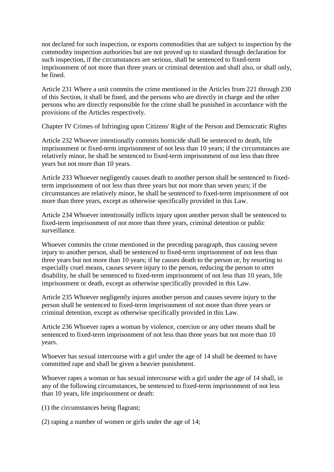not declared for such inspection, or exports commodities that are subject to inspection by the commodity inspection authorities but are not proved up to standard through declaration for such inspection, if the circumstances are serious, shall be sentenced to fixed-term imprisonment of not more than three years or criminal detention and shall also, or shall only, be fined.

Article 231 Where a unit commits the crime mentioned in the Articles from 221 through 230 of this Section, it shall be fined, and the persons who are directly in charge and the other persons who are directly responsible for the crime shall be punished in accordance with the provisions of the Articles respectively.

Chapter IV Crimes of Infringing upon Citizens' Right of the Person and Democratic Rights

Article 232 Whoever intentionally commits homicide shall be sentenced to death, life imprisonment or fixed-term imprisonment of not less than 10 years; if the circumstances are relatively minor, he shall be sentenced to fixed-term imprisonment of not less than three years but not more than 10 years.

Article 233 Whoever negligently causes death to another person shall be sentenced to fixedterm imprisonment of not less than three years but not more than seven years; if the circumstances are relatively minor, he shall be sentenced to fixed-term imprisonment of not more than three years, except as otherwise specifically provided in this Law.

Article 234 Whoever intentionally inflicts injury upon another person shall be sentenced to fixed-term imprisonment of not more than three years, criminal detention or public surveillance.

Whoever commits the crime mentioned in the preceding paragraph, thus causing severe injury to another person, shall be sentenced to fixed-term imprisonment of not less than three years but not more than 10 years; if he causes death to the person or, by resorting to especially cruel means, causes severe injury to the person, reducing the person to utter disability, he shall be sentenced to fixed-term imprisonment of not less than 10 years, life imprisonment or death, except as otherwise specifically provided in this Law.

Article 235 Whoever negligently injures another person and causes severe injury to the person shall be sentenced to fixed-term imprisonment of not more than three years or criminal detention, except as otherwise specifically provided in this Law.

Article 236 Whoever rapes a woman by violence, coercion or any other means shall be sentenced to fixed-term imprisonment of not less than three years but not more than 10 years.

Whoever has sexual intercourse with a girl under the age of 14 shall be deemed to have committed rape and shall be given a heavier punishment.

Whoever rapes a woman or has sexual intercourse with a girl under the age of 14 shall, in any of the following circumstances, be sentenced to fixed-term imprisonment of not less than 10 years, life imprisonment or death:

(1) the circumstances being flagrant;

(2) raping a number of women or girls under the age of 14;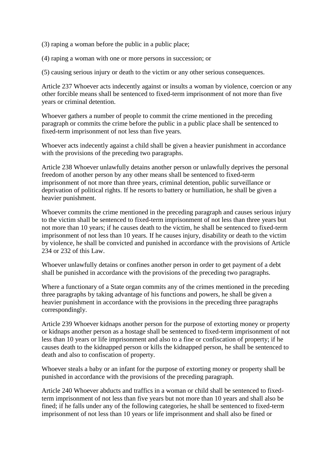(3) raping a woman before the public in a public place;

(4) raping a woman with one or more persons in succession; or

(5) causing serious injury or death to the victim or any other serious consequences.

Article 237 Whoever acts indecently against or insults a woman by violence, coercion or any other forcible means shall be sentenced to fixed-term imprisonment of not more than five years or criminal detention.

Whoever gathers a number of people to commit the crime mentioned in the preceding paragraph or commits the crime before the public in a public place shall be sentenced to fixed-term imprisonment of not less than five years.

Whoever acts indecently against a child shall be given a heavier punishment in accordance with the provisions of the preceding two paragraphs.

Article 238 Whoever unlawfully detains another person or unlawfully deprives the personal freedom of another person by any other means shall be sentenced to fixed-term imprisonment of not more than three years, criminal detention, public surveillance or deprivation of political rights. If he resorts to battery or humiliation, he shall be given a heavier punishment.

Whoever commits the crime mentioned in the preceding paragraph and causes serious injury to the victim shall be sentenced to fixed-term imprisonment of not less than three years but not more than 10 years; if he causes death to the victim, he shall be sentenced to fixed-term imprisonment of not less than 10 years. If he causes injury, disability or death to the victim by violence, he shall be convicted and punished in accordance with the provisions of Article 234 or 232 of this Law.

Whoever unlawfully detains or confines another person in order to get payment of a debt shall be punished in accordance with the provisions of the preceding two paragraphs.

Where a functionary of a State organ commits any of the crimes mentioned in the preceding three paragraphs by taking advantage of his functions and powers, he shall be given a heavier punishment in accordance with the provisions in the preceding three paragraphs correspondingly.

Article 239 Whoever kidnaps another person for the purpose of extorting money or property or kidnaps another person as a hostage shall be sentenced to fixed-term imprisonment of not less than 10 years or life imprisonment and also to a fine or confiscation of property; if he causes death to the kidnapped person or kills the kidnapped person, he shall be sentenced to death and also to confiscation of property.

Whoever steals a baby or an infant for the purpose of extorting money or property shall be punished in accordance with the provisions of the preceding paragraph.

Article 240 Whoever abducts and traffics in a woman or child shall be sentenced to fixedterm imprisonment of not less than five years but not more than 10 years and shall also be fined; if he falls under any of the following categories, he shall be sentenced to fixed-term imprisonment of not less than 10 years or life imprisonment and shall also be fined or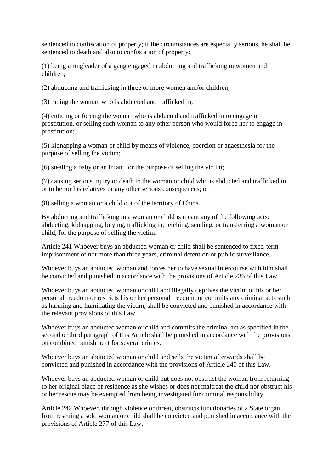sentenced to confiscation of property; if the circumstances are especially serious, he shall be sentenced to death and also to confiscation of property:

(1) being a ringleader of a gang engaged in abducting and trafficking in women and children;

(2) abducting and trafficking in three or more women and/or children;

(3) raping the woman who is abducted and trafficked in;

(4) enticing or forcing the woman who is abducted and trafficked in to engage in prostitution, or selling such woman to any other person who would force her to engage in prostitution;

(5) kidnapping a woman or child by means of violence, coercion or anaesthesia for the purpose of selling the victim;

(6) stealing a baby or an infant for the purpose of selling the victim;

(7) causing serious injury or death to the woman or child who is abducted and trafficked in or to her or his relatives or any other serious consequences; or

(8) selling a woman or a child out of the territory of China.

By abducting and trafficking in a woman or child is meant any of the following acts: abducting, kidnapping, buying, trafficking in, fetching, sending, or transferring a woman or child, for the purpose of selling the victim.

Article 241 Whoever buys an abducted woman or child shall be sentenced to fixed-term imprisonment of not more than three years, criminal detention or public surveillance.

Whoever buys an abducted woman and forces her to have sexual intercourse with him shall be convicted and punished in accordance with the provisions of Article 236 of this Law.

Whoever buys an abducted woman or child and illegally deprives the victim of his or her personal freedom or restricts his or her personal freedom, or commits any criminal acts such as harming and humiliating the victim, shall be convicted and punished in accordance with the relevant provisions of this Law.

Whoever buys an abducted woman or child and commits the criminal act as specified in the second or third paragraph of this Article shall be punished in accordance with the provisions on combined punishment for several crimes.

Whoever buys an abducted woman or child and sells the victim afterwards shall be convicted and punished in accordance with the provisions of Article 240 of this Law.

Whoever buys an abducted woman or child but does not obstruct the woman from returning to her original place of residence as she wishes or does not maltreat the child nor obstruct his or her rescue may be exempted from being investigated for criminal responsibility.

Article 242 Whoever, through violence or threat, obstructs functionaries of a State organ from rescuing a sold woman or child shall be convicted and punished in accordance with the provisions of Article 277 of this Law.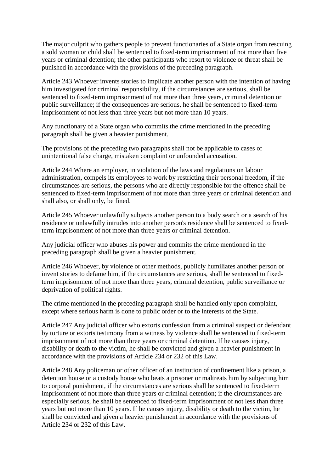The major culprit who gathers people to prevent functionaries of a State organ from rescuing a sold woman or child shall be sentenced to fixed-term imprisonment of not more than five years or criminal detention; the other participants who resort to violence or threat shall be punished in accordance with the provisions of the preceding paragraph.

Article 243 Whoever invents stories to implicate another person with the intention of having him investigated for criminal responsibility, if the circumstances are serious, shall be sentenced to fixed-term imprisonment of not more than three years, criminal detention or public surveillance; if the consequences are serious, he shall be sentenced to fixed-term imprisonment of not less than three years but not more than 10 years.

Any functionary of a State organ who commits the crime mentioned in the preceding paragraph shall be given a heavier punishment.

The provisions of the preceding two paragraphs shall not be applicable to cases of unintentional false charge, mistaken complaint or unfounded accusation.

Article 244 Where an employer, in violation of the laws and regulations on labour administration, compels its employees to work by restricting their personal freedom, if the circumstances are serious, the persons who are directly responsible for the offence shall be sentenced to fixed-term imprisonment of not more than three years or criminal detention and shall also, or shall only, be fined.

Article 245 Whoever unlawfully subjects another person to a body search or a search of his residence or unlawfully intrudes into another person's residence shall be sentenced to fixedterm imprisonment of not more than three years or criminal detention.

Any judicial officer who abuses his power and commits the crime mentioned in the preceding paragraph shall be given a heavier punishment.

Article 246 Whoever, by violence or other methods, publicly humiliates another person or invent stories to defame him, if the circumstances are serious, shall be sentenced to fixedterm imprisonment of not more than three years, criminal detention, public surveillance or deprivation of political rights.

The crime mentioned in the preceding paragraph shall be handled only upon complaint, except where serious harm is done to public order or to the interests of the State.

Article 247 Any judicial officer who extorts confession from a criminal suspect or defendant by torture or extorts testimony from a witness by violence shall be sentenced to fixed-term imprisonment of not more than three years or criminal detention. If he causes injury, disability or death to the victim, he shall be convicted and given a heavier punishment in accordance with the provisions of Article 234 or 232 of this Law.

Article 248 Any policeman or other officer of an institution of confinement like a prison, a detention house or a custody house who beats a prisoner or maltreats him by subjecting him to corporal punishment, if the circumstances are serious shall be sentenced to fixed-term imprisonment of not more than three years or criminal detention; if the circumstances are especially serious, he shall be sentenced to fixed-term imprisonment of not less than three years but not more than 10 years. If he causes injury, disability or death to the victim, he shall be convicted and given a heavier punishment in accordance with the provisions of Article 234 or 232 of this Law.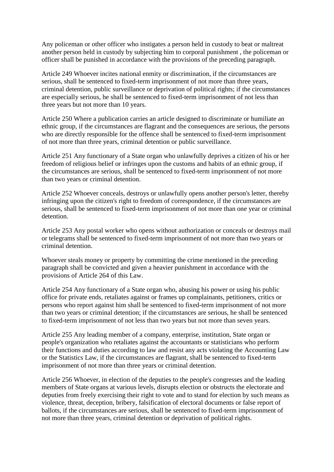Any policeman or other officer who instigates a person held in custody to beat or maltreat another person held in custody by subjecting him to corporal punishment , the policeman or officer shall be punished in accordance with the provisions of the preceding paragraph.

Article 249 Whoever incites national enmity or discrimination, if the circumstances are serious, shall be sentenced to fixed-term imprisonment of not more than three years, criminal detention, public surveillance or deprivation of political rights; if the circumstances are especially serious, he shall be sentenced to fixed-term imprisonment of not less than three years but not more than 10 years.

Article 250 Where a publication carries an article designed to discriminate or humiliate an ethnic group, if the circumstances are flagrant and the consequences are serious, the persons who are directly responsible for the offence shall be sentenced to fixed-term imprisonment of not more than three years, criminal detention or public surveillance.

Article 251 Any functionary of a State organ who unlawfully deprives a citizen of his or her freedom of religious belief or infringes upon the customs and habits of an ethnic group, if the circumstances are serious, shall be sentenced to fixed-term imprisonment of not more than two years or criminal detention.

Article 252 Whoever conceals, destroys or unlawfully opens another person's letter, thereby infringing upon the citizen's right to freedom of correspondence, if the circumstances are serious, shall be sentenced to fixed-term imprisonment of not more than one year or criminal detention.

Article 253 Any postal worker who opens without authorization or conceals or destroys mail or telegrams shall be sentenced to fixed-term imprisonment of not more than two years or criminal detention.

Whoever steals money or property by committing the crime mentioned in the preceding paragraph shall be convicted and given a heavier punishment in accordance with the provisions of Article 264 of this Law.

Article 254 Any functionary of a State organ who, abusing his power or using his public office for private ends, retaliates against or frames up complainants, petitioners, critics or persons who report against him shall be sentenced to fixed-term imprisonment of not more than two years or criminal detention; if the circumstances are serious, he shall be sentenced to fixed-term imprisonment of not less than two years but not more than seven years.

Article 255 Any leading member of a company, enterprise, institution, State organ or people's organization who retaliates against the accountants or statisticians who perform their functions and duties according to law and resist any acts violating the Accounting Law or the Statistics Law, if the circumstances are flagrant, shall be sentenced to fixed-term imprisonment of not more than three years or criminal detention.

Article 256 Whoever, in election of the deputies to the people's congresses and the leading members of State organs at various levels, disrupts election or obstructs the electorate and deputies from freely exercising their right to vote and to stand for election by such means as violence, threat, deception, bribery, falsification of electoral documents or false report of ballots, if the circumstances are serious, shall be sentenced to fixed-term imprisonment of not more than three years, criminal detention or deprivation of political rights.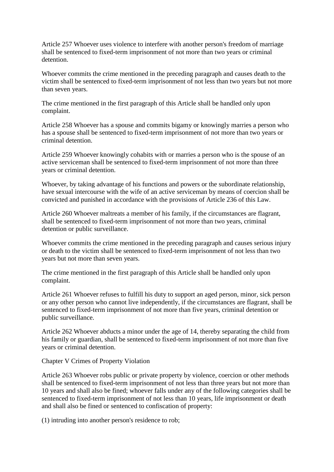Article 257 Whoever uses violence to interfere with another person's freedom of marriage shall be sentenced to fixed-term imprisonment of not more than two years or criminal detention.

Whoever commits the crime mentioned in the preceding paragraph and causes death to the victim shall be sentenced to fixed-term imprisonment of not less than two years but not more than seven years.

The crime mentioned in the first paragraph of this Article shall be handled only upon complaint.

Article 258 Whoever has a spouse and commits bigamy or knowingly marries a person who has a spouse shall be sentenced to fixed-term imprisonment of not more than two years or criminal detention.

Article 259 Whoever knowingly cohabits with or marries a person who is the spouse of an active serviceman shall be sentenced to fixed-term imprisonment of not more than three years or criminal detention.

Whoever, by taking advantage of his functions and powers or the subordinate relationship, have sexual intercourse with the wife of an active serviceman by means of coercion shall be convicted and punished in accordance with the provisions of Article 236 of this Law.

Article 260 Whoever maltreats a member of his family, if the circumstances are flagrant, shall be sentenced to fixed-term imprisonment of not more than two years, criminal detention or public surveillance.

Whoever commits the crime mentioned in the preceding paragraph and causes serious injury or death to the victim shall be sentenced to fixed-term imprisonment of not less than two years but not more than seven years.

The crime mentioned in the first paragraph of this Article shall be handled only upon complaint.

Article 261 Whoever refuses to fulfill his duty to support an aged person, minor, sick person or any other person who cannot live independently, if the circumstances are flagrant, shall be sentenced to fixed-term imprisonment of not more than five years, criminal detention or public surveillance.

Article 262 Whoever abducts a minor under the age of 14, thereby separating the child from his family or guardian, shall be sentenced to fixed-term imprisonment of not more than five years or criminal detention.

Chapter V Crimes of Property Violation

Article 263 Whoever robs public or private property by violence, coercion or other methods shall be sentenced to fixed-term imprisonment of not less than three years but not more than 10 years and shall also be fined; whoever falls under any of the following categories shall be sentenced to fixed-term imprisonment of not less than 10 years, life imprisonment or death and shall also be fined or sentenced to confiscation of property:

(1) intruding into another person's residence to rob;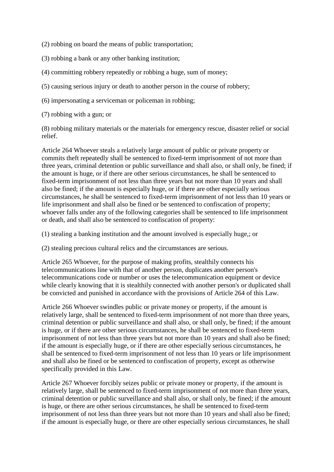(2) robbing on board the means of public transportation;

(3) robbing a bank or any other banking institution;

- (4) committing robbery repeatedly or robbing a huge, sum of money;
- (5) causing serious injury or death to another person in the course of robbery;
- (6) impersonating a serviceman or policeman in robbing;
- (7) robbing with a gun; or

(8) robbing military materials or the materials for emergency rescue, disaster relief or social relief.

Article 264 Whoever steals a relatively large amount of public or private property or commits theft repeatedly shall be sentenced to fixed-term imprisonment of not more than three years, criminal detention or public surveillance and shall also, or shall only, be fined; if the amount is huge, or if there are other serious circumstances, he shall be sentenced to fixed-term imprisonment of not less than three years but not more than 10 years and shall also be fined; if the amount is especially huge, or if there are other especially serious circumstances, he shall be sentenced to fixed-term imprisonment of not less than 10 years or life imprisonment and shall also be fined or be sentenced to confiscation of property; whoever falls under any of the following categories shall be sentenced to life imprisonment or death, and shall also be sentenced to confiscation of property:

(1) stealing a banking institution and the amount involved is especially huge,; or

(2) stealing precious cultural relics and the circumstances are serious.

Article 265 Whoever, for the purpose of making profits, stealthily connects his telecommunications line with that of another person, duplicates another person's telecommunications code or number or uses the telecommunication equipment or device while clearly knowing that it is stealthily connected with another person's or duplicated shall be convicted and punished in accordance with the provisions of Article 264 of this Law.

Article 266 Whoever swindles public or private money or property, if the amount is relatively large, shall be sentenced to fixed-term imprisonment of not more than three years, criminal detention or public surveillance and shall also, or shall only, be fined; if the amount is huge, or if there are other serious circumstances, he shall be sentenced to fixed-term imprisonment of not less than three years but not more than 10 years and shall also be fined; if the amount is especially huge, or if there are other especially serious circumstances, he shall be sentenced to fixed-term imprisonment of not less than 10 years or life imprisonment and shall also be fined or be sentenced to confiscation of property, except as otherwise specifically provided in this Law.

Article 267 Whoever forcibly seizes public or private money or property, if the amount is relatively large, shall be sentenced to fixed-term imprisonment of not more than three years, criminal detention or public surveillance and shall also, or shall only, be fined; if the amount is huge, or there are other serious circumstances, he shall be sentenced to fixed-term imprisonment of not less than three years but not more than 10 years and shall also be fined; if the amount is especially huge, or there are other especially serious circumstances, he shall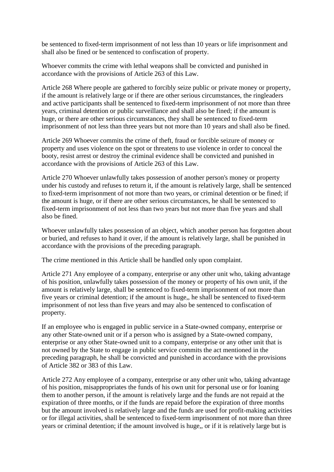be sentenced to fixed-term imprisonment of not less than 10 years or life imprisonment and shall also be fined or be sentenced to confiscation of property.

Whoever commits the crime with lethal weapons shall be convicted and punished in accordance with the provisions of Article 263 of this Law.

Article 268 Where people are gathered to forcibly seize public or private money or property, if the amount is relatively large or if there are other serious circumstances, the ringleaders and active participants shall be sentenced to fixed-term imprisonment of not more than three years, criminal detention or public surveillance and shall also be fined; if the amount is huge, or there are other serious circumstances, they shall be sentenced to fixed-term imprisonment of not less than three years but not more than 10 years and shall also be fined.

Article 269 Whoever commits the crime of theft, fraud or forcible seizure of money or property and uses violence on the spot or threatens to use violence in order to conceal the booty, resist arrest or destroy the criminal evidence shall be convicted and punished in accordance with the provisions of Article 263 of this Law.

Article 270 Whoever unlawfully takes possession of another person's money or property under his custody and refuses to return it, if the amount is relatively large, shall be sentenced to fixed-term imprisonment of not more than two years, or criminal detention or be fined; if the amount is huge, or if there are other serious circumstances, he shall be sentenced to fixed-term imprisonment of not less than two years but not more than five years and shall also be fined.

Whoever unlawfully takes possession of an object, which another person has forgotten about or buried, and refuses to hand it over, if the amount is relatively large, shall be punished in accordance with the provisions of the preceding paragraph.

The crime mentioned in this Article shall be handled only upon complaint.

Article 271 Any employee of a company, enterprise or any other unit who, taking advantage of his position, unlawfully takes possession of the money or property of his own unit, if the amount is relatively large, shall be sentenced to fixed-term imprisonment of not more than five years or criminal detention; if the amount is huge,, he shall be sentenced to fixed-term imprisonment of not less than five years and may also be sentenced to confiscation of property.

If an employee who is engaged in public service in a State-owned company, enterprise or any other State-owned unit or if a person who is assigned by a State-owned company, enterprise or any other State-owned unit to a company, enterprise or any other unit that is not owned by the State to engage in public service commits the act mentioned in the preceding paragraph, he shall be convicted and punished in accordance with the provisions of Article 382 or 383 of this Law.

Article 272 Any employee of a company, enterprise or any other unit who, taking advantage of his position, misappropriates the funds of his own unit for personal use or for loaning them to another person, if the amount is relatively large and the funds are not repaid at the expiration of three months, or if the funds are repaid before the expiration of three months but the amount involved is relatively large and the funds are used for profit-making activities or for illegal activities, shall be sentenced to fixed-term imprisonment of not more than three years or criminal detention; if the amount involved is huge,, or if it is relatively large but is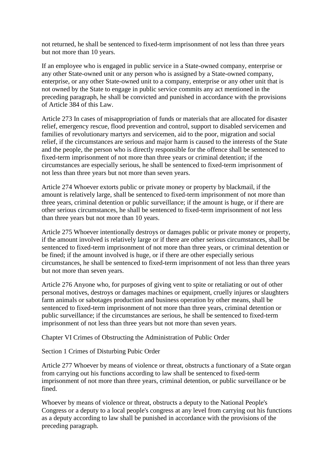not returned, he shall be sentenced to fixed-term imprisonment of not less than three years but not more than 10 years.

If an employee who is engaged in public service in a State-owned company, enterprise or any other State-owned unit or any person who is assigned by a State-owned company, enterprise, or any other State-owned unit to a company, enterprise or any other unit that is not owned by the State to engage in public service commits any act mentioned in the preceding paragraph, he shall be convicted and punished in accordance with the provisions of Article 384 of this Law.

Article 273 In cases of misappropriation of funds or materials that are allocated for disaster relief, emergency rescue, flood prevention and control, support to disabled servicemen and families of revolutionary martyrs and servicemen, aid to the poor, migration and social relief, if the circumstances are serious and major harm is caused to the interests of the State and the people, the person who is directly responsible for the offence shall be sentenced to fixed-term imprisonment of not more than three years or criminal detention; if the circumstances are especially serious, he shall be sentenced to fixed-term imprisonment of not less than three years but not more than seven years.

Article 274 Whoever extorts public or private money or property by blackmail, if the amount is relatively large, shall be sentenced to fixed-term imprisonment of not more than three years, criminal detention or public surveillance; if the amount is huge, or if there are other serious circumstances, he shall be sentenced to fixed-term imprisonment of not less than three years but not more than 10 years.

Article 275 Whoever intentionally destroys or damages public or private money or property, if the amount involved is relatively large or if there are other serious circumstances, shall be sentenced to fixed-term imprisonment of not more than three years, or criminal detention or be fined; if the amount involved is huge, or if there are other especially serious circumstances, he shall be sentenced to fixed-term imprisonment of not less than three years but not more than seven years.

Article 276 Anyone who, for purposes of giving vent to spite or retaliating or out of other personal motives, destroys or damages machines or equipment, cruelly injures or slaughters farm animals or sabotages production and business operation by other means, shall be sentenced to fixed-term imprisonment of not more than three years, criminal detention or public surveillance; if the circumstances are serious, he shall be sentenced to fixed-term imprisonment of not less than three years but not more than seven years.

Chapter VI Crimes of Obstructing the Administration of Public Order

Section 1 Crimes of Disturbing Pubic Order

Article 277 Whoever by means of violence or threat, obstructs a functionary of a State organ from carrying out his functions according to law shall be sentenced to fixed-term imprisonment of not more than three years, criminal detention, or public surveillance or be fined.

Whoever by means of violence or threat, obstructs a deputy to the National People's Congress or a deputy to a local people's congress at any level from carrying out his functions as a deputy according to law shall be punished in accordance with the provisions of the preceding paragraph.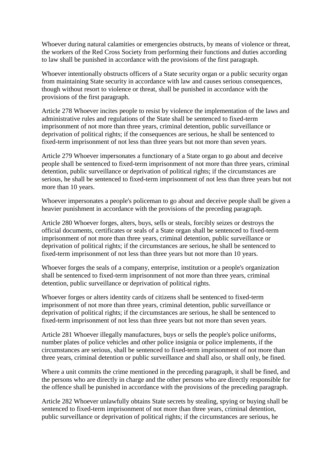Whoever during natural calamities or emergencies obstructs, by means of violence or threat, the workers of the Red Cross Society from performing their functions and duties according to law shall be punished in accordance with the provisions of the first paragraph.

Whoever intentionally obstructs officers of a State security organ or a public security organ from maintaining State security in accordance with law and causes serious consequences, though without resort to violence or threat, shall be punished in accordance with the provisions of the first paragraph.

Article 278 Whoever incites people to resist by violence the implementation of the laws and administrative rules and regulations of the State shall be sentenced to fixed-term imprisonment of not more than three years, criminal detention, public surveillance or deprivation of political rights; if the consequences are serious, he shall be sentenced to fixed-term imprisonment of not less than three years but not more than seven years.

Article 279 Whoever impersonates a functionary of a State organ to go about and deceive people shall be sentenced to fixed-term imprisonment of not more than three years, criminal detention, public surveillance or deprivation of political rights; if the circumstances are serious, he shall be sentenced to fixed-term imprisonment of not less than three years but not more than 10 years.

Whoever impersonates a people's policeman to go about and deceive people shall be given a heavier punishment in accordance with the provisions of the preceding paragraph.

Article 280 Whoever forges, alters, buys, sells or steals, forcibly seizes or destroys the official documents, certificates or seals of a State organ shall be sentenced to fixed-term imprisonment of not more than three years, criminal detention, public surveillance or deprivation of political rights; if the circumstances are serious, he shall be sentenced to fixed-term imprisonment of not less than three years but not more than 10 years.

Whoever forges the seals of a company, enterprise, institution or a people's organization shall be sentenced to fixed-term imprisonment of not more than three years, criminal detention, public surveillance or deprivation of political rights.

Whoever forges or alters identity cards of citizens shall be sentenced to fixed-term imprisonment of not more than three years, criminal detention, public surveillance or deprivation of political rights; if the circumstances are serious, he shall be sentenced to fixed-term imprisonment of not less than three years but not more than seven years.

Article 281 Whoever illegally manufactures, buys or sells the people's police uniforms, number plates of police vehicles and other police insignia or police implements, if the circumstances are serious, shall be sentenced to fixed-term imprisonment of not more than three years, criminal detention or public surveillance and shall also, or shall only, be fined.

Where a unit commits the crime mentioned in the preceding paragraph, it shall be fined, and the persons who are directly in charge and the other persons who are directly responsible for the offence shall be punished in accordance with the provisions of the preceding paragraph.

Article 282 Whoever unlawfully obtains State secrets by stealing, spying or buying shall be sentenced to fixed-term imprisonment of not more than three years, criminal detention, public surveillance or deprivation of political rights; if the circumstances are serious, he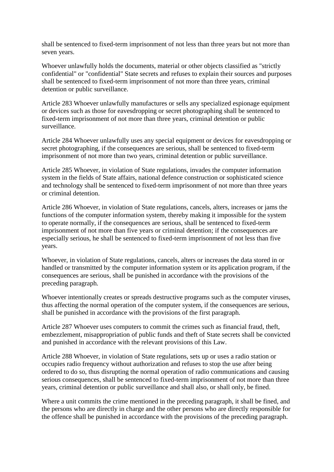shall be sentenced to fixed-term imprisonment of not less than three years but not more than seven years.

Whoever unlawfully holds the documents, material or other objects classified as "strictly confidential" or "confidential" State secrets and refuses to explain their sources and purposes shall be sentenced to fixed-term imprisonment of not more than three years, criminal detention or public surveillance.

Article 283 Whoever unlawfully manufactures or sells any specialized espionage equipment or devices such as those for eavesdropping or secret photographing shall be sentenced to fixed-term imprisonment of not more than three years, criminal detention or public surveillance.

Article 284 Whoever unlawfully uses any special equipment or devices for eavesdropping or secret photographing, if the consequences are serious, shall be sentenced to fixed-term imprisonment of not more than two years, criminal detention or public surveillance.

Article 285 Whoever, in violation of State regulations, invades the computer information system in the fields of State affairs, national defence construction or sophisticated science and technology shall be sentenced to fixed-term imprisonment of not more than three years or criminal detention.

Article 286 Whoever, in violation of State regulations, cancels, alters, increases or jams the functions of the computer information system, thereby making it impossible for the system to operate normally, if the consequences are serious, shall be sentenced to fixed-term imprisonment of not more than five years or criminal detention; if the consequences are especially serious, he shall be sentenced to fixed-term imprisonment of not less than five years.

Whoever, in violation of State regulations, cancels, alters or increases the data stored in or handled or transmitted by the computer information system or its application program, if the consequences are serious, shall be punished in accordance with the provisions of the preceding paragraph.

Whoever intentionally creates or spreads destructive programs such as the computer viruses, thus affecting the normal operation of the computer system, if the consequences are serious, shall be punished in accordance with the provisions of the first paragraph.

Article 287 Whoever uses computers to commit the crimes such as financial fraud, theft, embezzlement, misappropriation of public funds and theft of State secrets shall be convicted and punished in accordance with the relevant provisions of this Law.

Article 288 Whoever, in violation of State regulations, sets up or uses a radio station or occupies radio frequency without authorization and refuses to stop the use after being ordered to do so, thus disrupting the normal operation of radio communications and causing serious consequences, shall be sentenced to fixed-term imprisonment of not more than three years, criminal detention or public surveillance and shall also, or shall only, be fined.

Where a unit commits the crime mentioned in the preceding paragraph, it shall be fined, and the persons who are directly in charge and the other persons who are directly responsible for the offence shall be punished in accordance with the provisions of the preceding paragraph.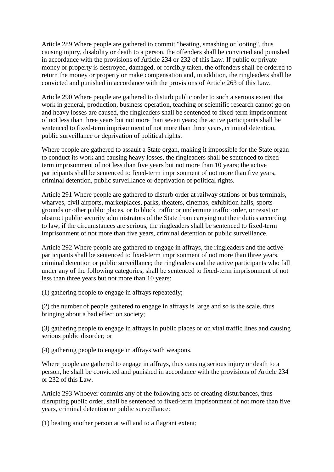Article 289 Where people are gathered to commit "beating, smashing or looting", thus causing injury, disability or death to a person, the offenders shall be convicted and punished in accordance with the provisions of Article 234 or 232 of this Law. If public or private money or property is destroyed, damaged, or forcibly taken, the offenders shall be ordered to return the money or property or make compensation and, in addition, the ringleaders shall be convicted and punished in accordance with the provisions of Article 263 of this Law.

Article 290 Where people are gathered to disturb public order to such a serious extent that work in general, production, business operation, teaching or scientific research cannot go on and heavy losses are caused, the ringleaders shall be sentenced to fixed-term imprisonment of not less than three years but not more than seven years; the active participants shall be sentenced to fixed-term imprisonment of not more than three years, criminal detention, public surveillance or deprivation of political rights.

Where people are gathered to assault a State organ, making it impossible for the State organ to conduct its work and causing heavy losses, the ringleaders shall be sentenced to fixedterm imprisonment of not less than five years but not more than 10 years; the active participants shall be sentenced to fixed-term imprisonment of not more than five years, criminal detention, public surveillance or deprivation of political rights.

Article 291 Where people are gathered to disturb order at railway stations or bus terminals, wharves, civil airports, marketplaces, parks, theaters, cinemas, exhibition halls, sports grounds or other public places, or to block traffic or undermine traffic order, or resist or obstruct public security administrators of the State from carrying out their duties according to law, if the circumstances are serious, the ringleaders shall be sentenced to fixed-term imprisonment of not more than five years, criminal detention or public surveillance.

Article 292 Where people are gathered to engage in affrays, the ringleaders and the active participants shall be sentenced to fixed-term imprisonment of not more than three years, criminal detention or public surveillance; the ringleaders and the active participants who fall under any of the following categories, shall be sentenced to fixed-term imprisonment of not less than three years but not more than 10 years:

(1) gathering people to engage in affrays repeatedly;

(2) the number of people gathered to engage in affrays is large and so is the scale, thus bringing about a bad effect on society;

(3) gathering people to engage in affrays in public places or on vital traffic lines and causing serious public disorder; or

(4) gathering people to engage in affrays with weapons.

Where people are gathered to engage in affrays, thus causing serious injury or death to a person, he shall be convicted and punished in accordance with the provisions of Article 234 or 232 of this Law.

Article 293 Whoever commits any of the following acts of creating disturbances, thus disrupting public order, shall be sentenced to fixed-term imprisonment of not more than five years, criminal detention or public surveillance:

(1) beating another person at will and to a flagrant extent;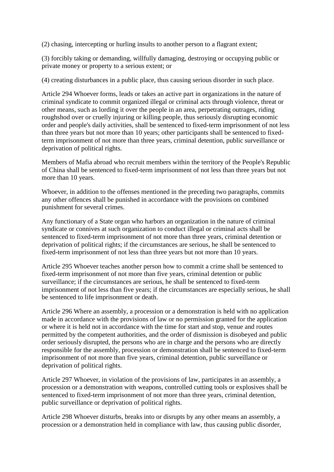(2) chasing, intercepting or hurling insults to another person to a flagrant extent;

(3) forcibly taking or demanding, willfully damaging, destroying or occupying public or private money or property to a serious extent; or

(4) creating disturbances in a public place, thus causing serious disorder in such place.

Article 294 Whoever forms, leads or takes an active part in organizations in the nature of criminal syndicate to commit organized illegal or criminal acts through violence, threat or other means, such as lording it over the people in an area, perpetrating outrages, riding roughshod over or cruelly injuring or killing people, thus seriously disrupting economic order and people's daily activities, shall be sentenced to fixed-term imprisonment of not less than three years but not more than 10 years; other participants shall be sentenced to fixedterm imprisonment of not more than three years, criminal detention, public surveillance or deprivation of political rights.

Members of Mafia abroad who recruit members within the territory of the People's Republic of China shall be sentenced to fixed-term imprisonment of not less than three years but not more than 10 years.

Whoever, in addition to the offenses mentioned in the preceding two paragraphs, commits any other offences shall be punished in accordance with the provisions on combined punishment for several crimes.

Any functionary of a State organ who harbors an organization in the nature of criminal syndicate or connives at such organization to conduct illegal or criminal acts shall be sentenced to fixed-term imprisonment of not more than three years, criminal detention or deprivation of political rights; if the circumstances are serious, he shall be sentenced to fixed-term imprisonment of not less than three years but not more than 10 years.

Article 295 Whoever teaches another person how to commit a crime shall be sentenced to fixed-term imprisonment of not more than five years, criminal detention or public surveillance; if the circumstances are serious, he shall be sentenced to fixed-term imprisonment of not less than five years; if the circumstances are especially serious, he shall be sentenced to life imprisonment or death.

Article 296 Where an assembly, a procession or a demonstration is held with no application made in accordance with the provisions of law or no permission granted for the application or where it is held not in accordance with the time for start and stop, venue and routes permitted by the competent authorities, and the order of dismission is disobeyed and public order seriously disrupted, the persons who are in charge and the persons who are directly responsible for the assembly, procession or demonstration shall be sentenced to fixed-term imprisonment of not more than five years, criminal detention, public surveillance or deprivation of political rights.

Article 297 Whoever, in violation of the provisions of law, participates in an assembly, a procession or a demonstration with weapons, controlled cutting tools or explosives shall be sentenced to fixed-term imprisonment of not more than three years, criminal detention, public surveillance or deprivation of political rights.

Article 298 Whoever disturbs, breaks into or disrupts by any other means an assembly, a procession or a demonstration held in compliance with law, thus causing public disorder,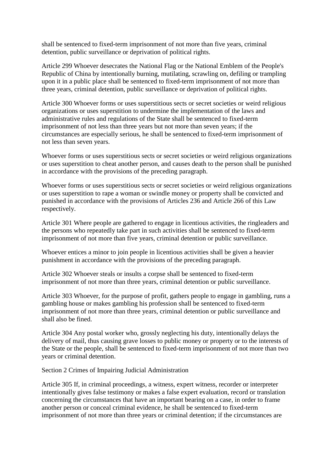shall be sentenced to fixed-term imprisonment of not more than five years, criminal detention, public surveillance or deprivation of political rights.

Article 299 Whoever desecrates the National Flag or the National Emblem of the People's Republic of China by intentionally burning, mutilating, scrawling on, defiling or trampling upon it in a public place shall be sentenced to fixed-term imprisonment of not more than three years, criminal detention, public surveillance or deprivation of political rights.

Article 300 Whoever forms or uses superstitious sects or secret societies or weird religious organizations or uses superstition to undermine the implementation of the laws and administrative rules and regulations of the State shall be sentenced to fixed-term imprisonment of not less than three years but not more than seven years; if the circumstances are especially serious, he shall be sentenced to fixed-term imprisonment of not less than seven years.

Whoever forms or uses superstitious sects or secret societies or weird religious organizations or uses superstition to cheat another person, and causes death to the person shall be punished in accordance with the provisions of the preceding paragraph.

Whoever forms or uses superstitious sects or secret societies or weird religious organizations or uses superstition to rape a woman or swindle money or property shall be convicted and punished in accordance with the provisions of Articles 236 and Article 266 of this Law respectively.

Article 301 Where people are gathered to engage in licentious activities, the ringleaders and the persons who repeatedly take part in such activities shall be sentenced to fixed-term imprisonment of not more than five years, criminal detention or public surveillance.

Whoever entices a minor to join people in licentious activities shall be given a heavier punishment in accordance with the provisions of the preceding paragraph.

Article 302 Whoever steals or insults a corpse shall be sentenced to fixed-term imprisonment of not more than three years, criminal detention or public surveillance.

Article 303 Whoever, for the purpose of profit, gathers people to engage in gambling, runs a gambling house or makes gambling his profession shall be sentenced to fixed-term imprisonment of not more than three years, criminal detention or public surveillance and shall also be fined.

Article 304 Any postal worker who, grossly neglecting his duty, intentionally delays the delivery of mail, thus causing grave losses to public money or property or to the interests of the State or the people, shall be sentenced to fixed-term imprisonment of not more than two years or criminal detention.

Section 2 Crimes of Impairing Judicial Administration

Article 305 If, in criminal proceedings, a witness, expert witness, recorder or interpreter intentionally gives false testimony or makes a false expert evaluation, record or translation concerning the circumstances that have an important bearing on a case, in order to frame another person or conceal criminal evidence, he shall be sentenced to fixed-term imprisonment of not more than three years or criminal detention; if the circumstances are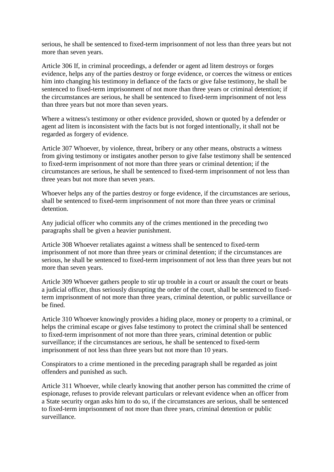serious, he shall be sentenced to fixed-term imprisonment of not less than three years but not more than seven years.

Article 306 If, in criminal proceedings, a defender or agent ad litem destroys or forges evidence, helps any of the parties destroy or forge evidence, or coerces the witness or entices him into changing his testimony in defiance of the facts or give false testimony, he shall be sentenced to fixed-term imprisonment of not more than three years or criminal detention; if the circumstances are serious, he shall be sentenced to fixed-term imprisonment of not less than three years but not more than seven years.

Where a witness's testimony or other evidence provided, shown or quoted by a defender or agent ad litem is inconsistent with the facts but is not forged intentionally, it shall not be regarded as forgery of evidence.

Article 307 Whoever, by violence, threat, bribery or any other means, obstructs a witness from giving testimony or instigates another person to give false testimony shall be sentenced to fixed-term imprisonment of not more than three years or criminal detention; if the circumstances are serious, he shall be sentenced to fixed-term imprisonment of not less than three years but not more than seven years.

Whoever helps any of the parties destroy or forge evidence, if the circumstances are serious, shall be sentenced to fixed-term imprisonment of not more than three years or criminal detention.

Any judicial officer who commits any of the crimes mentioned in the preceding two paragraphs shall be given a heavier punishment.

Article 308 Whoever retaliates against a witness shall be sentenced to fixed-term imprisonment of not more than three years or criminal detention; if the circumstances are serious, he shall be sentenced to fixed-term imprisonment of not less than three years but not more than seven years.

Article 309 Whoever gathers people to stir up trouble in a court or assault the court or beats a judicial officer, thus seriously disrupting the order of the court, shall be sentenced to fixedterm imprisonment of not more than three years, criminal detention, or public surveillance or be fined.

Article 310 Whoever knowingly provides a hiding place, money or property to a criminal, or helps the criminal escape or gives false testimony to protect the criminal shall be sentenced to fixed-term imprisonment of not more than three years, criminal detention or public surveillance; if the circumstances are serious, he shall be sentenced to fixed-term imprisonment of not less than three years but not more than 10 years.

Conspirators to a crime mentioned in the preceding paragraph shall be regarded as joint offenders and punished as such.

Article 311 Whoever, while clearly knowing that another person has committed the crime of espionage, refuses to provide relevant particulars or relevant evidence when an officer from a State security organ asks him to do so, if the circumstances are serious, shall be sentenced to fixed-term imprisonment of not more than three years, criminal detention or public surveillance.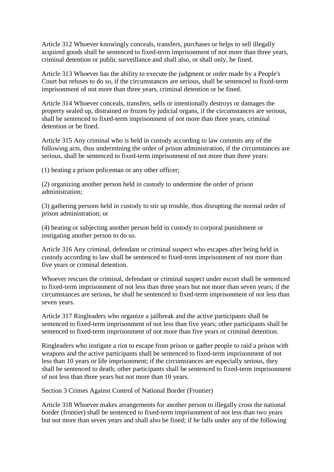Article 312 Whoever knowingly conceals, transfers, purchases or helps to sell illegally acquired goods shall be sentenced to fixed-term imprisonment of not more than three years, criminal detention or public surveillance and shall also, or shall only, be fined.

Article 313 Whoever has the ability to execute the judgment or order made by a People's Court but refuses to do so, if the circumstances are serious, shall be sentenced to fixed-term imprisonment of not more than three years, criminal detention or be fined.

Article 314 Whoever conceals, transfers, sells or intentionally destroys or damages the property sealed up, distrained or frozen by judicial organs, if the circumstances are serious, shall be sentenced to fixed-term imprisonment of not more than three years, criminal detention or be fined.

Article 315 Any criminal who is held in custody according to law commits any of the following acts, thus undermining the order of prison administration, if the circumstances are serious, shall be sentenced to fixed-term imprisonment of not more than three years:

(1) beating a prison policeman or any other officer;

(2) organizing another person held in custody to undermine the order of prison administration;

(3) gathering persons held in custody to stir up trouble, thus disrupting the normal order of prison administration; or

(4) beating or subjecting another person held in custody to corporal punishment or instigating another person to do so.

Article 316 Any criminal, defendant or criminal suspect who escapes after being held in custody according to law shall be sentenced to fixed-term imprisonment of not more than five years or criminal detention.

Whoever rescues the criminal, defendant or criminal suspect under escort shall be sentenced to fixed-term imprisonment of not less than three years but not more than seven years; if the circumstances are serious, he shall be sentenced to fixed-term imprisonment of not less than seven years.

Article 317 Ringleaders who organize a jailbreak and the active participants shall be sentenced to fixed-term imprisonment of not less than five years; other participants shall be sentenced to fixed-term imprisonment of not more than five years or criminal detention.

Ringleaders who instigate a riot to escape from prison or gather people to raid a prison with weapons and the active participants shall be sentenced to fixed-term imprisonment of not less than 10 years or life imprisonment; if the circumstances are especially serious, they shall be sentenced to death; other participants shall be sentenced to fixed-term imprisonment of not less than three years but not more than 10 years.

Section 3 Crimes Against Control of National Border (Frontier)

Article 318 Whoever makes arrangements for another person to illegally cross the national border (frontier) shall be sentenced to fixed-term imprisonment of not less than two years but not more than seven years and shall also be fined; if he falls under any of the following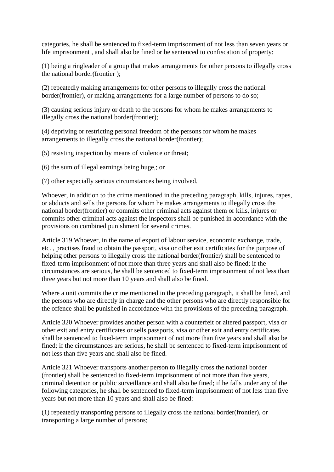categories, he shall be sentenced to fixed-term imprisonment of not less than seven years or life imprisonment , and shall also be fined or be sentenced to confiscation of property:

(1) being a ringleader of a group that makes arrangements for other persons to illegally cross the national border(frontier );

(2) repeatedly making arrangements for other persons to illegally cross the national border(frontier), or making arrangements for a large number of persons to do so;

(3) causing serious injury or death to the persons for whom he makes arrangements to illegally cross the national border(frontier);

(4) depriving or restricting personal freedom of the persons for whom he makes arrangements to illegally cross the national border(frontier);

(5) resisting inspection by means of violence or threat;

(6) the sum of illegal earnings being huge,; or

(7) other especially serious circumstances being involved.

Whoever, in addition to the crime mentioned in the preceding paragraph, kills, injures, rapes, or abducts and sells the persons for whom he makes arrangements to illegally cross the national border(frontier) or commits other criminal acts against them or kills, injures or commits other criminal acts against the inspectors shall be punished in accordance with the provisions on combined punishment for several crimes.

Article 319 Whoever, in the name of export of labour service, economic exchange, trade, etc. , practises fraud to obtain the passport, visa or other exit certificates for the purpose of helping other persons to illegally cross the national border(frontier) shall be sentenced to fixed-term imprisonment of not more than three years and shall also be fined; if the circumstances are serious, he shall be sentenced to fixed-term imprisonment of not less than three years but not more than 10 years and shall also be fined.

Where a unit commits the crime mentioned in the preceding paragraph, it shall be fined, and the persons who are directly in charge and the other persons who are directly responsible for the offence shall be punished in accordance with the provisions of the preceding paragraph.

Article 320 Whoever provides another person with a counterfeit or altered passport, visa or other exit and entry certificates or sells passports, visa or other exit and entry certificates shall be sentenced to fixed-term imprisonment of not more than five years and shall also be fined; if the circumstances are serious, he shall be sentenced to fixed-term imprisonment of not less than five years and shall also be fined.

Article 321 Whoever transports another person to illegally cross the national border (frontier) shall be sentenced to fixed-term imprisonment of not more than five years, criminal detention or public surveillance and shall also be fined; if he falls under any of the following categories, he shall be sentenced to fixed-term imprisonment of not less than five years but not more than 10 years and shall also be fined:

(1) repeatedly transporting persons to illegally cross the national border(frontier), or transporting a large number of persons;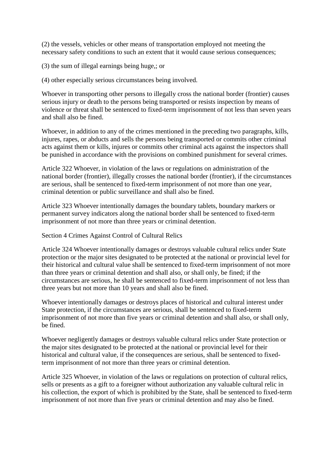(2) the vessels, vehicles or other means of transportation employed not meeting the necessary safety conditions to such an extent that it would cause serious consequences;

(3) the sum of illegal earnings being huge,; or

(4) other especially serious circumstances being involved.

Whoever in transporting other persons to illegally cross the national border (frontier) causes serious injury or death to the persons being transported or resists inspection by means of violence or threat shall be sentenced to fixed-term imprisonment of not less than seven years and shall also be fined.

Whoever, in addition to any of the crimes mentioned in the preceding two paragraphs, kills, injures, rapes, or abducts and sells the persons being transported or commits other criminal acts against them or kills, injures or commits other criminal acts against the inspectors shall be punished in accordance with the provisions on combined punishment for several crimes.

Article 322 Whoever, in violation of the laws or regulations on administration of the national border (frontier), illegally crosses the national border (frontier), if the circumstances are serious, shall be sentenced to fixed-term imprisonment of not more than one year, criminal detention or public surveillance and shall also be fined.

Article 323 Whoever intentionally damages the boundary tablets, boundary markers or permanent survey indicators along the national border shall be sentenced to fixed-term imprisonment of not more than three years or criminal detention.

Section 4 Crimes Against Control of Cultural Relics

Article 324 Whoever intentionally damages or destroys valuable cultural relics under State protection or the major sites designated to be protected at the national or provincial level for their historical and cultural value shall be sentenced to fixed-term imprisonment of not more than three years or criminal detention and shall also, or shall only, be fined; if the circumstances are serious, he shall be sentenced to fixed-term imprisonment of not less than three years but not more than 10 years and shall also be fined.

Whoever intentionally damages or destroys places of historical and cultural interest under State protection, if the circumstances are serious, shall be sentenced to fixed-term imprisonment of not more than five years or criminal detention and shall also, or shall only, be fined.

Whoever negligently damages or destroys valuable cultural relics under State protection or the major sites designated to be protected at the national or provincial level for their historical and cultural value, if the consequences are serious, shall be sentenced to fixedterm imprisonment of not more than three years or criminal detention.

Article 325 Whoever, in violation of the laws or regulations on protection of cultural relics, sells or presents as a gift to a foreigner without authorization any valuable cultural relic in his collection, the export of which is prohibited by the State, shall be sentenced to fixed-term imprisonment of not more than five years or criminal detention and may also be fined.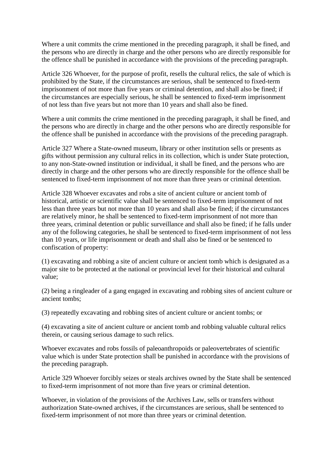Where a unit commits the crime mentioned in the preceding paragraph, it shall be fined, and the persons who are directly in charge and the other persons who are directly responsible for the offence shall be punished in accordance with the provisions of the preceding paragraph.

Article 326 Whoever, for the purpose of profit, resells the cultural relics, the sale of which is prohibited by the State, if the circumstances are serious, shall be sentenced to fixed-term imprisonment of not more than five years or criminal detention, and shall also be fined; if the circumstances are especially serious, he shall be sentenced to fixed-term imprisonment of not less than five years but not more than 10 years and shall also be fined.

Where a unit commits the crime mentioned in the preceding paragraph, it shall be fined, and the persons who are directly in charge and the other persons who are directly responsible for the offence shall be punished in accordance with the provisions of the preceding paragraph.

Article 327 Where a State-owned museum, library or other institution sells or presents as gifts without permission any cultural relics in its collection, which is under State protection, to any non-State-owned institution or individual, it shall be fined, and the persons who are directly in charge and the other persons who are directly responsible for the offence shall be sentenced to fixed-term imprisonment of not more than three years or criminal detention.

Article 328 Whoever excavates and robs a site of ancient culture or ancient tomb of historical, artistic or scientific value shall be sentenced to fixed-term imprisonment of not less than three years but not more than 10 years and shall also be fined; if the circumstances are relatively minor, he shall be sentenced to fixed-term imprisonment of not more than three years, criminal detention or public surveillance and shall also be fined; if he falls under any of the following categories, he shall be sentenced to fixed-term imprisonment of not less than 10 years, or life imprisonment or death and shall also be fined or be sentenced to confiscation of property:

(1) excavating and robbing a site of ancient culture or ancient tomb which is designated as a major site to be protected at the national or provincial level for their historical and cultural value;

(2) being a ringleader of a gang engaged in excavating and robbing sites of ancient culture or ancient tombs;

(3) repeatedly excavating and robbing sites of ancient culture or ancient tombs; or

(4) excavating a site of ancient culture or ancient tomb and robbing valuable cultural relics therein, or causing serious damage to such relics.

Whoever excavates and robs fossils of paleoanthropoids or paleovertebrates of scientific value which is under State protection shall be punished in accordance with the provisions of the preceding paragraph.

Article 329 Whoever forcibly seizes or steals archives owned by the State shall be sentenced to fixed-term imprisonment of not more than five years or criminal detention.

Whoever, in violation of the provisions of the Archives Law, sells or transfers without authorization State-owned archives, if the circumstances are serious, shall be sentenced to fixed-term imprisonment of not more than three years or criminal detention.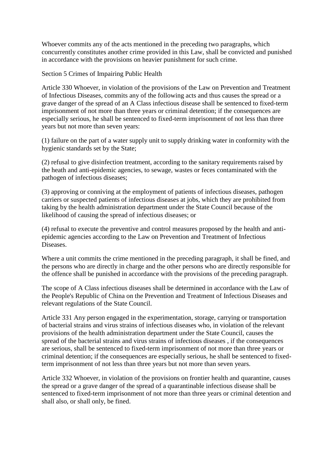Whoever commits any of the acts mentioned in the preceding two paragraphs, which concurrently constitutes another crime provided in this Law, shall be convicted and punished in accordance with the provisions on heavier punishment for such crime.

Section 5 Crimes of Impairing Public Health

Article 330 Whoever, in violation of the provisions of the Law on Prevention and Treatment of Infectious Diseases, commits any of the following acts and thus causes the spread or a grave danger of the spread of an A Class infectious disease shall be sentenced to fixed-term imprisonment of not more than three years or criminal detention; if the consequences are especially serious, he shall be sentenced to fixed-term imprisonment of not less than three years but not more than seven years:

(1) failure on the part of a water supply unit to supply drinking water in conformity with the hygienic standards set by the State;

(2) refusal to give disinfection treatment, according to the sanitary requirements raised by the heath and anti-epidemic agencies, to sewage, wastes or feces contaminated with the pathogen of infectious diseases;

(3) approving or conniving at the employment of patients of infectious diseases, pathogen carriers or suspected patients of infectious diseases at jobs, which they are prohibited from taking by the health administration department under the State Council because of the likelihood of causing the spread of infectious diseases; or

(4) refusal to execute the preventive and control measures proposed by the health and antiepidemic agencies according to the Law on Prevention and Treatment of Infectious Diseases.

Where a unit commits the crime mentioned in the preceding paragraph, it shall be fined, and the persons who are directly in charge and the other persons who are directly responsible for the offence shall be punished in accordance with the provisions of the preceding paragraph.

The scope of A Class infectious diseases shall be determined in accordance with the Law of the People's Republic of China on the Prevention and Treatment of Infectious Diseases and relevant regulations of the State Council.

Article 331 Any person engaged in the experimentation, storage, carrying or transportation of bacterial strains and virus strains of infectious diseases who, in violation of the relevant provisions of the health administration department under the State Council, causes the spread of the bacterial strains and virus strains of infectious diseases , if the consequences are serious, shall be sentenced to fixed-term imprisonment of not more than three years or criminal detention; if the consequences are especially serious, he shall be sentenced to fixedterm imprisonment of not less than three years but not more than seven years.

Article 332 Whoever, in violation of the provisions on frontier health and quarantine, causes the spread or a grave danger of the spread of a quarantinable infectious disease shall be sentenced to fixed-term imprisonment of not more than three years or criminal detention and shall also, or shall only, be fined.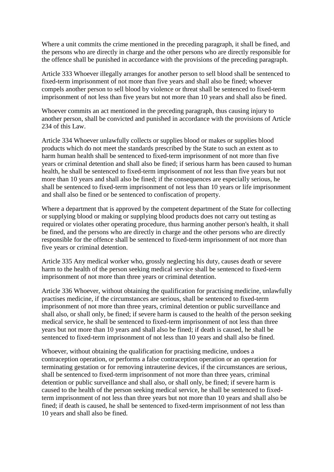Where a unit commits the crime mentioned in the preceding paragraph, it shall be fined, and the persons who are directly in charge and the other persons who are directly responsible for the offence shall be punished in accordance with the provisions of the preceding paragraph.

Article 333 Whoever illegally arranges for another person to sell blood shall be sentenced to fixed-term imprisonment of not more than five years and shall also be fined; whoever compels another person to sell blood by violence or threat shall be sentenced to fixed-term imprisonment of not less than five years but not more than 10 years and shall also be fined.

Whoever commits an act mentioned in the preceding paragraph, thus causing injury to another person, shall be convicted and punished in accordance with the provisions of Article 234 of this Law.

Article 334 Whoever unlawfully collects or supplies blood or makes or supplies blood products which do not meet the standards prescribed by the State to such an extent as to harm human health shall be sentenced to fixed-term imprisonment of not more than five years or criminal detention and shall also be fined; if serious harm has been caused to human health, he shall be sentenced to fixed-term imprisonment of not less than five years but not more than 10 years and shall also be fined; if the consequences are especially serious, he shall be sentenced to fixed-term imprisonment of not less than 10 years or life imprisonment and shall also be fined or be sentenced to confiscation of property.

Where a department that is approved by the competent department of the State for collecting or supplying blood or making or supplying blood products does not carry out testing as required or violates other operating procedure, thus harming another person's health, it shall be fined, and the persons who are directly in charge and the other persons who are directly responsible for the offence shall be sentenced to fixed-term imprisonment of not more than five years or criminal detention.

Article 335 Any medical worker who, grossly neglecting his duty, causes death or severe harm to the health of the person seeking medical service shall be sentenced to fixed-term imprisonment of not more than three years or criminal detention.

Article 336 Whoever, without obtaining the qualification for practising medicine, unlawfully practises medicine, if the circumstances are serious, shall be sentenced to fixed-term imprisonment of not more than three years, criminal detention or public surveillance and shall also, or shall only, be fined; if severe harm is caused to the health of the person seeking medical service, he shall be sentenced to fixed-term imprisonment of not less than three years but not more than 10 years and shall also be fined; if death is caused, he shall be sentenced to fixed-term imprisonment of not less than 10 years and shall also be fined.

Whoever, without obtaining the qualification for practising medicine, undoes a contraception operation, or performs a false contraception operation or an operation for terminating gestation or for removing intrauterine devices, if the circumstances are serious, shall be sentenced to fixed-term imprisonment of not more than three years, criminal detention or public surveillance and shall also, or shall only, be fined; if severe harm is caused to the health of the person seeking medical service, he shall be sentenced to fixedterm imprisonment of not less than three years but not more than 10 years and shall also be fined; if death is caused, he shall be sentenced to fixed-term imprisonment of not less than 10 years and shall also be fined.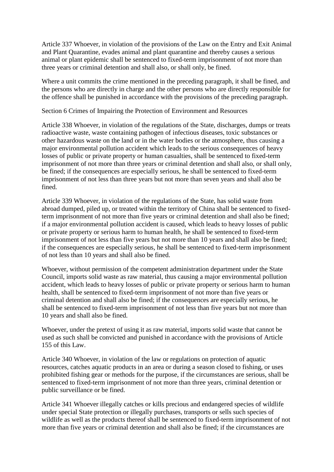Article 337 Whoever, in violation of the provisions of the Law on the Entry and Exit Animal and Plant Quarantine, evades animal and plant quarantine and thereby causes a serious animal or plant epidemic shall be sentenced to fixed-term imprisonment of not more than three years or criminal detention and shall also, or shall only, be fined.

Where a unit commits the crime mentioned in the preceding paragraph, it shall be fined, and the persons who are directly in charge and the other persons who are directly responsible for the offence shall be punished in accordance with the provisions of the preceding paragraph.

Section 6 Crimes of Impairing the Protection of Environment and Resources

Article 338 Whoever, in violation of the regulations of the State, discharges, dumps or treats radioactive waste, waste containing pathogen of infectious diseases, toxic substances or other hazardous waste on the land or in the water bodies or the atmosphere, thus causing a major environmental pollution accident which leads to the serious consequences of heavy losses of public or private property or human casualties, shall be sentenced to fixed-term imprisonment of not more than three years or criminal detention and shall also, or shall only, be fined; if the consequences are especially serious, he shall be sentenced to fixed-term imprisonment of not less than three years but not more than seven years and shall also be fined.

Article 339 Whoever, in violation of the regulations of the State, has solid waste from abroad dumped, piled up, or treated within the territory of China shall be sentenced to fixedterm imprisonment of not more than five years or criminal detention and shall also be fined; if a major environmental pollution accident is caused, which leads to heavy losses of public or private property or serious harm to human health, he shall be sentenced to fixed-term imprisonment of not less than five years but not more than 10 years and shall also be fined; if the consequences are especially serious, he shall be sentenced to fixed-term imprisonment of not less than 10 years and shall also be fined.

Whoever, without permission of the competent administration department under the State Council, imports solid waste as raw material, thus causing a major environmental pollution accident, which leads to heavy losses of public or private property or serious harm to human health, shall be sentenced to fixed-term imprisonment of not more than five years or criminal detention and shall also be fined; if the consequences are especially serious, he shall be sentenced to fixed-term imprisonment of not less than five years but not more than 10 years and shall also be fined.

Whoever, under the pretext of using it as raw material, imports solid waste that cannot be used as such shall be convicted and punished in accordance with the provisions of Article 155 of this Law.

Article 340 Whoever, in violation of the law or regulations on protection of aquatic resources, catches aquatic products in an area or during a season closed to fishing, or uses prohibited fishing gear or methods for the purpose, if the circumstances are serious, shall be sentenced to fixed-term imprisonment of not more than three years, criminal detention or public surveillance or be fined.

Article 341 Whoever illegally catches or kills precious and endangered species of wildlife under special State protection or illegally purchases, transports or sells such species of wildlife as well as the products thereof shall be sentenced to fixed-term imprisonment of not more than five years or criminal detention and shall also be fined; if the circumstances are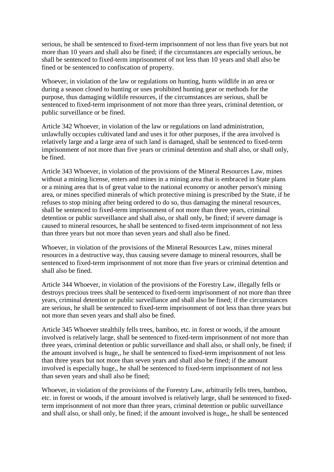serious, he shall be sentenced to fixed-term imprisonment of not less than five years but not more than 10 years and shall also be fined; if the circumstances are especially serious, he shall be sentenced to fixed-term imprisonment of not less than 10 years and shall also be fined or be sentenced to confiscation of property.

Whoever, in violation of the law or regulations on hunting, hunts wildlife in an area or during a season closed to hunting or uses prohibited hunting gear or methods for the purpose, thus damaging wildlife resources, if the circumstances are serious, shall be sentenced to fixed-term imprisonment of not more than three years, criminal detention, or public surveillance or be fined.

Article 342 Whoever, in violation of the law or regulations on land administration, unlawfully occupies cultivated land and uses it for other purposes, if the area involved is relatively large and a large area of such land is damaged, shall be sentenced to fixed-term imprisonment of not more than five years or criminal detention and shall also, or shall only, be fined.

Article 343 Whoever, in violation of the provisions of the Mineral Resources Law, mines without a mining license, enters and mines in a mining area that is embraced in State plans or a mining area that is of great value to the national economy or another person's mining area, or mines specified minerals of which protective mining is prescribed by the State, if he refuses to stop mining after being ordered to do so, thus damaging the mineral resources, shall be sentenced to fixed-term imprisonment of not more than three years, criminal detention or public surveillance and shall also, or shall only, be fined; if severe damage is caused to mineral resources, he shall be sentenced to fixed-term imprisonment of not less than three years but not more than seven years and shall also be fined.

Whoever, in violation of the provisions of the Mineral Resources Law, mines mineral resources in a destructive way, thus causing severe damage to mineral resources, shall be sentenced to fixed-term imprisonment of not more than five years or criminal detention and shall also be fined.

Article 344 Whoever, in violation of the provisions of the Forestry Law, illegally fells or destroys precious trees shall be sentenced to fixed-term imprisonment of not more than three years, criminal detention or public surveillance and shall also be fined; if the circumstances are serious, he shall be sentenced to fixed-term imprisonment of not less than three years but not more than seven years and shall also be fined.

Article 345 Whoever stealthily fells trees, bamboo, etc. in forest or woods, if the amount involved is relatively large, shall be sentenced to fixed-term imprisonment of not more than three years, criminal detention or public surveillance and shall also, or shall only, be fined; if the amount involved is huge,, he shall be sentenced to fixed-term imprisonment of not less than three years but not more than seven years and shall also be fined; if the amount involved is especially huge,, he shall be sentenced to fixed-term imprisonment of not less than seven years and shall also be fined;

Whoever, in violation of the provisions of the Forestry Law, arbitrarily fells trees, bamboo, etc. in forest or woods, if the amount involved is relatively large, shall be sentenced to fixedterm imprisonment of not more than three years, criminal detention or public surveillance and shall also, or shall only, be fined; if the amount involved is huge,, he shall be sentenced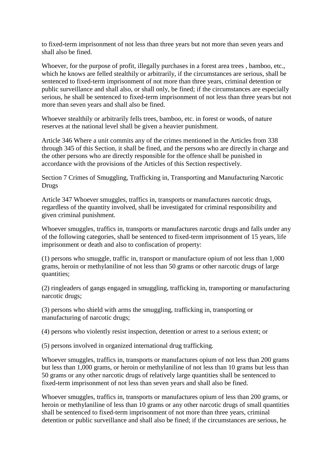to fixed-term imprisonment of not less than three years but not more than seven years and shall also be fined.

Whoever, for the purpose of profit, illegally purchases in a forest area trees , bamboo, etc., which he knows are felled stealthily or arbitrarily, if the circumstances are serious, shall be sentenced to fixed-term imprisonment of not more than three years, criminal detention or public surveillance and shall also, or shall only, be fined; if the circumstances are especially serious, he shall be sentenced to fixed-term imprisonment of not less than three years but not more than seven years and shall also be fined.

Whoever stealthily or arbitrarily fells trees, bamboo, etc. in forest or woods, of nature reserves at the national level shall be given a heavier punishment.

Article 346 Where a unit commits any of the crimes mentioned in the Articles from 338 through 345 of this Section, it shall be fined, and the persons who are directly in charge and the other persons who are directly responsible for the offence shall be punished in accordance with the provisions of the Articles of this Section respectively.

Section 7 Crimes of Smuggling, Trafficking in, Transporting and Manufacturing Narcotic Drugs

Article 347 Whoever smuggles, traffics in, transports or manufactures narcotic drugs, regardless of the quantity involved, shall be investigated for criminal responsibility and given criminal punishment.

Whoever smuggles, traffics in, transports or manufactures narcotic drugs and falls under any of the following categories, shall be sentenced to fixed-term imprisonment of 15 years, life imprisonment or death and also to confiscation of property:

(1) persons who smuggle, traffic in, transport or manufacture opium of not less than 1,000 grams, heroin or methylaniline of not less than 50 grams or other narcotic drugs of large quantities;

(2) ringleaders of gangs engaged in smuggling, trafficking in, transporting or manufacturing narcotic drugs;

(3) persons who shield with arms the smuggling, trafficking in, transporting or manufacturing of narcotic drugs;

(4) persons who violently resist inspection, detention or arrest to a serious extent; or

(5) persons involved in organized international drug trafficking.

Whoever smuggles, traffics in, transports or manufactures opium of not less than 200 grams but less than 1,000 grams, or heroin or methylaniline of not less than 10 grams but less than 50 grams or any other narcotic drugs of relatively large quantities shall be sentenced to fixed-term imprisonment of not less than seven years and shall also be fined.

Whoever smuggles, traffics in, transports or manufactures opium of less than 200 grams, or heroin or methylaniline of less than 10 grams or any other narcotic drugs of small quantities shall be sentenced to fixed-term imprisonment of not more than three years, criminal detention or public surveillance and shall also be fined; if the circumstances are serious, he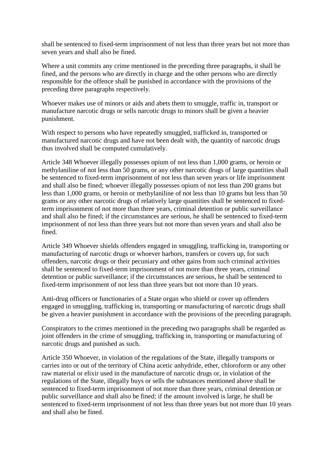shall be sentenced to fixed-term imprisonment of not less than three years but not more than seven years and shall also be fined.

Where a unit commits any crime mentioned in the preceding three paragraphs, it shall be fined, and the persons who are directly in charge and the other persons who are directly responsible for the offence shall be punished in accordance with the provisions of the preceding three paragraphs respectively.

Whoever makes use of minors or aids and abets them to smuggle, traffic in, transport or manufacture narcotic drugs or sells narcotic drugs to minors shall be given a heavier punishment.

With respect to persons who have repeatedly smuggled, trafficked in, transported or manufactured narcotic drugs and have not been dealt with, the quantity of narcotic drugs thus involved shall be computed cumulatively.

Article 348 Whoever illegally possesses opium of not less than 1,000 grams, or heroin or methylaniline of not less than 50 grams, or any other narcotic drugs of large quantities shall be sentenced to fixed-term imprisonment of not less than seven years or life imprisonment and shall also be fined; whoever illegally possesses opium of not less than 200 grams but less than 1,000 grams, or heroin or methylaniline of not less than 10 grams but less than 50 grams or any other narcotic drugs of relatively large quantities shall be sentenced to fixedterm imprisonment of not more than three years, criminal detention or public surveillance and shall also be fined; if the circumstances are serious, he shall be sentenced to fixed-term imprisonment of not less than three years but not more than seven years and shall also be fined.

Article 349 Whoever shields offenders engaged in smuggling, trafficking in, transporting or manufacturing of narcotic drugs or whoever harbors, transfers or covers up, for such offenders, narcotic drugs or their pecuniary and other gains from such criminal activities shall be sentenced to fixed-term imprisonment of not more than three years, criminal detention or public surveillance; if the circumstances are serious, he shall be sentenced to fixed-term imprisonment of not less than three years but not more than 10 years.

Anti-drug officers or functionaries of a State organ who shield or cover up offenders engaged in smuggling, trafficking in, transporting or manufacturing of narcotic drugs shall be given a heavier punishment in accordance with the provisions of the preceding paragraph.

Conspirators to the crimes mentioned in the preceding two paragraphs shall be regarded as joint offenders in the crime of smuggling, trafficking in, transporting or manufacturing of narcotic drugs and punished as such.

Article 350 Whoever, in violation of the regulations of the State, illegally transports or carries into or out of the territory of China acetic anhydride, ether, chloroform or any other raw material or elixir used in the manufacture of narcotic drugs or, in violation of the regulations of the State, illegally buys or sells the substances mentioned above shall be sentenced to fixed-term imprisonment of not more than three years, criminal detention or public surveillance and shall also be fined; if the amount involved is large, he shall be sentenced to fixed-term imprisonment of not less than three years but not more than 10 years and shall also be fined.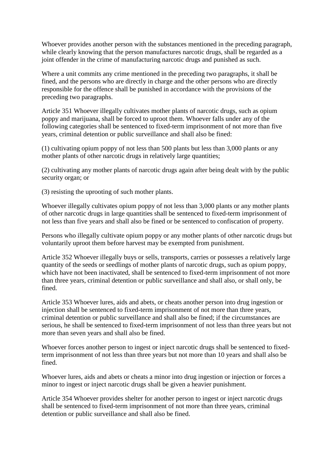Whoever provides another person with the substances mentioned in the preceding paragraph, while clearly knowing that the person manufactures narcotic drugs, shall be regarded as a joint offender in the crime of manufacturing narcotic drugs and punished as such.

Where a unit commits any crime mentioned in the preceding two paragraphs, it shall be fined, and the persons who are directly in charge and the other persons who are directly responsible for the offence shall be punished in accordance with the provisions of the preceding two paragraphs.

Article 351 Whoever illegally cultivates mother plants of narcotic drugs, such as opium poppy and marijuana, shall be forced to uproot them. Whoever falls under any of the following categories shall be sentenced to fixed-term imprisonment of not more than five years, criminal detention or public surveillance and shall also be fined:

(1) cultivating opium poppy of not less than 500 plants but less than 3,000 plants or any mother plants of other narcotic drugs in relatively large quantities;

(2) cultivating any mother plants of narcotic drugs again after being dealt with by the public security organ; or

(3) resisting the uprooting of such mother plants.

Whoever illegally cultivates opium poppy of not less than 3,000 plants or any mother plants of other narcotic drugs in large quantities shall be sentenced to fixed-term imprisonment of not less than five years and shall also be fined or be sentenced to confiscation of property.

Persons who illegally cultivate opium poppy or any mother plants of other narcotic drugs but voluntarily uproot them before harvest may be exempted from punishment.

Article 352 Whoever illegally buys or sells, transports, carries or possesses a relatively large quantity of the seeds or seedlings of mother plants of narcotic drugs, such as opium poppy, which have not been inactivated, shall be sentenced to fixed-term imprisonment of not more than three years, criminal detention or public surveillance and shall also, or shall only, be fined.

Article 353 Whoever lures, aids and abets, or cheats another person into drug ingestion or injection shall be sentenced to fixed-term imprisonment of not more than three years, criminal detention or public surveillance and shall also be fined; if the circumstances are serious, he shall be sentenced to fixed-term imprisonment of not less than three years but not more than seven years and shall also be fined.

Whoever forces another person to ingest or inject narcotic drugs shall be sentenced to fixedterm imprisonment of not less than three years but not more than 10 years and shall also be fined.

Whoever lures, aids and abets or cheats a minor into drug ingestion or injection or forces a minor to ingest or inject narcotic drugs shall be given a heavier punishment.

Article 354 Whoever provides shelter for another person to ingest or inject narcotic drugs shall be sentenced to fixed-term imprisonment of not more than three years, criminal detention or public surveillance and shall also be fined.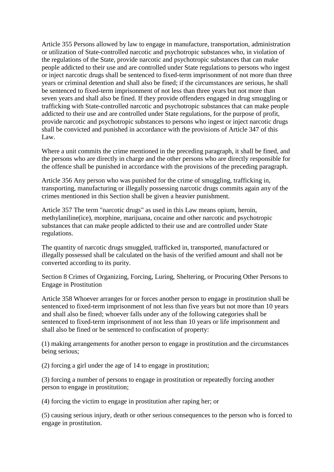Article 355 Persons allowed by law to engage in manufacture, transportation, administration or utilization of State-controlled narcotic and psychotropic substances who, in violation of the regulations of the State, provide narcotic and psychotropic substances that can make people addicted to their use and are controlled under State regulations to persons who ingest or inject narcotic drugs shall be sentenced to fixed-term imprisonment of not more than three years or criminal detention and shall also be fined; if the circumstances are serious, he shall be sentenced to fixed-term imprisonment of not less than three years but not more than seven years and shall also be fined. If they provide offenders engaged in drug smuggling or trafficking with State-controlled narcotic and psychotropic substances that can make people addicted to their use and are controlled under State regulations, for the purpose of profit, provide narcotic and psychotropic substances to persons who ingest or inject narcotic drugs shall be convicted and punished in accordance with the provisions of Article 347 of this Law.

Where a unit commits the crime mentioned in the preceding paragraph, it shall be fined, and the persons who are directly in charge and the other persons who are directly responsible for the offence shall be punished in accordance with the provisions of the preceding paragraph.

Article 356 Any person who was punished for the crime of smuggling, trafficking in, transporting, manufacturing or illegally possessing narcotic drugs commits again any of the crimes mentioned in this Section shall be given a heavier punishment.

Article 357 The term "narcotic drugs" as used in this Law means opium, heroin, methylaniline(ice), morphine, marijuana, cocaine and other narcotic and psychotropic substances that can make people addicted to their use and are controlled under State regulations.

The quantity of narcotic drugs smuggled, trafficked in, transported, manufactured or illegally possessed shall be calculated on the basis of the verified amount and shall not be converted according to its purity.

Section 8 Crimes of Organizing, Forcing, Luring, Sheltering, or Procuring Other Persons to Engage in Prostitution

Article 358 Whoever arranges for or forces another person to engage in prostitution shall be sentenced to fixed-term imprisonment of not less than five years but not more than 10 years and shall also be fined; whoever falls under any of the following categories shall be sentenced to fixed-term imprisonment of not less than 10 years or life imprisonment and shall also be fined or be sentenced to confiscation of property:

(1) making arrangements for another person to engage in prostitution and the circumstances being serious;

(2) forcing a girl under the age of 14 to engage in prostitution;

(3) forcing a number of persons to engage in prostitution or repeatedly forcing another person to engage in prostitution;

(4) forcing the victim to engage in prostitution after raping her; or

(5) causing serious injury, death or other serious consequences to the person who is forced to engage in prostitution.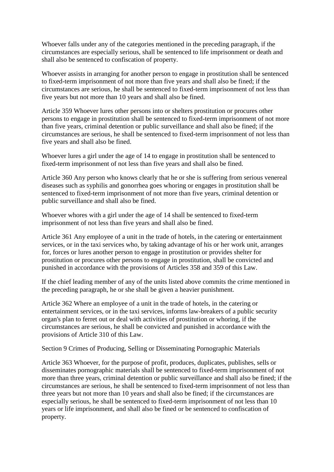Whoever falls under any of the categories mentioned in the preceding paragraph, if the circumstances are especially serious, shall be sentenced to life imprisonment or death and shall also be sentenced to confiscation of property.

Whoever assists in arranging for another person to engage in prostitution shall be sentenced to fixed-term imprisonment of not more than five years and shall also be fined; if the circumstances are serious, he shall be sentenced to fixed-term imprisonment of not less than five years but not more than 10 years and shall also be fined.

Article 359 Whoever lures other persons into or shelters prostitution or procures other persons to engage in prostitution shall be sentenced to fixed-term imprisonment of not more than five years, criminal detention or public surveillance and shall also be fined; if the circumstances are serious, he shall be sentenced to fixed-term imprisonment of not less than five years and shall also be fined.

Whoever lures a girl under the age of 14 to engage in prostitution shall be sentenced to fixed-term imprisonment of not less than five years and shall also be fined.

Article 360 Any person who knows clearly that he or she is suffering from serious venereal diseases such as syphilis and gonorrhea goes whoring or engages in prostitution shall be sentenced to fixed-term imprisonment of not more than five years, criminal detention or public surveillance and shall also be fined.

Whoever whores with a girl under the age of 14 shall be sentenced to fixed-term imprisonment of not less than five years and shall also be fined.

Article 361 Any employee of a unit in the trade of hotels, in the catering or entertainment services, or in the taxi services who, by taking advantage of his or her work unit, arranges for, forces or lures another person to engage in prostitution or provides shelter for prostitution or procures other persons to engage in prostitution, shall be convicted and punished in accordance with the provisions of Articles 358 and 359 of this Law.

If the chief leading member of any of the units listed above commits the crime mentioned in the preceding paragraph, he or she shall be given a heavier punishment.

Article 362 Where an employee of a unit in the trade of hotels, in the catering or entertainment services, or in the taxi services, informs law-breakers of a public security organ's plan to ferret out or deal with activities of prostitution or whoring, if the circumstances are serious, he shall be convicted and punished in accordance with the provisions of Article 310 of this Law.

Section 9 Crimes of Producing, Selling or Disseminating Pornographic Materials

Article 363 Whoever, for the purpose of profit, produces, duplicates, publishes, sells or disseminates pornographic materials shall be sentenced to fixed-term imprisonment of not more than three years, criminal detention or public surveillance and shall also be fined; if the circumstances are serious, he shall be sentenced to fixed-term imprisonment of not less than three years but not more than 10 years and shall also be fined; if the circumstances are especially serious, he shall be sentenced to fixed-term imprisonment of not less than 10 years or life imprisonment, and shall also be fined or be sentenced to confiscation of property.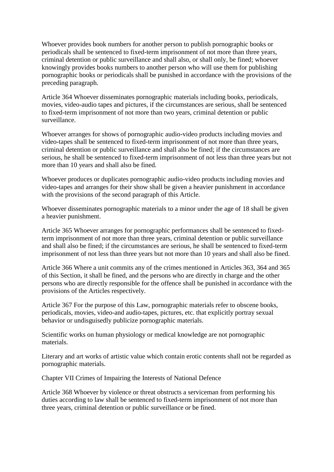Whoever provides book numbers for another person to publish pornographic books or periodicals shall be sentenced to fixed-term imprisonment of not more than three years, criminal detention or public surveillance and shall also, or shall only, be fined; whoever knowingly provides books numbers to another person who will use them for publishing pornographic books or periodicals shall be punished in accordance with the provisions of the preceding paragraph.

Article 364 Whoever disseminates pornographic materials including books, periodicals, movies, video-audio tapes and pictures, if the circumstances are serious, shall be sentenced to fixed-term imprisonment of not more than two years, criminal detention or public surveillance.

Whoever arranges for shows of pornographic audio-video products including movies and video-tapes shall be sentenced to fixed-term imprisonment of not more than three years, criminal detention or public surveillance and shall also be fined; if the circumstances are serious, he shall be sentenced to fixed-term imprisonment of not less than three years but not more than 10 years and shall also be fined.

Whoever produces or duplicates pornographic audio-video products including movies and video-tapes and arranges for their show shall be given a heavier punishment in accordance with the provisions of the second paragraph of this Article.

Whoever disseminates pornographic materials to a minor under the age of 18 shall be given a heavier punishment.

Article 365 Whoever arranges for pornographic performances shall be sentenced to fixedterm imprisonment of not more than three years, criminal detention or public surveillance and shall also be fined; if the circumstances are serious, he shall be sentenced to fixed-term imprisonment of not less than three years but not more than 10 years and shall also be fined.

Article 366 Where a unit commits any of the crimes mentioned in Articles 363, 364 and 365 of this Section, it shall be fined, and the persons who are directly in charge and the other persons who are directly responsible for the offence shall be punished in accordance with the provisions of the Articles respectively.

Article 367 For the purpose of this Law, pornographic materials refer to obscene books, periodicals, movies, video-and audio-tapes, pictures, etc. that explicitly portray sexual behavior or undisguisedly publicize pornographic materials.

Scientific works on human physiology or medical knowledge are not pornographic materials.

Literary and art works of artistic value which contain erotic contents shall not be regarded as pornographic materials.

Chapter VII Crimes of Impairing the Interests of National Defence

Article 368 Whoever by violence or threat obstructs a serviceman from performing his duties according to law shall be sentenced to fixed-term imprisonment of not more than three years, criminal detention or public surveillance or be fined.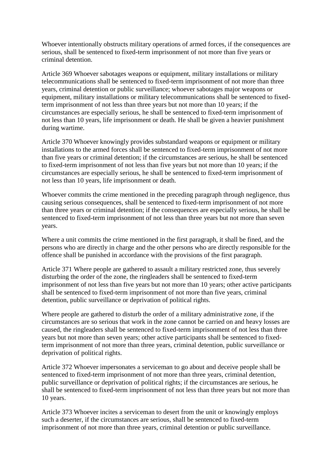Whoever intentionally obstructs military operations of armed forces, if the consequences are serious, shall be sentenced to fixed-term imprisonment of not more than five years or criminal detention.

Article 369 Whoever sabotages weapons or equipment, military installations or military telecommunications shall be sentenced to fixed-term imprisonment of not more than three years, criminal detention or public surveillance; whoever sabotages major weapons or equipment, military installations or military telecommunications shall be sentenced to fixedterm imprisonment of not less than three years but not more than 10 years; if the circumstances are especially serious, he shall be sentenced to fixed-term imprisonment of not less than 10 years, life imprisonment or death. He shall be given a heavier punishment during wartime.

Article 370 Whoever knowingly provides substandard weapons or equipment or military installations to the armed forces shall be sentenced to fixed-term imprisonment of not more than five years or criminal detention; if the circumstances are serious, he shall be sentenced to fixed-term imprisonment of not less than five years but not more than 10 years; if the circumstances are especially serious, he shall be sentenced to fixed-term imprisonment of not less than 10 years, life imprisonment or death.

Whoever commits the crime mentioned in the preceding paragraph through negligence, thus causing serious consequences, shall be sentenced to fixed-term imprisonment of not more than three years or criminal detention; if the consequences are especially serious, he shall be sentenced to fixed-term imprisonment of not less than three years but not more than seven years.

Where a unit commits the crime mentioned in the first paragraph, it shall be fined, and the persons who are directly in charge and the other persons who are directly responsible for the offence shall be punished in accordance with the provisions of the first paragraph.

Article 371 Where people are gathered to assault a military restricted zone, thus severely disturbing the order of the zone, the ringleaders shall be sentenced to fixed-term imprisonment of not less than five years but not more than 10 years; other active participants shall be sentenced to fixed-term imprisonment of not more than five years, criminal detention, public surveillance or deprivation of political rights.

Where people are gathered to disturb the order of a military administrative zone, if the circumstances are so serious that work in the zone cannot be carried on and heavy losses are caused, the ringleaders shall be sentenced to fixed-term imprisonment of not less than three years but not more than seven years; other active participants shall be sentenced to fixedterm imprisonment of not more than three years, criminal detention, public surveillance or deprivation of political rights.

Article 372 Whoever impersonates a serviceman to go about and deceive people shall be sentenced to fixed-term imprisonment of not more than three years, criminal detention, public surveillance or deprivation of political rights; if the circumstances are serious, he shall be sentenced to fixed-term imprisonment of not less than three years but not more than 10 years.

Article 373 Whoever incites a serviceman to desert from the unit or knowingly employs such a deserter, if the circumstances are serious, shall be sentenced to fixed-term imprisonment of not more than three years, criminal detention or public surveillance.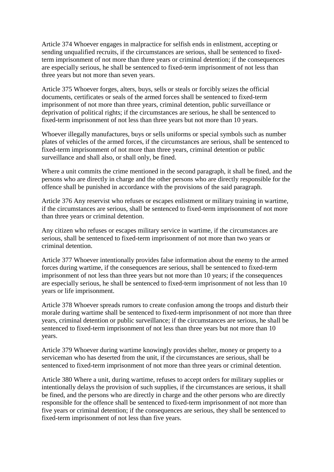Article 374 Whoever engages in malpractice for selfish ends in enlistment, accepting or sending unqualified recruits, if the circumstances are serious, shall be sentenced to fixedterm imprisonment of not more than three years or criminal detention; if the consequences are especially serious, he shall be sentenced to fixed-term imprisonment of not less than three years but not more than seven years.

Article 375 Whoever forges, alters, buys, sells or steals or forcibly seizes the official documents, certificates or seals of the armed forces shall be sentenced to fixed-term imprisonment of not more than three years, criminal detention, public surveillance or deprivation of political rights; if the circumstances are serious, he shall be sentenced to fixed-term imprisonment of not less than three years but not more than 10 years.

Whoever illegally manufactures, buys or sells uniforms or special symbols such as number plates of vehicles of the armed forces, if the circumstances are serious, shall be sentenced to fixed-term imprisonment of not more than three years, criminal detention or public surveillance and shall also, or shall only, be fined.

Where a unit commits the crime mentioned in the second paragraph, it shall be fined, and the persons who are directly in charge and the other persons who are directly responsible for the offence shall be punished in accordance with the provisions of the said paragraph.

Article 376 Any reservist who refuses or escapes enlistment or military training in wartime, if the circumstances are serious, shall be sentenced to fixed-term imprisonment of not more than three years or criminal detention.

Any citizen who refuses or escapes military service in wartime, if the circumstances are serious, shall be sentenced to fixed-term imprisonment of not more than two years or criminal detention.

Article 377 Whoever intentionally provides false information about the enemy to the armed forces during wartime, if the consequences are serious, shall be sentenced to fixed-term imprisonment of not less than three years but not more than 10 years; if the consequences are especially serious, he shall be sentenced to fixed-term imprisonment of not less than 10 years or life imprisonment.

Article 378 Whoever spreads rumors to create confusion among the troops and disturb their morale during wartime shall be sentenced to fixed-term imprisonment of not more than three years, criminal detention or public surveillance; if the circumstances are serious, he shall be sentenced to fixed-term imprisonment of not less than three years but not more than 10 years.

Article 379 Whoever during wartime knowingly provides shelter, money or property to a serviceman who has deserted from the unit, if the circumstances are serious, shall be sentenced to fixed-term imprisonment of not more than three years or criminal detention.

Article 380 Where a unit, during wartime, refuses to accept orders for military supplies or intentionally delays the provision of such supplies, if the circumstances are serious, it shall be fined, and the persons who are directly in charge and the other persons who are directly responsible for the offence shall be sentenced to fixed-term imprisonment of not more than five years or criminal detention; if the consequences are serious, they shall be sentenced to fixed-term imprisonment of not less than five years.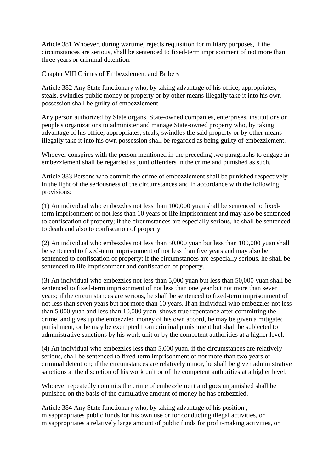Article 381 Whoever, during wartime, rejects requisition for military purposes, if the circumstances are serious, shall be sentenced to fixed-term imprisonment of not more than three years or criminal detention.

Chapter VIII Crimes of Embezzlement and Bribery

Article 382 Any State functionary who, by taking advantage of his office, appropriates, steals, swindles public money or property or by other means illegally take it into his own possession shall be guilty of embezzlement.

Any person authorized by State organs, State-owned companies, enterprises, institutions or people's organizations to administer and manage State-owned property who, by taking advantage of his office, appropriates, steals, swindles the said property or by other means illegally take it into his own possession shall be regarded as being guilty of embezzlement.

Whoever conspires with the person mentioned in the preceding two paragraphs to engage in embezzlement shall be regarded as joint offenders in the crime and punished as such.

Article 383 Persons who commit the crime of embezzlement shall be punished respectively in the light of the seriousness of the circumstances and in accordance with the following provisions:

(1) An individual who embezzles not less than 100,000 yuan shall be sentenced to fixedterm imprisonment of not less than 10 years or life imprisonment and may also be sentenced to confiscation of property; if the circumstances are especially serious, he shall be sentenced to death and also to confiscation of property.

(2) An individual who embezzles not less than 50,000 yuan but less than 100,000 yuan shall be sentenced to fixed-term imprisonment of not less than five years and may also be sentenced to confiscation of property; if the circumstances are especially serious, he shall be sentenced to life imprisonment and confiscation of property.

(3) An individual who embezzles not less than 5,000 yuan but less than 50,000 yuan shall be sentenced to fixed-term imprisonment of not less than one year but not more than seven years; if the circumstances are serious, he shall be sentenced to fixed-term imprisonment of not less than seven years but not more than 10 years. If an individual who embezzles not less than 5,000 yuan and less than 10,000 yuan, shows true repentance after committing the crime, and gives up the embezzled money of his own accord, he may be given a mitigated punishment, or he may be exempted from criminal punishment but shall be subjected to administrative sanctions by his work unit or by the competent authorities at a higher level.

(4) An individual who embezzles less than 5,000 yuan, if the circumstances are relatively serious, shall be sentenced to fixed-term imprisonment of not more than two years or criminal detention; if the circumstances are relatively minor, he shall be given administrative sanctions at the discretion of his work unit or of the competent authorities at a higher level.

Whoever repeatedly commits the crime of embezzlement and goes unpunished shall be punished on the basis of the cumulative amount of money he has embezzled.

Article 384 Any State functionary who, by taking advantage of his position , misappropriates public funds for his own use or for conducting illegal activities, or misappropriates a relatively large amount of public funds for profit-making activities, or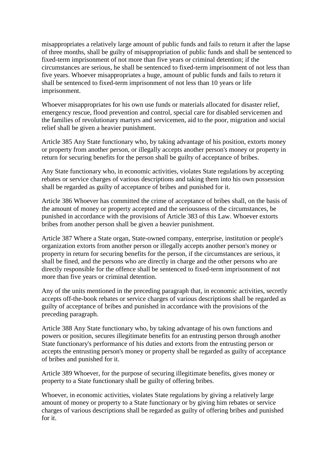misappropriates a relatively large amount of public funds and fails to return it after the lapse of three months, shall be guilty of misappropriation of public funds and shall be sentenced to fixed-term imprisonment of not more than five years or criminal detention; if the circumstances are serious, he shall be sentenced to fixed-term imprisonment of not less than five years. Whoever misappropriates a huge, amount of public funds and fails to return it shall be sentenced to fixed-term imprisonment of not less than 10 years or life imprisonment.

Whoever misappropriates for his own use funds or materials allocated for disaster relief, emergency rescue, flood prevention and control, special care for disabled servicemen and the families of revolutionary martyrs and servicemen, aid to the poor, migration and social relief shall be given a heavier punishment.

Article 385 Any State functionary who, by taking advantage of his position, extorts money or property from another person, or illegally accepts another person's money or property in return for securing benefits for the person shall be guilty of acceptance of bribes.

Any State functionary who, in economic activities, violates State regulations by accepting rebates or service charges of various descriptions and taking them into his own possession shall be regarded as guilty of acceptance of bribes and punished for it.

Article 386 Whoever has committed the crime of acceptance of bribes shall, on the basis of the amount of money or property accepted and the seriousness of the circumstances, be punished in accordance with the provisions of Article 383 of this Law. Whoever extorts bribes from another person shall be given a heavier punishment.

Article 387 Where a State organ, State-owned company, enterprise, institution or people's organization extorts from another person or illegally accepts another person's money or property in return for securing benefits for the person, if the circumstances are serious, it shall be fined, and the persons who are directly in charge and the other persons who are directly responsible for the offence shall be sentenced to fixed-term imprisonment of not more than five years or criminal detention.

Any of the units mentioned in the preceding paragraph that, in economic activities, secretly accepts off-the-book rebates or service charges of various descriptions shall be regarded as guilty of acceptance of bribes and punished in accordance with the provisions of the preceding paragraph.

Article 388 Any State functionary who, by taking advantage of his own functions and powers or position, secures illegitimate benefits for an entrusting person through another State functionary's performance of his duties and extorts from the entrusting person or accepts the entrusting person's money or property shall be regarded as guilty of acceptance of bribes and punished for it.

Article 389 Whoever, for the purpose of securing illegitimate benefits, gives money or property to a State functionary shall be guilty of offering bribes.

Whoever, in economic activities, violates State regulations by giving a relatively large amount of money or property to a State functionary or by giving him rebates or service charges of various descriptions shall be regarded as guilty of offering bribes and punished for it.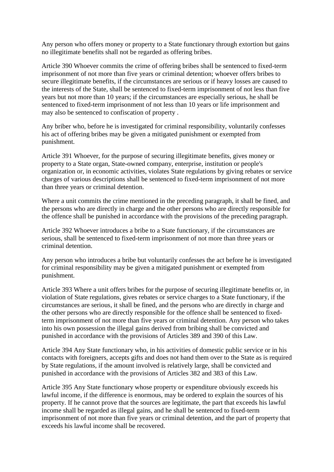Any person who offers money or property to a State functionary through extortion but gains no illegitimate benefits shall not be regarded as offering bribes.

Article 390 Whoever commits the crime of offering bribes shall be sentenced to fixed-term imprisonment of not more than five years or criminal detention; whoever offers bribes to secure illegitimate benefits, if the circumstances are serious or if heavy losses are caused to the interests of the State, shall be sentenced to fixed-term imprisonment of not less than five years but not more than 10 years; if the circumstances are especially serious, he shall be sentenced to fixed-term imprisonment of not less than 10 years or life imprisonment and may also be sentenced to confiscation of property .

Any briber who, before he is investigated for criminal responsibility, voluntarily confesses his act of offering bribes may be given a mitigated punishment or exempted from punishment.

Article 391 Whoever, for the purpose of securing illegitimate benefits, gives money or property to a State organ, State-owned company, enterprise, institution or people's organization or, in economic activities, violates State regulations by giving rebates or service charges of various descriptions shall be sentenced to fixed-term imprisonment of not more than three years or criminal detention.

Where a unit commits the crime mentioned in the preceding paragraph, it shall be fined, and the persons who are directly in charge and the other persons who are directly responsible for the offence shall be punished in accordance with the provisions of the preceding paragraph.

Article 392 Whoever introduces a bribe to a State functionary, if the circumstances are serious, shall be sentenced to fixed-term imprisonment of not more than three years or criminal detention.

Any person who introduces a bribe but voluntarily confesses the act before he is investigated for criminal responsibility may be given a mitigated punishment or exempted from punishment.

Article 393 Where a unit offers bribes for the purpose of securing illegitimate benefits or, in violation of State regulations, gives rebates or service charges to a State functionary, if the circumstances are serious, it shall be fined, and the persons who are directly in charge and the other persons who are directly responsible for the offence shall be sentenced to fixedterm imprisonment of not more than five years or criminal detention. Any person who takes into his own possession the illegal gains derived from bribing shall be convicted and punished in accordance with the provisions of Articles 389 and 390 of this Law.

Article 394 Any State functionary who, in his activities of domestic public service or in his contacts with foreigners, accepts gifts and does not hand them over to the State as is required by State regulations, if the amount involved is relatively large, shall be convicted and punished in accordance with the provisions of Articles 382 and 383 of this Law.

Article 395 Any State functionary whose property or expenditure obviously exceeds his lawful income, if the difference is enormous, may be ordered to explain the sources of his property. If he cannot prove that the sources are legitimate, the part that exceeds his lawful income shall be regarded as illegal gains, and he shall be sentenced to fixed-term imprisonment of not more than five years or criminal detention, and the part of property that exceeds his lawful income shall be recovered.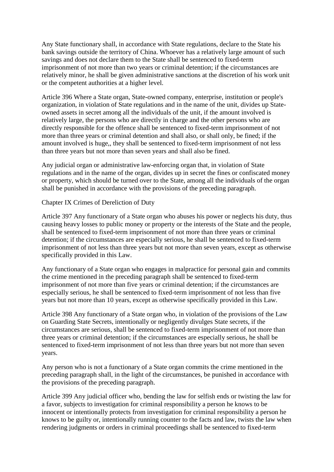Any State functionary shall, in accordance with State regulations, declare to the State his bank savings outside the territory of China. Whoever has a relatively large amount of such savings and does not declare them to the State shall be sentenced to fixed-term imprisonment of not more than two years or criminal detention; if the circumstances are relatively minor, he shall be given administrative sanctions at the discretion of his work unit or the competent authorities at a higher level.

Article 396 Where a State organ, State-owned company, enterprise, institution or people's organization, in violation of State regulations and in the name of the unit, divides up Stateowned assets in secret among all the individuals of the unit, if the amount involved is relatively large, the persons who are directly in charge and the other persons who are directly responsible for the offence shall be sentenced to fixed-term imprisonment of not more than three years or criminal detention and shall also, or shall only, be fined; if the amount involved is huge,, they shall be sentenced to fixed-term imprisonment of not less than three years but not more than seven years and shall also be fined.

Any judicial organ or administrative law-enforcing organ that, in violation of State regulations and in the name of the organ, divides up in secret the fines or confiscated money or property, which should be turned over to the State, among all the individuals of the organ shall be punished in accordance with the provisions of the preceding paragraph.

## Chapter IX Crimes of Dereliction of Duty

Article 397 Any functionary of a State organ who abuses his power or neglects his duty, thus causing heavy losses to public money or property or the interests of the State and the people, shall be sentenced to fixed-term imprisonment of not more than three years or criminal detention; if the circumstances are especially serious, he shall be sentenced to fixed-term imprisonment of not less than three years but not more than seven years, except as otherwise specifically provided in this Law.

Any functionary of a State organ who engages in malpractice for personal gain and commits the crime mentioned in the preceding paragraph shall be sentenced to fixed-term imprisonment of not more than five years or criminal detention; if the circumstances are especially serious, he shall be sentenced to fixed-term imprisonment of not less than five years but not more than 10 years, except as otherwise specifically provided in this Law.

Article 398 Any functionary of a State organ who, in violation of the provisions of the Law on Guarding State Secrets, intentionally or negligently divulges State secrets, if the circumstances are serious, shall be sentenced to fixed-term imprisonment of not more than three years or criminal detention; if the circumstances are especially serious, he shall be sentenced to fixed-term imprisonment of not less than three years but not more than seven years.

Any person who is not a functionary of a State organ commits the crime mentioned in the preceding paragraph shall, in the light of the circumstances, be punished in accordance with the provisions of the preceding paragraph.

Article 399 Any judicial officer who, bending the law for selfish ends or twisting the law for a favor, subjects to investigation for criminal responsibility a person he knows to be innocent or intentionally protects from investigation for criminal responsibility a person he knows to be guilty or, intentionally running counter to the facts and law, twists the law when rendering judgments or orders in criminal proceedings shall be sentenced to fixed-term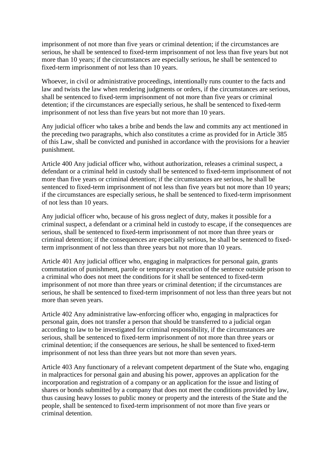imprisonment of not more than five years or criminal detention; if the circumstances are serious, he shall be sentenced to fixed-term imprisonment of not less than five years but not more than 10 years; if the circumstances are especially serious, he shall be sentenced to fixed-term imprisonment of not less than 10 years.

Whoever, in civil or administrative proceedings, intentionally runs counter to the facts and law and twists the law when rendering judgments or orders, if the circumstances are serious, shall be sentenced to fixed-term imprisonment of not more than five years or criminal detention; if the circumstances are especially serious, he shall be sentenced to fixed-term imprisonment of not less than five years but not more than 10 years.

Any judicial officer who takes a bribe and bends the law and commits any act mentioned in the preceding two paragraphs, which also constitutes a crime as provided for in Article 385 of this Law, shall be convicted and punished in accordance with the provisions for a heavier punishment.

Article 400 Any judicial officer who, without authorization, releases a criminal suspect, a defendant or a criminal held in custody shall be sentenced to fixed-term imprisonment of not more than five years or criminal detention; if the circumstances are serious, he shall be sentenced to fixed-term imprisonment of not less than five years but not more than 10 years; if the circumstances are especially serious, he shall be sentenced to fixed-term imprisonment of not less than 10 years.

Any judicial officer who, because of his gross neglect of duty, makes it possible for a criminal suspect, a defendant or a criminal held in custody to escape, if the consequences are serious, shall be sentenced to fixed-term imprisonment of not more than three years or criminal detention; if the consequences are especially serious, he shall be sentenced to fixedterm imprisonment of not less than three years but not more than 10 years.

Article 401 Any judicial officer who, engaging in malpractices for personal gain, grants commutation of punishment, parole or temporary execution of the sentence outside prison to a criminal who does not meet the conditions for it shall be sentenced to fixed-term imprisonment of not more than three years or criminal detention; if the circumstances are serious, he shall be sentenced to fixed-term imprisonment of not less than three years but not more than seven years.

Article 402 Any administrative law-enforcing officer who, engaging in malpractices for personal gain, does not transfer a person that should be transferred to a judicial organ according to law to be investigated for criminal responsibility, if the circumstances are serious, shall be sentenced to fixed-term imprisonment of not more than three years or criminal detention; if the consequences are serious, he shall be sentenced to fixed-term imprisonment of not less than three years but not more than seven years.

Article 403 Any functionary of a relevant competent department of the State who, engaging in malpractices for personal gain and abusing his power, approves an application for the incorporation and registration of a company or an application for the issue and listing of shares or bonds submitted by a company that does not meet the conditions provided by law, thus causing heavy losses to public money or property and the interests of the State and the people, shall be sentenced to fixed-term imprisonment of not more than five years or criminal detention.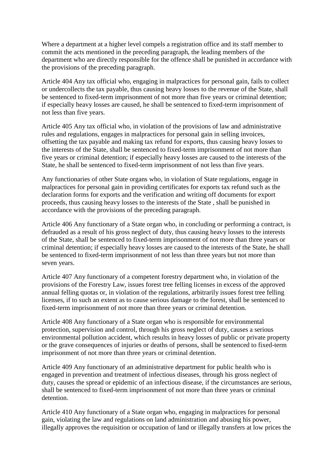Where a department at a higher level compels a registration office and its staff member to commit the acts mentioned in the preceding paragraph, the leading members of the department who are directly responsible for the offence shall be punished in accordance with the provisions of the preceding paragraph.

Article 404 Any tax official who, engaging in malpractices for personal gain, fails to collect or undercollects the tax payable, thus causing heavy losses to the revenue of the State, shall be sentenced to fixed-term imprisonment of not more than five years or criminal detention; if especially heavy losses are caused, he shall be sentenced to fixed-term imprisonment of not less than five years.

Article 405 Any tax official who, in violation of the provisions of law and administrative rules and regulations, engages in malpractices for personal gain in selling invoices, offsetting the tax payable and making tax refund for exports, thus causing heavy losses to the interests of the State, shall be sentenced to fixed-term imprisonment of not more than five years or criminal detention; if especially heavy losses are caused to the interests of the State, he shall be sentenced to fixed-term imprisonment of not less than five years.

Any functionaries of other State organs who, in violation of State regulations, engage in malpractices for personal gain in providing certificates for exports tax refund such as the declaration forms for exports and the verification and writing off documents for export proceeds, thus causing heavy losses to the interests of the State , shall be punished in accordance with the provisions of the preceding paragraph.

Article 406 Any functionary of a State organ who, in concluding or performing a contract, is defrauded as a result of his gross neglect of duty, thus causing heavy losses to the interests of the State, shall be sentenced to fixed-term imprisonment of not more than three years or criminal detention; if especially heavy losses are caused to the interests of the State, he shall be sentenced to fixed-term imprisonment of not less than three years but not more than seven years.

Article 407 Any functionary of a competent forestry department who, in violation of the provisions of the Forestry Law, issues forest tree felling licenses in excess of the approved annual felling quotas or, in violation of the regulations, arbitrarily issues forest tree felling licenses, if to such an extent as to cause serious damage to the forest, shall be sentenced to fixed-term imprisonment of not more than three years or criminal detention.

Article 408 Any functionary of a State organ who is responsible for environmental protection, supervision and control, through his gross neglect of duty, causes a serious environmental pollution accident, which results in heavy losses of public or private property or the grave consequences of injuries or deaths of persons, shall be sentenced to fixed-term imprisonment of not more than three years or criminal detention.

Article 409 Any functionary of an administrative department for public health who is engaged in prevention and treatment of infectious diseases, through his gross neglect of duty, causes the spread or epidemic of an infectious disease, if the circumstances are serious, shall be sentenced to fixed-term imprisonment of not more than three years or criminal detention.

Article 410 Any functionary of a State organ who, engaging in malpractices for personal gain, violating the law and regulations on land administration and abusing his power, illegally approves the requisition or occupation of land or illegally transfers at low prices the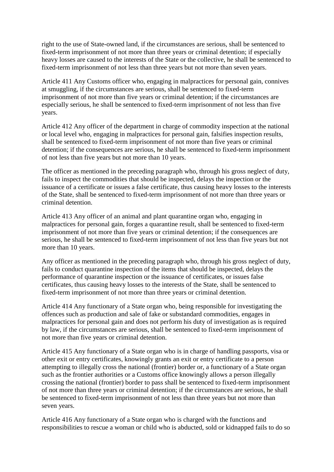right to the use of State-owned land, if the circumstances are serious, shall be sentenced to fixed-term imprisonment of not more than three years or criminal detention; if especially heavy losses are caused to the interests of the State or the collective, he shall be sentenced to fixed-term imprisonment of not less than three years but not more than seven years.

Article 411 Any Customs officer who, engaging in malpractices for personal gain, connives at smuggling, if the circumstances are serious, shall be sentenced to fixed-term imprisonment of not more than five years or criminal detention; if the circumstances are especially serious, he shall be sentenced to fixed-term imprisonment of not less than five years.

Article 412 Any officer of the department in charge of commodity inspection at the national or local level who, engaging in malpractices for personal gain, falsifies inspection results, shall be sentenced to fixed-term imprisonment of not more than five years or criminal detention; if the consequences are serious, he shall be sentenced to fixed-term imprisonment of not less than five years but not more than 10 years.

The officer as mentioned in the preceding paragraph who, through his gross neglect of duty, fails to inspect the commodities that should be inspected, delays the inspection or the issuance of a certificate or issues a false certificate, thus causing heavy losses to the interests of the State, shall be sentenced to fixed-term imprisonment of not more than three years or criminal detention.

Article 413 Any officer of an animal and plant quarantine organ who, engaging in malpractices for personal gain, forges a quarantine result, shall be sentenced to fixed-term imprisonment of not more than five years or criminal detention; if the consequences are serious, he shall be sentenced to fixed-term imprisonment of not less than five years but not more than 10 years.

Any officer as mentioned in the preceding paragraph who, through his gross neglect of duty, fails to conduct quarantine inspection of the items that should be inspected, delays the performance of quarantine inspection or the issuance of certificates, or issues false certificates, thus causing heavy losses to the interests of the State, shall be sentenced to fixed-term imprisonment of not more than three years or criminal detention.

Article 414 Any functionary of a State organ who, being responsible for investigating the offences such as production and sale of fake or substandard commodities, engages in malpractices for personal gain and does not perform his duty of investigation as is required by law, if the circumstances are serious, shall be sentenced to fixed-term imprisonment of not more than five years or criminal detention.

Article 415 Any functionary of a State organ who is in charge of handling passports, visa or other exit or entry certificates, knowingly grants an exit or entry certificate to a person attempting to illegally cross the national (frontier) border or, a functionary of a State organ such as the frontier authorities or a Customs office knowingly allows a person illegally crossing the national (frontier) border to pass shall be sentenced to fixed-term imprisonment of not more than three years or criminal detention; if the circumstances are serious, he shall be sentenced to fixed-term imprisonment of not less than three years but not more than seven years.

Article 416 Any functionary of a State organ who is charged with the functions and responsibilities to rescue a woman or child who is abducted, sold or kidnapped fails to do so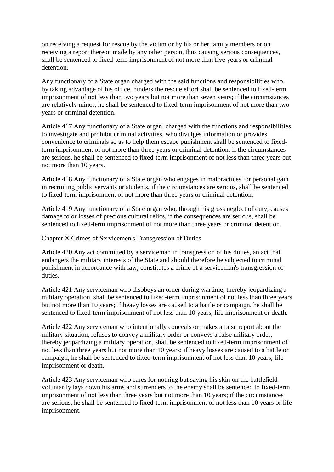on receiving a request for rescue by the victim or by his or her family members or on receiving a report thereon made by any other person, thus causing serious consequences, shall be sentenced to fixed-term imprisonment of not more than five years or criminal detention.

Any functionary of a State organ charged with the said functions and responsibilities who, by taking advantage of his office, hinders the rescue effort shall be sentenced to fixed-term imprisonment of not less than two years but not more than seven years; if the circumstances are relatively minor, he shall be sentenced to fixed-term imprisonment of not more than two years or criminal detention.

Article 417 Any functionary of a State organ, charged with the functions and responsibilities to investigate and prohibit criminal activities, who divulges information or provides convenience to criminals so as to help them escape punishment shall be sentenced to fixedterm imprisonment of not more than three years or criminal detention; if the circumstances are serious, he shall be sentenced to fixed-term imprisonment of not less than three years but not more than 10 years.

Article 418 Any functionary of a State organ who engages in malpractices for personal gain in recruiting public servants or students, if the circumstances are serious, shall be sentenced to fixed-term imprisonment of not more than three years or criminal detention.

Article 419 Any functionary of a State organ who, through his gross neglect of duty, causes damage to or losses of precious cultural relics, if the consequences are serious, shall be sentenced to fixed-term imprisonment of not more than three years or criminal detention.

Chapter X Crimes of Servicemen's Transgression of Duties

Article 420 Any act committed by a serviceman in transgression of his duties, an act that endangers the military interests of the State and should therefore be subjected to criminal punishment in accordance with law, constitutes a crime of a serviceman's transgression of duties.

Article 421 Any serviceman who disobeys an order during wartime, thereby jeopardizing a military operation, shall be sentenced to fixed-term imprisonment of not less than three years but not more than 10 years; if heavy losses are caused to a battle or campaign, he shall be sentenced to fixed-term imprisonment of not less than 10 years, life imprisonment or death.

Article 422 Any serviceman who intentionally conceals or makes a false report about the military situation, refuses to convey a military order or conveys a false military order, thereby jeopardizing a military operation, shall be sentenced to fixed-term imprisonment of not less than three years but not more than 10 years; if heavy losses are caused to a battle or campaign, he shall be sentenced to fixed-term imprisonment of not less than 10 years, life imprisonment or death.

Article 423 Any serviceman who cares for nothing but saving his skin on the battlefield voluntarily lays down his arms and surrenders to the enemy shall be sentenced to fixed-term imprisonment of not less than three years but not more than 10 years; if the circumstances are serious, he shall be sentenced to fixed-term imprisonment of not less than 10 years or life imprisonment.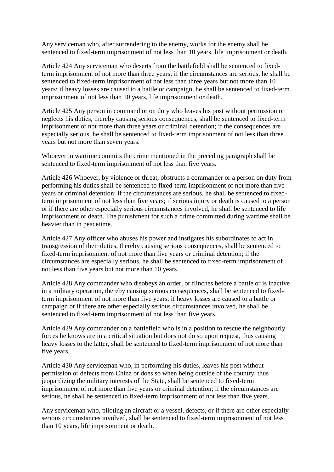Any serviceman who, after surrendering to the enemy, works for the enemy shall be sentenced to fixed-term imprisonment of not less than 10 years, life imprisonment or death.

Article 424 Any serviceman who deserts from the battlefield shall be sentenced to fixedterm imprisonment of not more than three years; if the circumstances are serious, he shall be sentenced to fixed-term imprisonment of not less than three years but not more than 10 years; if heavy losses are caused to a battle or campaign, he shall be sentenced to fixed-term imprisonment of not less than 10 years, life imprisonment or death.

Article 425 Any person in command or on duty who leaves his post without permission or neglects his duties, thereby causing serious consequences, shall be sentenced to fixed-term imprisonment of not more than three years or criminal detention; if the consequences are especially serious, he shall be sentenced to fixed-term imprisonment of not less than three years but not more than seven years.

Whoever in wartime commits the crime mentioned in the preceding paragraph shall be sentenced to fixed-term imprisonment of not less than five years.

Article 426 Whoever, by violence or threat, obstructs a commander or a person on duty from performing his duties shall be sentenced to fixed-term imprisonment of not more than five years or criminal detention; if the circumstances are serious, he shall be sentenced to fixedterm imprisonment of not less than five years; if serious injury or death is caused to a person or if there are other especially serious circumstances involved, he shall be sentenced to life imprisonment or death. The punishment for such a crime committed during wartime shall be heavier than in peacetime.

Article 427 Any officer who abuses his power and instigates his subordinates to act in transgression of their duties, thereby causing serious consequences, shall be sentenced to fixed-term imprisonment of not more than five years or criminal detention; if the circumstances are especially serious, he shall be sentenced to fixed-term imprisonment of not less than five years but not more than 10 years.

Article 428 Any commander who disobeys an order, or flinches before a battle or is inactive in a military operation, thereby causing serious consequences, shall be sentenced to fixedterm imprisonment of not more than five years; if heavy losses are caused to a battle or campaign or if there are other especially serious circumstances involved, he shall be sentenced to fixed-term imprisonment of not less than five years.

Article 429 Any commander on a battlefield who is in a position to rescue the neighbourly forces he knows are in a critical situation but does not do so upon request, thus causing heavy losses to the latter, shall be sentenced to fixed-term imprisonment of not more than five years.

Article 430 Any serviceman who, in performing his duties, leaves his post without permission or defects from China or does so when being outside of the country, thus jeopardizing the military interests of the State, shall be sentenced to fixed-term imprisonment of not more than five years or criminal detention; if the circumstances are serious, he shall be sentenced to fixed-term imprisonment of not less than five years.

Any serviceman who, piloting an aircraft or a vessel, defects, or if there are other especially serious circumstances involved, shall be sentenced to fixed-term imprisonment of not less than 10 years, life imprisonment or death.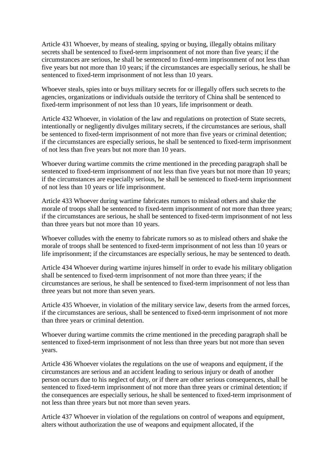Article 431 Whoever, by means of stealing, spying or buying, illegally obtains military secrets shall be sentenced to fixed-term imprisonment of not more than five years; if the circumstances are serious, he shall be sentenced to fixed-term imprisonment of not less than five years but not more than 10 years; if the circumstances are especially serious, he shall be sentenced to fixed-term imprisonment of not less than 10 years.

Whoever steals, spies into or buys military secrets for or illegally offers such secrets to the agencies, organizations or individuals outside the territory of China shall be sentenced to fixed-term imprisonment of not less than 10 years, life imprisonment or death.

Article 432 Whoever, in violation of the law and regulations on protection of State secrets, intentionally or negligently divulges military secrets, if the circumstances are serious, shall be sentenced to fixed-term imprisonment of not more than five years or criminal detention; if the circumstances are especially serious, he shall be sentenced to fixed-term imprisonment of not less than five years but not more than 10 years.

Whoever during wartime commits the crime mentioned in the preceding paragraph shall be sentenced to fixed-term imprisonment of not less than five years but not more than 10 years; if the circumstances are especially serious, he shall be sentenced to fixed-term imprisonment of not less than 10 years or life imprisonment.

Article 433 Whoever during wartime fabricates rumors to mislead others and shake the morale of troops shall be sentenced to fixed-term imprisonment of not more than three years; if the circumstances are serious, he shall be sentenced to fixed-term imprisonment of not less than three years but not more than 10 years.

Whoever colludes with the enemy to fabricate rumors so as to mislead others and shake the morale of troops shall be sentenced to fixed-term imprisonment of not less than 10 years or life imprisonment; if the circumstances are especially serious, he may be sentenced to death.

Article 434 Whoever during wartime injures himself in order to evade his military obligation shall be sentenced to fixed-term imprisonment of not more than three years; if the circumstances are serious, he shall be sentenced to fixed-term imprisonment of not less than three years but not more than seven years.

Article 435 Whoever, in violation of the military service law, deserts from the armed forces, if the circumstances are serious, shall be sentenced to fixed-term imprisonment of not more than three years or criminal detention.

Whoever during wartime commits the crime mentioned in the preceding paragraph shall be sentenced to fixed-term imprisonment of not less than three years but not more than seven years.

Article 436 Whoever violates the regulations on the use of weapons and equipment, if the circumstances are serious and an accident leading to serious injury or death of another person occurs due to his neglect of duty, or if there are other serious consequences, shall be sentenced to fixed-term imprisonment of not more than three years or criminal detention; if the consequences are especially serious, he shall be sentenced to fixed-term imprisonment of not less than three years but not more than seven years.

Article 437 Whoever in violation of the regulations on control of weapons and equipment, alters without authorization the use of weapons and equipment allocated, if the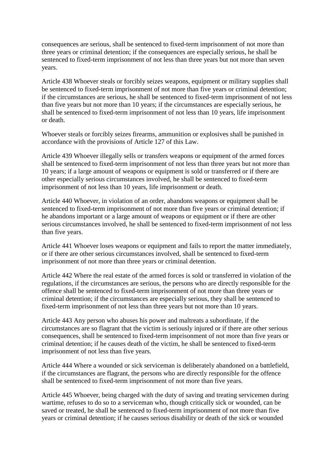consequences are serious, shall be sentenced to fixed-term imprisonment of not more than three years or criminal detention; if the consequences are especially serious, he shall be sentenced to fixed-term imprisonment of not less than three years but not more than seven years.

Article 438 Whoever steals or forcibly seizes weapons, equipment or military supplies shall be sentenced to fixed-term imprisonment of not more than five years or criminal detention; if the circumstances are serious, he shall be sentenced to fixed-term imprisonment of not less than five years but not more than 10 years; if the circumstances are especially serious, he shall be sentenced to fixed-term imprisonment of not less than 10 years, life imprisonment or death.

Whoever steals or forcibly seizes firearms, ammunition or explosives shall be punished in accordance with the provisions of Article 127 of this Law.

Article 439 Whoever illegally sells or transfers weapons or equipment of the armed forces shall be sentenced to fixed-term imprisonment of not less than three years but not more than 10 years; if a large amount of weapons or equipment is sold or transferred or if there are other especially serious circumstances involved, he shall be sentenced to fixed-term imprisonment of not less than 10 years, life imprisonment or death.

Article 440 Whoever, in violation of an order, abandons weapons or equipment shall be sentenced to fixed-term imprisonment of not more than five years or criminal detention; if he abandons important or a large amount of weapons or equipment or if there are other serious circumstances involved, he shall be sentenced to fixed-term imprisonment of not less than five years.

Article 441 Whoever loses weapons or equipment and fails to report the matter immediately, or if there are other serious circumstances involved, shall be sentenced to fixed-term imprisonment of not more than three years or criminal detention.

Article 442 Where the real estate of the armed forces is sold or transferred in violation of the regulations, if the circumstances are serious, the persons who are directly responsible for the offence shall be sentenced to fixed-term imprisonment of not more than three years or criminal detention; if the circumstances are especially serious, they shall be sentenced to fixed-term imprisonment of not less than three years but not more than 10 years.

Article 443 Any person who abuses his power and maltreats a subordinate, if the circumstances are so flagrant that the victim is seriously injured or if there are other serious consequences, shall be sentenced to fixed-term imprisonment of not more than five years or criminal detention; if he causes death of the victim, he shall be sentenced to fixed-term imprisonment of not less than five years.

Article 444 Where a wounded or sick serviceman is deliberately abandoned on a battlefield, if the circumstances are flagrant, the persons who are directly responsible for the offence shall be sentenced to fixed-term imprisonment of not more than five years.

Article 445 Whoever, being charged with the duty of saving and treating servicemen during wartime, refuses to do so to a serviceman who, though critically sick or wounded, can be saved or treated, he shall be sentenced to fixed-term imprisonment of not more than five years or criminal detention; if he causes serious disability or death of the sick or wounded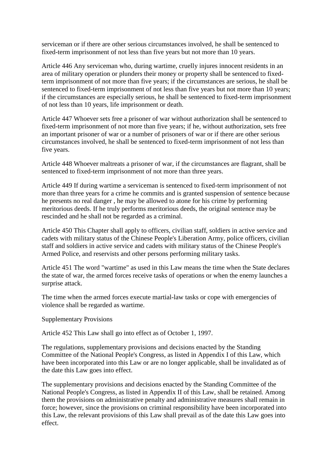serviceman or if there are other serious circumstances involved, he shall be sentenced to fixed-term imprisonment of not less than five years but not more than 10 years.

Article 446 Any serviceman who, during wartime, cruelly injures innocent residents in an area of military operation or plunders their money or property shall be sentenced to fixedterm imprisonment of not more than five years; if the circumstances are serious, he shall be sentenced to fixed-term imprisonment of not less than five years but not more than 10 years; if the circumstances are especially serious, he shall be sentenced to fixed-term imprisonment of not less than 10 years, life imprisonment or death.

Article 447 Whoever sets free a prisoner of war without authorization shall be sentenced to fixed-term imprisonment of not more than five years; if he, without authorization, sets free an important prisoner of war or a number of prisoners of war or if there are other serious circumstances involved, he shall be sentenced to fixed-term imprisonment of not less than five years.

Article 448 Whoever maltreats a prisoner of war, if the circumstances are flagrant, shall be sentenced to fixed-term imprisonment of not more than three years.

Article 449 If during wartime a serviceman is sentenced to fixed-term imprisonment of not more than three years for a crime he commits and is granted suspension of sentence because he presents no real danger , he may be allowed to atone for his crime by performing meritorious deeds. If he truly performs meritorious deeds, the original sentence may be rescinded and he shall not be regarded as a criminal.

Article 450 This Chapter shall apply to officers, civilian staff, soldiers in active service and cadets with military status of the Chinese People's Liberation Army, police officers, civilian staff and soldiers in active service and cadets with military status of the Chinese People's Armed Police, and reservists and other persons performing military tasks.

Article 451 The word "wartime" as used in this Law means the time when the State declares the state of war, the armed forces receive tasks of operations or when the enemy launches a surprise attack.

The time when the armed forces execute martial-law tasks or cope with emergencies of violence shall be regarded as wartime.

Supplementary Provisions

Article 452 This Law shall go into effect as of October 1, 1997.

The regulations, supplementary provisions and decisions enacted by the Standing Committee of the National People's Congress, as listed in Appendix I of this Law, which have been incorporated into this Law or are no longer applicable, shall be invalidated as of the date this Law goes into effect.

The supplementary provisions and decisions enacted by the Standing Committee of the National People's Congress, as listed in Appendix II of this Law, shall be retained. Among them the provisions on administrative penalty and administrative measures shall remain in force; however, since the provisions on criminal responsibility have been incorporated into this Law, the relevant provisions of this Law shall prevail as of the date this Law goes into effect.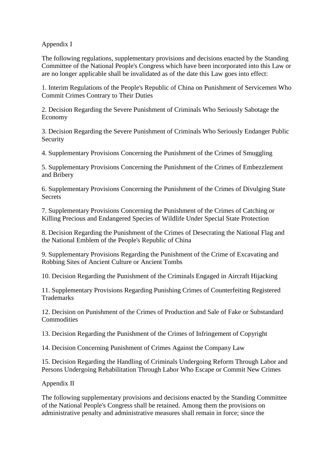Appendix I

The following regulations, supplementary provisions and decisions enacted by the Standing Committee of the National People's Congress which have been incorporated into this Law or are no longer applicable shall be invalidated as of the date this Law goes into effect:

1. Interim Regulations of the People's Republic of China on Punishment of Servicemen Who Commit Crimes Contrary to Their Duties

2. Decision Regarding the Severe Punishment of Criminals Who Seriously Sabotage the Economy

3. Decision Regarding the Severe Punishment of Criminals Who Seriously Endanger Public Security

4. Supplementary Provisions Concerning the Punishment of the Crimes of Smuggling

5. Supplementary Provisions Concerning the Punishment of the Crimes of Embezzlement and Bribery

6. Supplementary Provisions Concerning the Punishment of the Crimes of Divulging State **Secrets** 

7. Supplementary Provisions Concerning the Punishment of the Crimes of Catching or Killing Precious and Endangered Species of Wildlife Under Special State Protection

8. Decision Regarding the Punishment of the Crimes of Desecrating the National Flag and the National Emblem of the People's Republic of China

9. Supplementary Provisions Regarding the Punishment of the Crime of Excavating and Robbing Sites of Ancient Culture or Ancient Tombs

10. Decision Regarding the Punishment of the Criminals Engaged in Aircraft Hijacking

11. Supplementary Provisions Regarding Punishing Crimes of Counterfeiting Registered **Trademarks** 

12. Decision on Punishment of the Crimes of Production and Sale of Fake or Substandard **Commodities** 

13. Decision Regarding the Punishment of the Crimes of Infringement of Copyright

14. Decision Concerning Punishment of Crimes Against the Company Law

15. Decision Regarding the Handling of Criminals Undergoing Reform Through Labor and Persons Undergoing Rehabilitation Through Labor Who Escape or Commit New Crimes

Appendix II

The following supplementary provisions and decisions enacted by the Standing Committee of the National People's Congress shall be retained. Among them the provisions on administrative penalty and administrative measures shall remain in force; since the